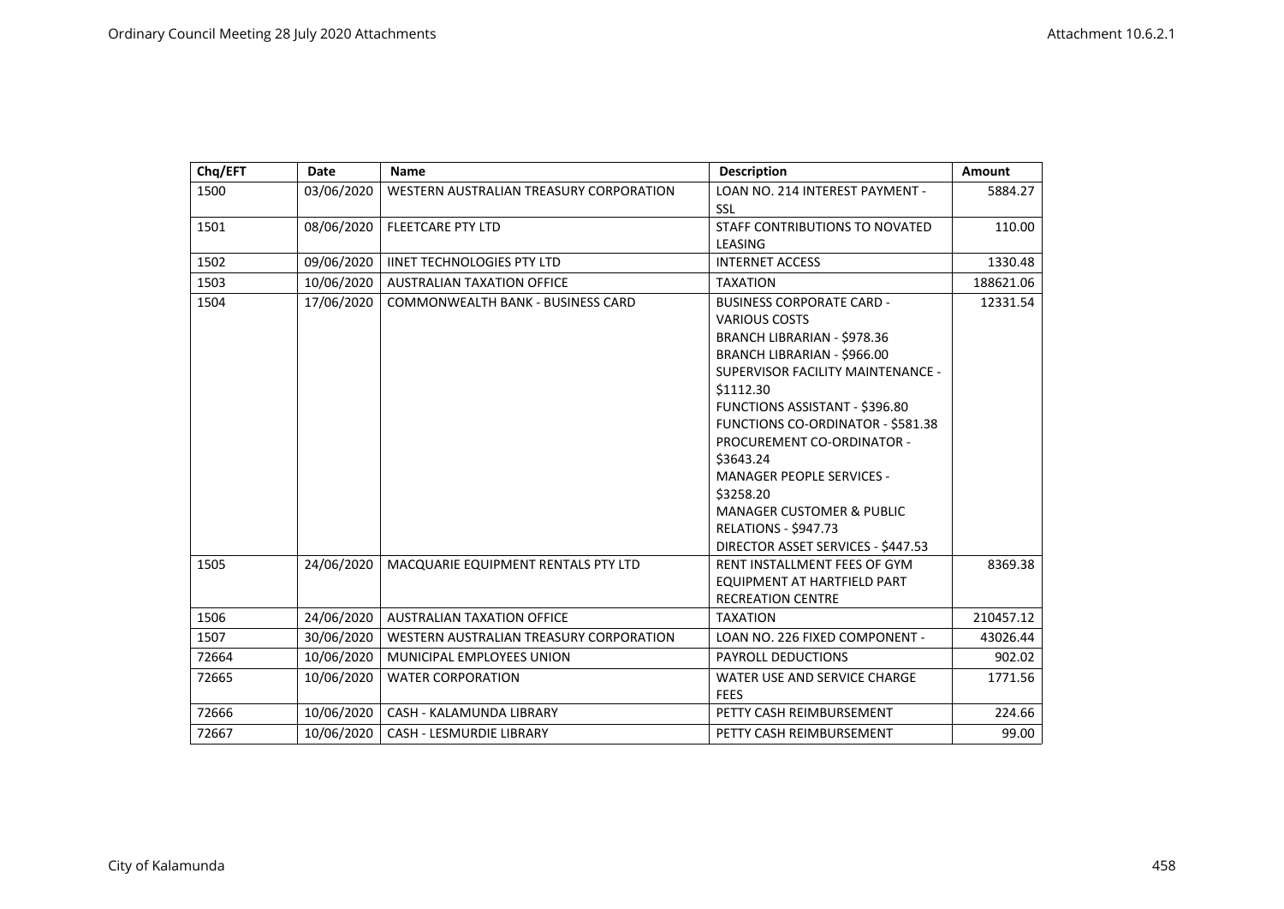| Chq/EFT | Date       | <b>Name</b>                              | <b>Description</b>                       | Amount    |
|---------|------------|------------------------------------------|------------------------------------------|-----------|
| 1500    | 03/06/2020 | WESTERN AUSTRALIAN TREASURY CORPORATION  | LOAN NO. 214 INTEREST PAYMENT -          | 5884.27   |
|         |            |                                          | SSL                                      |           |
| 1501    | 08/06/2020 | <b>FLEETCARE PTY LTD</b>                 | STAFF CONTRIBUTIONS TO NOVATED           | 110.00    |
|         |            |                                          | LEASING                                  |           |
| 1502    | 09/06/2020 | <b>IINET TECHNOLOGIES PTY LTD</b>        | <b>INTERNET ACCESS</b>                   | 1330.48   |
| 1503    | 10/06/2020 | <b>AUSTRALIAN TAXATION OFFICE</b>        | <b>TAXATION</b>                          | 188621.06 |
| 1504    | 17/06/2020 | <b>COMMONWEALTH BANK - BUSINESS CARD</b> | <b>BUSINESS CORPORATE CARD -</b>         | 12331.54  |
|         |            |                                          | <b>VARIOUS COSTS</b>                     |           |
|         |            |                                          | BRANCH LIBRARIAN - \$978.36              |           |
|         |            |                                          | <b>BRANCH LIBRARIAN - \$966.00</b>       |           |
|         |            |                                          | SUPERVISOR FACILITY MAINTENANCE -        |           |
|         |            |                                          | \$1112.30                                |           |
|         |            |                                          | FUNCTIONS ASSISTANT - \$396.80           |           |
|         |            |                                          | <b>FUNCTIONS CO-ORDINATOR - \$581.38</b> |           |
|         |            |                                          | PROCUREMENT CO-ORDINATOR -               |           |
|         |            |                                          | \$3643.24                                |           |
|         |            |                                          | <b>MANAGER PEOPLE SERVICES -</b>         |           |
|         |            |                                          | \$3258.20                                |           |
|         |            |                                          | <b>MANAGER CUSTOMER &amp; PUBLIC</b>     |           |
|         |            |                                          | <b>RELATIONS - \$947.73</b>              |           |
|         |            |                                          | DIRECTOR ASSET SERVICES - \$447.53       |           |
| 1505    | 24/06/2020 | MACQUARIE EQUIPMENT RENTALS PTY LTD      | RENT INSTALLMENT FEES OF GYM             | 8369.38   |
|         |            |                                          | EQUIPMENT AT HARTFIELD PART              |           |
|         |            |                                          | <b>RECREATION CENTRE</b>                 |           |
| 1506    | 24/06/2020 | <b>AUSTRALIAN TAXATION OFFICE</b>        | <b>TAXATION</b>                          | 210457.12 |
| 1507    | 30/06/2020 | WESTERN AUSTRALIAN TREASURY CORPORATION  | LOAN NO. 226 FIXED COMPONENT -           | 43026.44  |
| 72664   | 10/06/2020 | MUNICIPAL EMPLOYEES UNION                | <b>PAYROLL DEDUCTIONS</b>                | 902.02    |
| 72665   | 10/06/2020 | <b>WATER CORPORATION</b>                 | WATER USE AND SERVICE CHARGE             | 1771.56   |
|         |            |                                          | <b>FEES</b>                              |           |
| 72666   | 10/06/2020 | CASH - KALAMUNDA LIBRARY                 | PETTY CASH REIMBURSEMENT                 | 224.66    |
| 72667   | 10/06/2020 | CASH - LESMURDIE LIBRARY                 | PETTY CASH REIMBURSEMENT                 | 99.00     |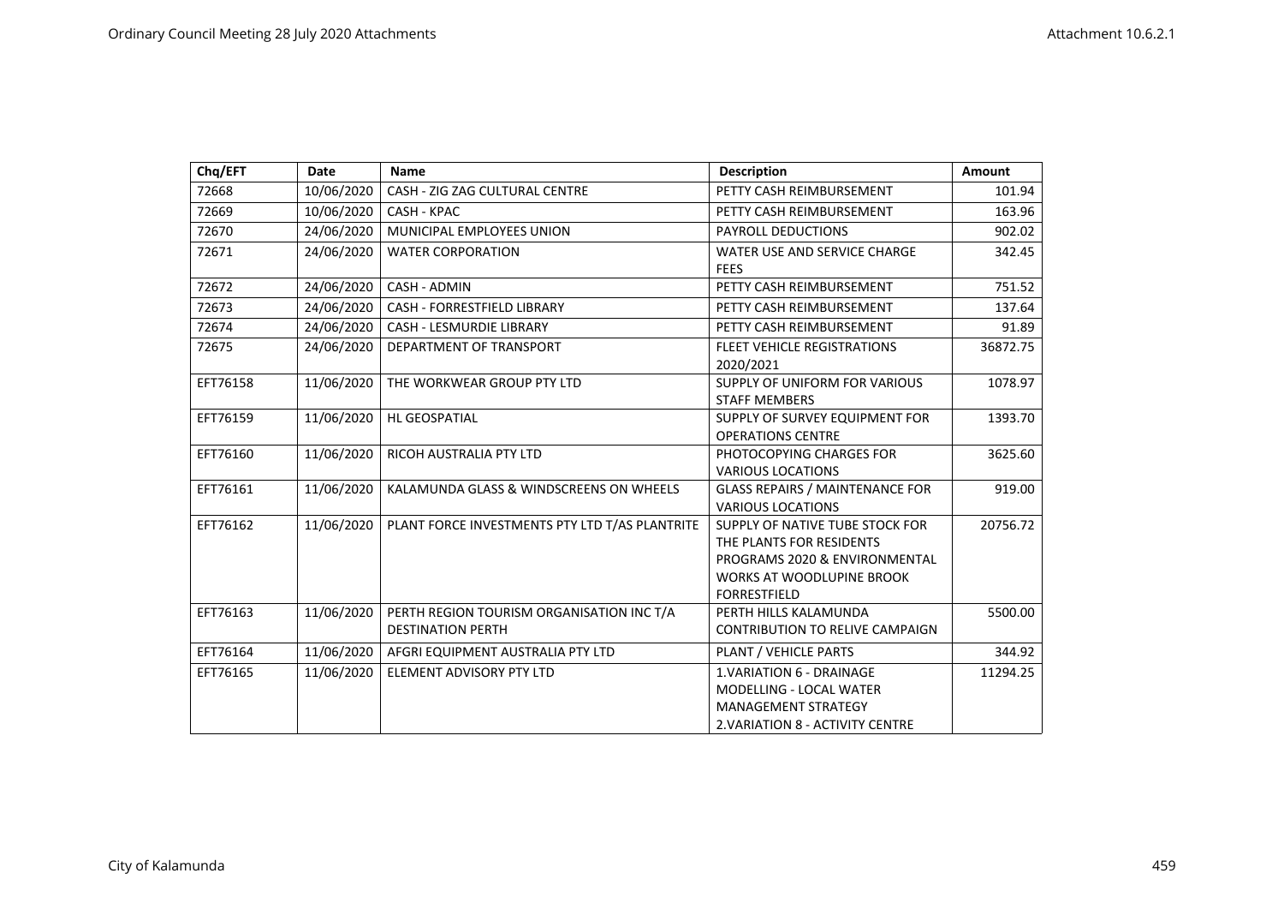| Chq/EFT  | Date       | <b>Name</b>                                                           | <b>Description</b>                                                                                                                                      | Amount   |
|----------|------------|-----------------------------------------------------------------------|---------------------------------------------------------------------------------------------------------------------------------------------------------|----------|
| 72668    | 10/06/2020 | CASH - ZIG ZAG CULTURAL CENTRE                                        | PETTY CASH REIMBURSEMENT                                                                                                                                | 101.94   |
| 72669    | 10/06/2020 | CASH - KPAC                                                           | PETTY CASH REIMBURSEMENT                                                                                                                                | 163.96   |
| 72670    | 24/06/2020 | MUNICIPAL EMPLOYEES UNION                                             | <b>PAYROLL DEDUCTIONS</b>                                                                                                                               | 902.02   |
| 72671    | 24/06/2020 | <b>WATER CORPORATION</b>                                              | WATER USE AND SERVICE CHARGE<br><b>FEES</b>                                                                                                             | 342.45   |
| 72672    | 24/06/2020 | CASH - ADMIN                                                          | PETTY CASH REIMBURSEMENT                                                                                                                                | 751.52   |
| 72673    | 24/06/2020 | <b>CASH - FORRESTFIELD LIBRARY</b>                                    | PETTY CASH REIMBURSEMENT                                                                                                                                | 137.64   |
| 72674    | 24/06/2020 | <b>CASH - LESMURDIE LIBRARY</b>                                       | PETTY CASH REIMBURSEMENT                                                                                                                                | 91.89    |
| 72675    | 24/06/2020 | DEPARTMENT OF TRANSPORT                                               | <b>FLEET VEHICLE REGISTRATIONS</b><br>2020/2021                                                                                                         | 36872.75 |
| EFT76158 | 11/06/2020 | THE WORKWEAR GROUP PTY LTD                                            | SUPPLY OF UNIFORM FOR VARIOUS<br><b>STAFF MEMBERS</b>                                                                                                   | 1078.97  |
| EFT76159 | 11/06/2020 | <b>HL GEOSPATIAL</b>                                                  | SUPPLY OF SURVEY EQUIPMENT FOR<br><b>OPERATIONS CENTRE</b>                                                                                              | 1393.70  |
| EFT76160 | 11/06/2020 | RICOH AUSTRALIA PTY LTD                                               | PHOTOCOPYING CHARGES FOR<br><b>VARIOUS LOCATIONS</b>                                                                                                    | 3625.60  |
| EFT76161 | 11/06/2020 | KALAMUNDA GLASS & WINDSCREENS ON WHEELS                               | <b>GLASS REPAIRS / MAINTENANCE FOR</b><br><b>VARIOUS LOCATIONS</b>                                                                                      | 919.00   |
| EFT76162 | 11/06/2020 | PLANT FORCE INVESTMENTS PTY LTD T/AS PLANTRITE                        | SUPPLY OF NATIVE TUBE STOCK FOR<br>THE PLANTS FOR RESIDENTS<br>PROGRAMS 2020 & ENVIRONMENTAL<br><b>WORKS AT WOODLUPINE BROOK</b><br><b>FORRESTFIELD</b> | 20756.72 |
| EFT76163 | 11/06/2020 | PERTH REGION TOURISM ORGANISATION INC T/A<br><b>DESTINATION PERTH</b> | PERTH HILLS KALAMUNDA<br><b>CONTRIBUTION TO RELIVE CAMPAIGN</b>                                                                                         | 5500.00  |
| EFT76164 | 11/06/2020 | AFGRI EQUIPMENT AUSTRALIA PTY LTD                                     | PLANT / VEHICLE PARTS                                                                                                                                   | 344.92   |
| EFT76165 | 11/06/2020 | ELEMENT ADVISORY PTY LTD                                              | 1. VARIATION 6 - DRAINAGE<br><b>MODELLING - LOCAL WATER</b><br><b>MANAGEMENT STRATEGY</b><br>2. VARIATION 8 - ACTIVITY CENTRE                           | 11294.25 |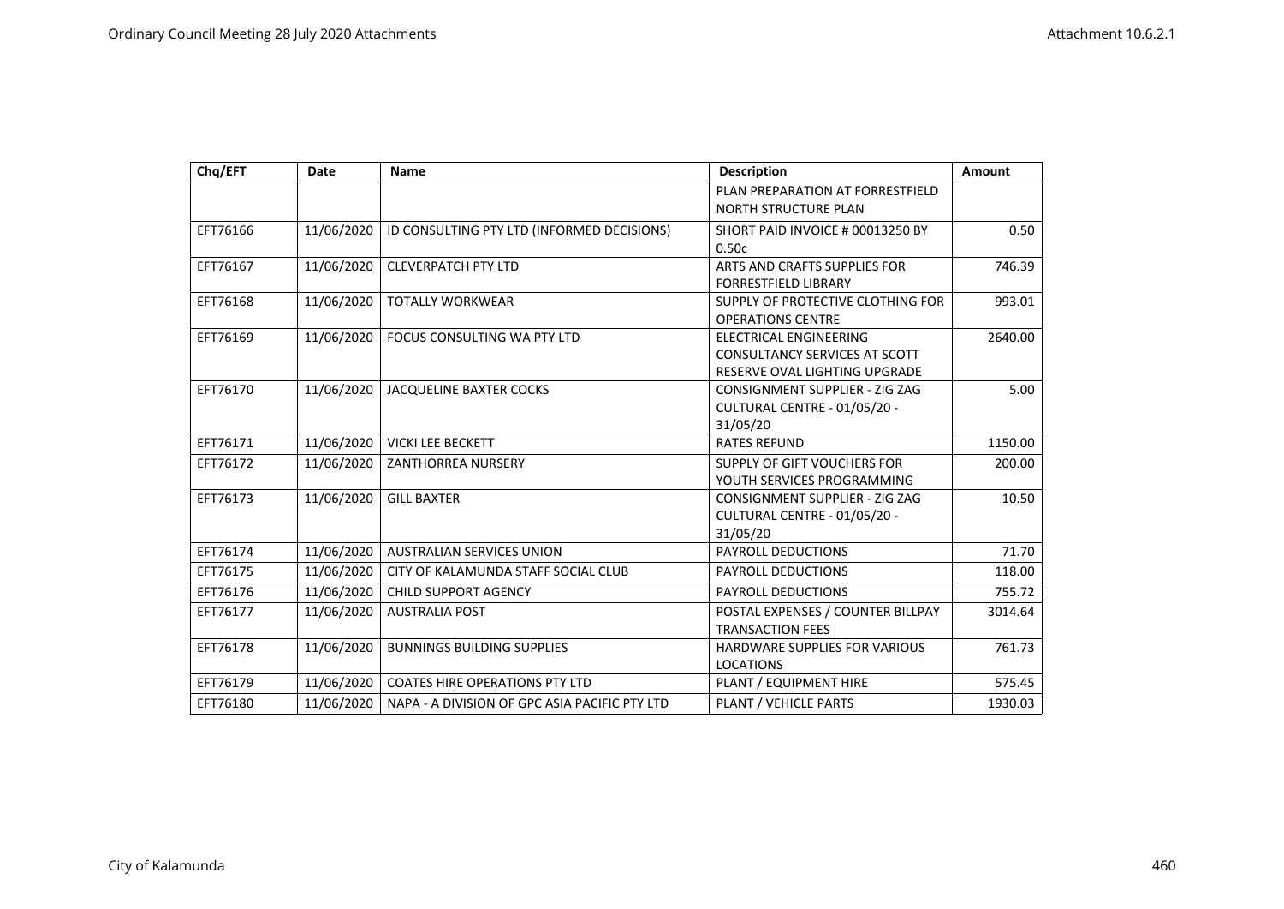| Chq/EFT  | Date       | <b>Name</b>                                   | <b>Description</b>                    | Amount  |
|----------|------------|-----------------------------------------------|---------------------------------------|---------|
|          |            |                                               | PLAN PREPARATION AT FORRESTFIELD      |         |
|          |            |                                               | NORTH STRUCTURE PLAN                  |         |
| EFT76166 | 11/06/2020 | ID CONSULTING PTY LTD (INFORMED DECISIONS)    | SHORT PAID INVOICE # 00013250 BY      | 0.50    |
|          |            |                                               | 0.50c                                 |         |
| EFT76167 | 11/06/2020 | <b>CLEVERPATCH PTY LTD</b>                    | ARTS AND CRAFTS SUPPLIES FOR          | 746.39  |
|          |            |                                               | FORRESTFIELD LIBRARY                  |         |
| EFT76168 | 11/06/2020 | <b>TOTALLY WORKWEAR</b>                       | SUPPLY OF PROTECTIVE CLOTHING FOR     | 993.01  |
|          |            |                                               | <b>OPERATIONS CENTRE</b>              |         |
| EFT76169 | 11/06/2020 | FOCUS CONSULTING WA PTY LTD                   | ELECTRICAL ENGINEERING                | 2640.00 |
|          |            |                                               | <b>CONSULTANCY SERVICES AT SCOTT</b>  |         |
|          |            |                                               | RESERVE OVAL LIGHTING UPGRADE         |         |
| EFT76170 | 11/06/2020 | <b>JACQUELINE BAXTER COCKS</b>                | <b>CONSIGNMENT SUPPLIER - ZIG ZAG</b> | 5.00    |
|          |            |                                               | CULTURAL CENTRE - 01/05/20 -          |         |
|          |            |                                               | 31/05/20                              |         |
| EFT76171 | 11/06/2020 | <b>VICKI LEE BECKETT</b>                      | <b>RATES REFUND</b>                   | 1150.00 |
| EFT76172 | 11/06/2020 | <b>ZANTHORREA NURSERY</b>                     | SUPPLY OF GIFT VOUCHERS FOR           | 200.00  |
|          |            |                                               | YOUTH SERVICES PROGRAMMING            |         |
| EFT76173 | 11/06/2020 | <b>GILL BAXTER</b>                            | CONSIGNMENT SUPPLIER - ZIG ZAG        | 10.50   |
|          |            |                                               | CULTURAL CENTRE - 01/05/20 -          |         |
|          |            |                                               | 31/05/20                              |         |
| EFT76174 | 11/06/2020 | <b>AUSTRALIAN SERVICES UNION</b>              | PAYROLL DEDUCTIONS                    | 71.70   |
| EFT76175 | 11/06/2020 | CITY OF KALAMUNDA STAFF SOCIAL CLUB           | PAYROLL DEDUCTIONS                    | 118.00  |
| EFT76176 | 11/06/2020 | <b>CHILD SUPPORT AGENCY</b>                   | <b>PAYROLL DEDUCTIONS</b>             | 755.72  |
| EFT76177 | 11/06/2020 | <b>AUSTRALIA POST</b>                         | POSTAL EXPENSES / COUNTER BILLPAY     | 3014.64 |
|          |            |                                               | <b>TRANSACTION FEES</b>               |         |
| EFT76178 | 11/06/2020 | <b>BUNNINGS BUILDING SUPPLIES</b>             | <b>HARDWARE SUPPLIES FOR VARIOUS</b>  | 761.73  |
|          |            |                                               | <b>LOCATIONS</b>                      |         |
| EFT76179 | 11/06/2020 | <b>COATES HIRE OPERATIONS PTY LTD</b>         | PLANT / EQUIPMENT HIRE                | 575.45  |
| EFT76180 | 11/06/2020 | NAPA - A DIVISION OF GPC ASIA PACIFIC PTY LTD | PLANT / VEHICLE PARTS                 | 1930.03 |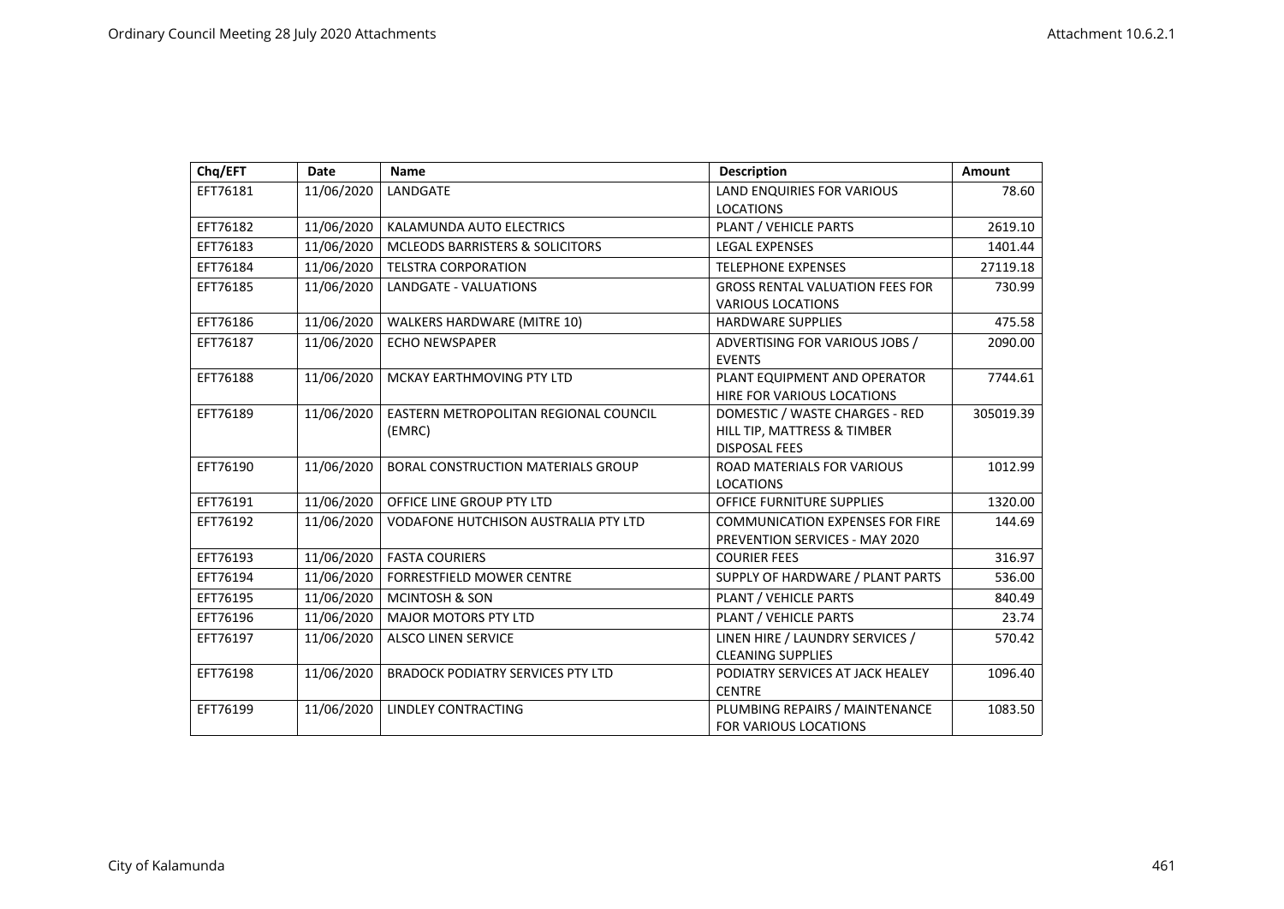| Chq/EFT  | Date       | <b>Name</b>                                 | <b>Description</b>                                                       | Amount    |
|----------|------------|---------------------------------------------|--------------------------------------------------------------------------|-----------|
| EFT76181 | 11/06/2020 | LANDGATE                                    | LAND ENQUIRIES FOR VARIOUS                                               | 78.60     |
|          |            |                                             | <b>LOCATIONS</b>                                                         |           |
| EFT76182 | 11/06/2020 | KALAMUNDA AUTO ELECTRICS                    | PLANT / VEHICLE PARTS                                                    | 2619.10   |
| EFT76183 | 11/06/2020 | <b>MCLEODS BARRISTERS &amp; SOLICITORS</b>  | <b>LEGAL EXPENSES</b>                                                    | 1401.44   |
| EFT76184 | 11/06/2020 | <b>TELSTRA CORPORATION</b>                  | <b>TELEPHONE EXPENSES</b>                                                | 27119.18  |
| EFT76185 | 11/06/2020 | LANDGATE - VALUATIONS                       | <b>GROSS RENTAL VALUATION FEES FOR</b><br><b>VARIOUS LOCATIONS</b>       | 730.99    |
| EFT76186 | 11/06/2020 | <b>WALKERS HARDWARE (MITRE 10)</b>          | <b>HARDWARE SUPPLIES</b>                                                 | 475.58    |
| EFT76187 | 11/06/2020 | <b>ECHO NEWSPAPER</b>                       | ADVERTISING FOR VARIOUS JOBS /<br><b>EVENTS</b>                          | 2090.00   |
| EFT76188 | 11/06/2020 | MCKAY EARTHMOVING PTY LTD                   | PLANT EQUIPMENT AND OPERATOR<br>HIRE FOR VARIOUS LOCATIONS               | 7744.61   |
| EFT76189 | 11/06/2020 | EASTERN METROPOLITAN REGIONAL COUNCIL       | DOMESTIC / WASTE CHARGES - RED                                           | 305019.39 |
|          |            | (EMRC)                                      | HILL TIP, MATTRESS & TIMBER                                              |           |
|          |            |                                             | <b>DISPOSAL FEES</b>                                                     |           |
| EFT76190 | 11/06/2020 | <b>BORAL CONSTRUCTION MATERIALS GROUP</b>   | <b>ROAD MATERIALS FOR VARIOUS</b>                                        | 1012.99   |
|          |            |                                             | <b>LOCATIONS</b>                                                         |           |
| EFT76191 | 11/06/2020 | OFFICE LINE GROUP PTY LTD                   | <b>OFFICE FURNITURE SUPPLIES</b>                                         | 1320.00   |
| EFT76192 | 11/06/2020 | <b>VODAFONE HUTCHISON AUSTRALIA PTY LTD</b> | <b>COMMUNICATION EXPENSES FOR FIRE</b><br>PREVENTION SERVICES - MAY 2020 | 144.69    |
| EFT76193 | 11/06/2020 | <b>FASTA COURIERS</b>                       | <b>COURIER FEES</b>                                                      | 316.97    |
| EFT76194 | 11/06/2020 | <b>FORRESTFIELD MOWER CENTRE</b>            | SUPPLY OF HARDWARE / PLANT PARTS                                         | 536.00    |
| EFT76195 | 11/06/2020 | <b>MCINTOSH &amp; SON</b>                   | PLANT / VEHICLE PARTS                                                    | 840.49    |
| EFT76196 | 11/06/2020 | <b>MAJOR MOTORS PTY LTD</b>                 | PLANT / VEHICLE PARTS                                                    | 23.74     |
| EFT76197 | 11/06/2020 | <b>ALSCO LINEN SERVICE</b>                  | LINEN HIRE / LAUNDRY SERVICES /                                          | 570.42    |
|          |            |                                             | <b>CLEANING SUPPLIES</b>                                                 |           |
| EFT76198 | 11/06/2020 | <b>BRADOCK PODIATRY SERVICES PTY LTD</b>    | PODIATRY SERVICES AT JACK HEALEY                                         | 1096.40   |
|          |            |                                             | <b>CENTRE</b>                                                            |           |
| EFT76199 | 11/06/2020 | LINDLEY CONTRACTING                         | PLUMBING REPAIRS / MAINTENANCE                                           | 1083.50   |
|          |            |                                             | FOR VARIOUS LOCATIONS                                                    |           |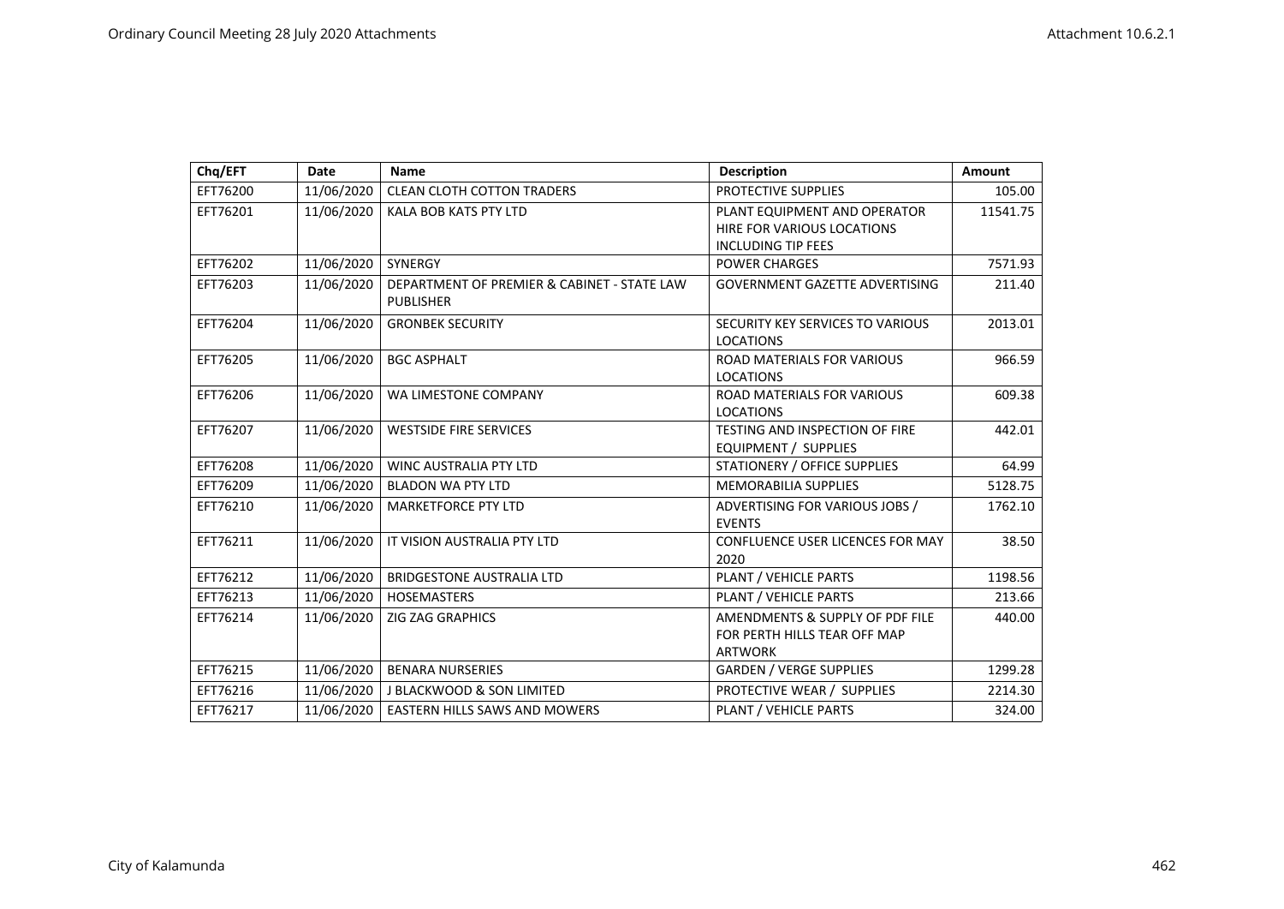| Chq/EFT  | Date       | <b>Name</b>                                                     | <b>Description</b>                                                                      | Amount   |
|----------|------------|-----------------------------------------------------------------|-----------------------------------------------------------------------------------------|----------|
| EFT76200 | 11/06/2020 | <b>CLEAN CLOTH COTTON TRADERS</b>                               | PROTECTIVE SUPPLIES                                                                     | 105.00   |
| EFT76201 | 11/06/2020 | <b>KALA BOB KATS PTY LTD</b>                                    | PLANT EQUIPMENT AND OPERATOR<br>HIRE FOR VARIOUS LOCATIONS<br><b>INCLUDING TIP FEES</b> | 11541.75 |
| EFT76202 | 11/06/2020 | SYNERGY                                                         | <b>POWER CHARGES</b>                                                                    | 7571.93  |
| EFT76203 | 11/06/2020 | DEPARTMENT OF PREMIER & CABINET - STATE LAW<br><b>PUBLISHER</b> | <b>GOVERNMENT GAZETTE ADVERTISING</b>                                                   | 211.40   |
| EFT76204 | 11/06/2020 | <b>GRONBEK SECURITY</b>                                         | SECURITY KEY SERVICES TO VARIOUS<br><b>LOCATIONS</b>                                    | 2013.01  |
| EFT76205 | 11/06/2020 | <b>BGC ASPHALT</b>                                              | <b>ROAD MATERIALS FOR VARIOUS</b><br><b>LOCATIONS</b>                                   | 966.59   |
| EFT76206 | 11/06/2020 | WA LIMESTONE COMPANY                                            | <b>ROAD MATERIALS FOR VARIOUS</b><br><b>LOCATIONS</b>                                   | 609.38   |
| EFT76207 | 11/06/2020 | WESTSIDE FIRE SERVICES                                          | <b>TESTING AND INSPECTION OF FIRE</b><br><b>EQUIPMENT / SUPPLIES</b>                    | 442.01   |
| EFT76208 | 11/06/2020 | <b>WINC AUSTRALIA PTY LTD</b>                                   | STATIONERY / OFFICE SUPPLIES                                                            | 64.99    |
| EFT76209 | 11/06/2020 | <b>BLADON WA PTY LTD</b>                                        | <b>MEMORABILIA SUPPLIES</b>                                                             | 5128.75  |
| EFT76210 | 11/06/2020 | <b>MARKETFORCE PTY LTD</b>                                      | ADVERTISING FOR VARIOUS JOBS /<br><b>EVENTS</b>                                         | 1762.10  |
| EFT76211 | 11/06/2020 | IT VISION AUSTRALIA PTY LTD                                     | <b>CONFLUENCE USER LICENCES FOR MAY</b><br>2020                                         | 38.50    |
| EFT76212 | 11/06/2020 | <b>BRIDGESTONE AUSTRALIA LTD</b>                                | PLANT / VEHICLE PARTS                                                                   | 1198.56  |
| EFT76213 | 11/06/2020 | <b>HOSEMASTERS</b>                                              | PLANT / VEHICLE PARTS                                                                   | 213.66   |
| EFT76214 | 11/06/2020 | <b>ZIG ZAG GRAPHICS</b>                                         | AMENDMENTS & SUPPLY OF PDF FILE<br>FOR PERTH HILLS TEAR OFF MAP<br><b>ARTWORK</b>       | 440.00   |
| EFT76215 | 11/06/2020 | <b>BENARA NURSERIES</b>                                         | <b>GARDEN / VERGE SUPPLIES</b>                                                          | 1299.28  |
| EFT76216 | 11/06/2020 | J BLACKWOOD & SON LIMITED                                       | PROTECTIVE WEAR / SUPPLIES                                                              | 2214.30  |
| EFT76217 | 11/06/2020 | <b>EASTERN HILLS SAWS AND MOWERS</b>                            | PLANT / VEHICLE PARTS                                                                   | 324.00   |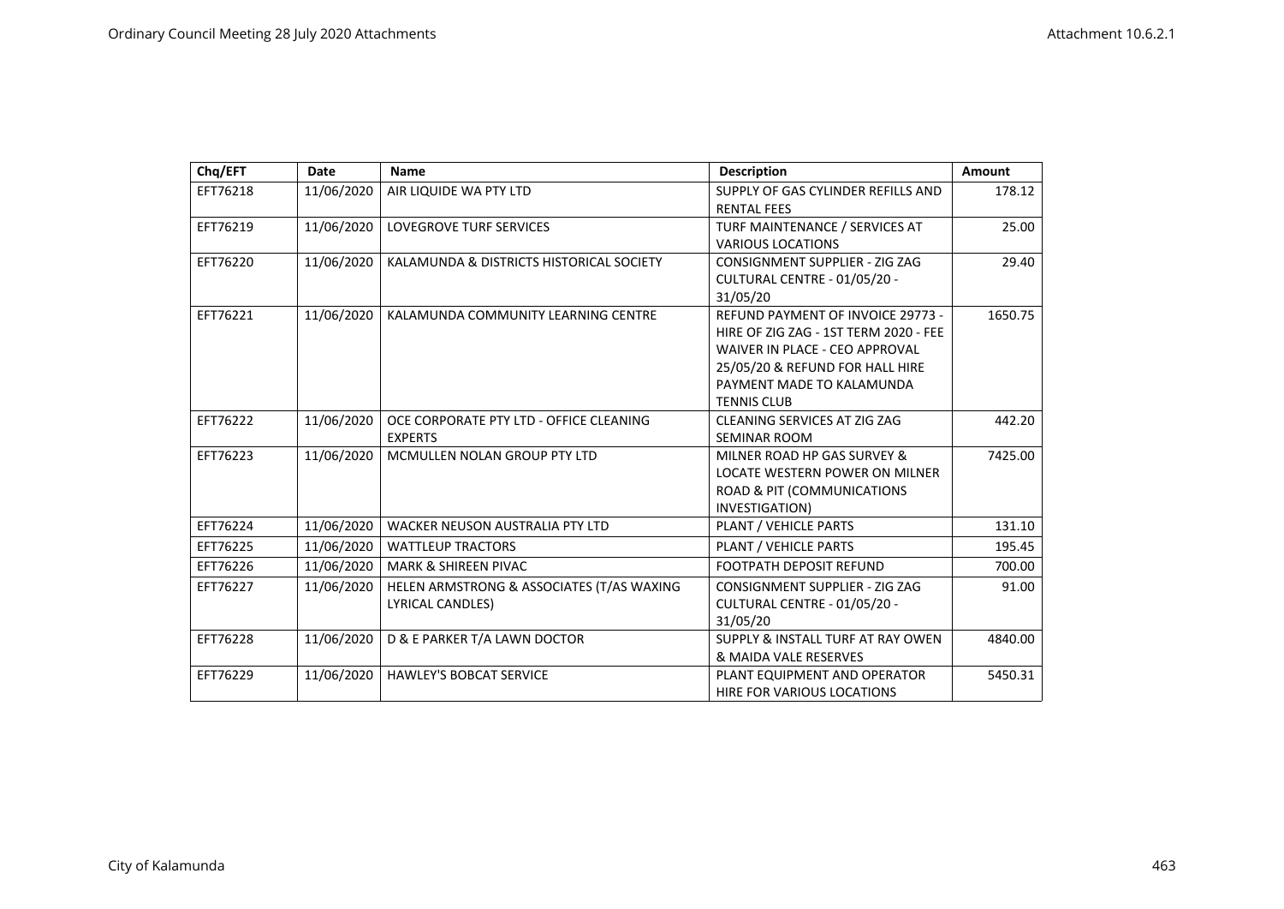| Chq/EFT  | Date       | <b>Name</b>                               | <b>Description</b>                    | <b>Amount</b> |
|----------|------------|-------------------------------------------|---------------------------------------|---------------|
| EFT76218 | 11/06/2020 | AIR LIQUIDE WA PTY LTD                    | SUPPLY OF GAS CYLINDER REFILLS AND    | 178.12        |
|          |            |                                           | <b>RENTAL FEES</b>                    |               |
| EFT76219 | 11/06/2020 | LOVEGROVE TURF SERVICES                   | TURF MAINTENANCE / SERVICES AT        | 25.00         |
|          |            |                                           | <b>VARIOUS LOCATIONS</b>              |               |
| EFT76220 | 11/06/2020 | KALAMUNDA & DISTRICTS HISTORICAL SOCIETY  | CONSIGNMENT SUPPLIER - ZIG ZAG        | 29.40         |
|          |            |                                           | CULTURAL CENTRE - 01/05/20 -          |               |
|          |            |                                           | 31/05/20                              |               |
| EFT76221 | 11/06/2020 | KALAMUNDA COMMUNITY LEARNING CENTRE       | REFUND PAYMENT OF INVOICE 29773 -     | 1650.75       |
|          |            |                                           | HIRE OF ZIG ZAG - 1ST TERM 2020 - FEE |               |
|          |            |                                           | WAIVER IN PLACE - CEO APPROVAL        |               |
|          |            |                                           | 25/05/20 & REFUND FOR HALL HIRE       |               |
|          |            |                                           | PAYMENT MADE TO KALAMUNDA             |               |
|          |            |                                           | <b>TENNIS CLUB</b>                    |               |
| EFT76222 | 11/06/2020 | OCE CORPORATE PTY LTD - OFFICE CLEANING   | CLEANING SERVICES AT ZIG ZAG          | 442.20        |
|          |            | <b>EXPERTS</b>                            | <b>SEMINAR ROOM</b>                   |               |
| EFT76223 | 11/06/2020 | MCMULLEN NOLAN GROUP PTY LTD              | MILNER ROAD HP GAS SURVEY &           | 7425.00       |
|          |            |                                           | <b>LOCATE WESTERN POWER ON MILNER</b> |               |
|          |            |                                           | ROAD & PIT (COMMUNICATIONS            |               |
|          |            |                                           | INVESTIGATION)                        |               |
| EFT76224 | 11/06/2020 | <b>WACKER NEUSON AUSTRALIA PTY LTD</b>    | PLANT / VEHICLE PARTS                 | 131.10        |
| EFT76225 | 11/06/2020 | <b>WATTLEUP TRACTORS</b>                  | PLANT / VEHICLE PARTS                 | 195.45        |
| EFT76226 | 11/06/2020 | <b>MARK &amp; SHIREEN PIVAC</b>           | <b>FOOTPATH DEPOSIT REFUND</b>        | 700.00        |
| EFT76227 | 11/06/2020 | HELEN ARMSTRONG & ASSOCIATES (T/AS WAXING | <b>CONSIGNMENT SUPPLIER - ZIG ZAG</b> | 91.00         |
|          |            | LYRICAL CANDLES)                          | CULTURAL CENTRE - 01/05/20 -          |               |
|          |            |                                           | 31/05/20                              |               |
| EFT76228 | 11/06/2020 | D & E PARKER T/A LAWN DOCTOR              | SUPPLY & INSTALL TURF AT RAY OWEN     | 4840.00       |
|          |            |                                           | & MAIDA VALE RESERVES                 |               |
| EFT76229 | 11/06/2020 | <b>HAWLEY'S BOBCAT SERVICE</b>            | PLANT EQUIPMENT AND OPERATOR          | 5450.31       |
|          |            |                                           | HIRE FOR VARIOUS LOCATIONS            |               |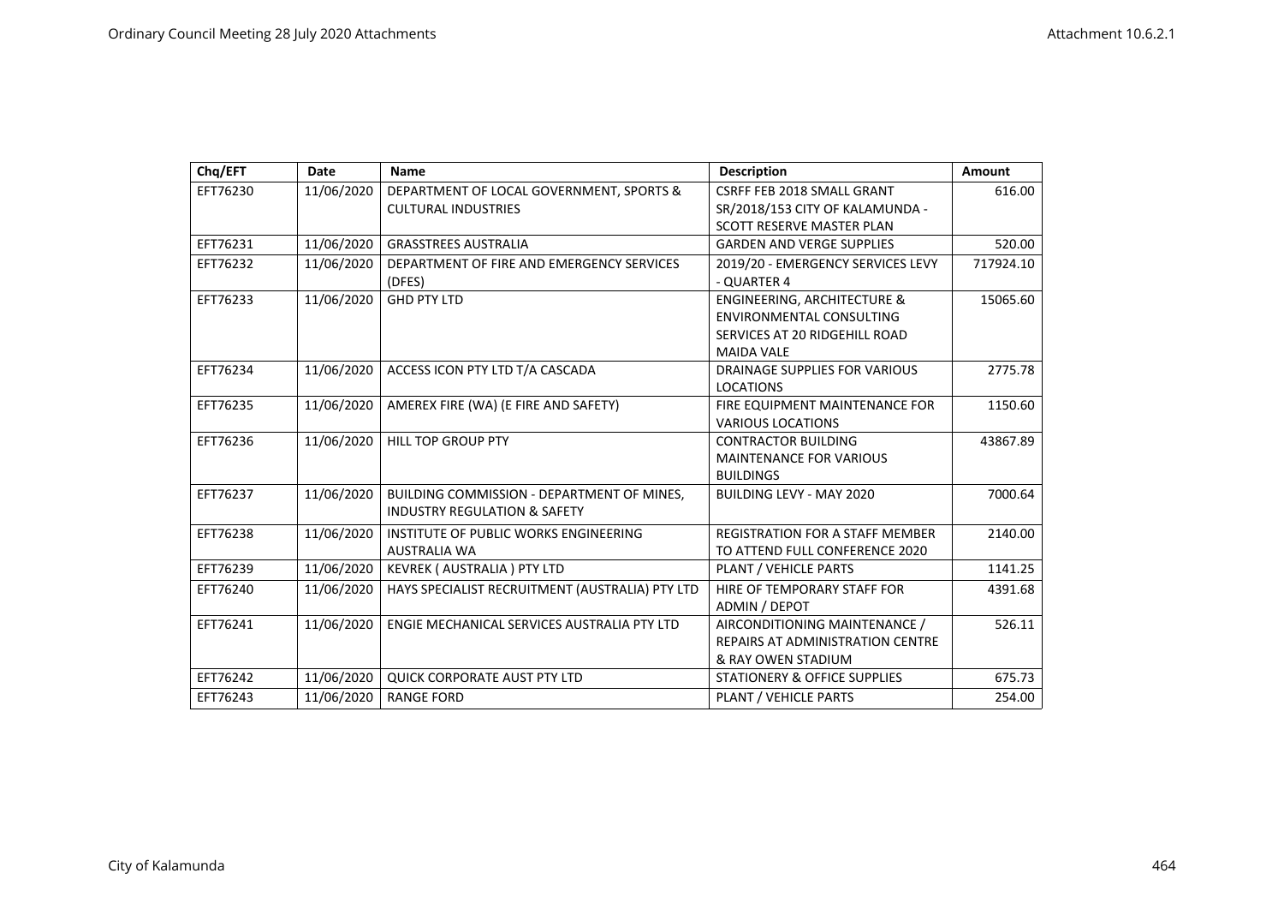| Chq/EFT  | Date       | <b>Name</b>                                     | <b>Description</b>                      | Amount    |
|----------|------------|-------------------------------------------------|-----------------------------------------|-----------|
| EFT76230 | 11/06/2020 | DEPARTMENT OF LOCAL GOVERNMENT, SPORTS &        | CSRFF FEB 2018 SMALL GRANT              | 616.00    |
|          |            | <b>CULTURAL INDUSTRIES</b>                      | SR/2018/153 CITY OF KALAMUNDA -         |           |
|          |            |                                                 | SCOTT RESERVE MASTER PLAN               |           |
| EFT76231 | 11/06/2020 | <b>GRASSTREES AUSTRALIA</b>                     | <b>GARDEN AND VERGE SUPPLIES</b>        | 520.00    |
| EFT76232 | 11/06/2020 | DEPARTMENT OF FIRE AND EMERGENCY SERVICES       | 2019/20 - EMERGENCY SERVICES LEVY       | 717924.10 |
|          |            | (DFES)                                          | - QUARTER 4                             |           |
| EFT76233 | 11/06/2020 | <b>GHD PTY LTD</b>                              | <b>ENGINEERING, ARCHITECTURE &amp;</b>  | 15065.60  |
|          |            |                                                 | <b>ENVIRONMENTAL CONSULTING</b>         |           |
|          |            |                                                 | SERVICES AT 20 RIDGEHILL ROAD           |           |
|          |            |                                                 | <b>MAIDA VALE</b>                       |           |
| EFT76234 | 11/06/2020 | ACCESS ICON PTY LTD T/A CASCADA                 | <b>DRAINAGE SUPPLIES FOR VARIOUS</b>    | 2775.78   |
|          |            |                                                 | <b>LOCATIONS</b>                        |           |
| EFT76235 | 11/06/2020 | AMEREX FIRE (WA) (E FIRE AND SAFETY)            | FIRE EQUIPMENT MAINTENANCE FOR          | 1150.60   |
|          |            |                                                 | <b>VARIOUS LOCATIONS</b>                |           |
| EFT76236 | 11/06/2020 | <b>HILL TOP GROUP PTY</b>                       | <b>CONTRACTOR BUILDING</b>              | 43867.89  |
|          |            |                                                 | <b>MAINTENANCE FOR VARIOUS</b>          |           |
|          |            |                                                 | <b>BUILDINGS</b>                        |           |
| EFT76237 | 11/06/2020 | BUILDING COMMISSION - DEPARTMENT OF MINES,      | <b>BUILDING LEVY - MAY 2020</b>         | 7000.64   |
|          |            | <b>INDUSTRY REGULATION &amp; SAFETY</b>         |                                         |           |
| EFT76238 | 11/06/2020 | INSTITUTE OF PUBLIC WORKS ENGINEERING           | <b>REGISTRATION FOR A STAFF MEMBER</b>  | 2140.00   |
|          |            | <b>AUSTRALIA WA</b>                             | TO ATTEND FULL CONFERENCE 2020          |           |
| EFT76239 | 11/06/2020 | KEVREK (AUSTRALIA) PTY LTD                      | PLANT / VEHICLE PARTS                   | 1141.25   |
| EFT76240 | 11/06/2020 | HAYS SPECIALIST RECRUITMENT (AUSTRALIA) PTY LTD | HIRE OF TEMPORARY STAFF FOR             | 4391.68   |
|          |            |                                                 | ADMIN / DEPOT                           |           |
| EFT76241 | 11/06/2020 | ENGIE MECHANICAL SERVICES AUSTRALIA PTY LTD     | AIRCONDITIONING MAINTENANCE /           | 526.11    |
|          |            |                                                 | <b>REPAIRS AT ADMINISTRATION CENTRE</b> |           |
|          |            |                                                 | & RAY OWEN STADIUM                      |           |
| EFT76242 | 11/06/2020 | <b>QUICK CORPORATE AUST PTY LTD</b>             | STATIONERY & OFFICE SUPPLIES            | 675.73    |
| EFT76243 | 11/06/2020 | <b>RANGE FORD</b>                               | PLANT / VEHICLE PARTS                   | 254.00    |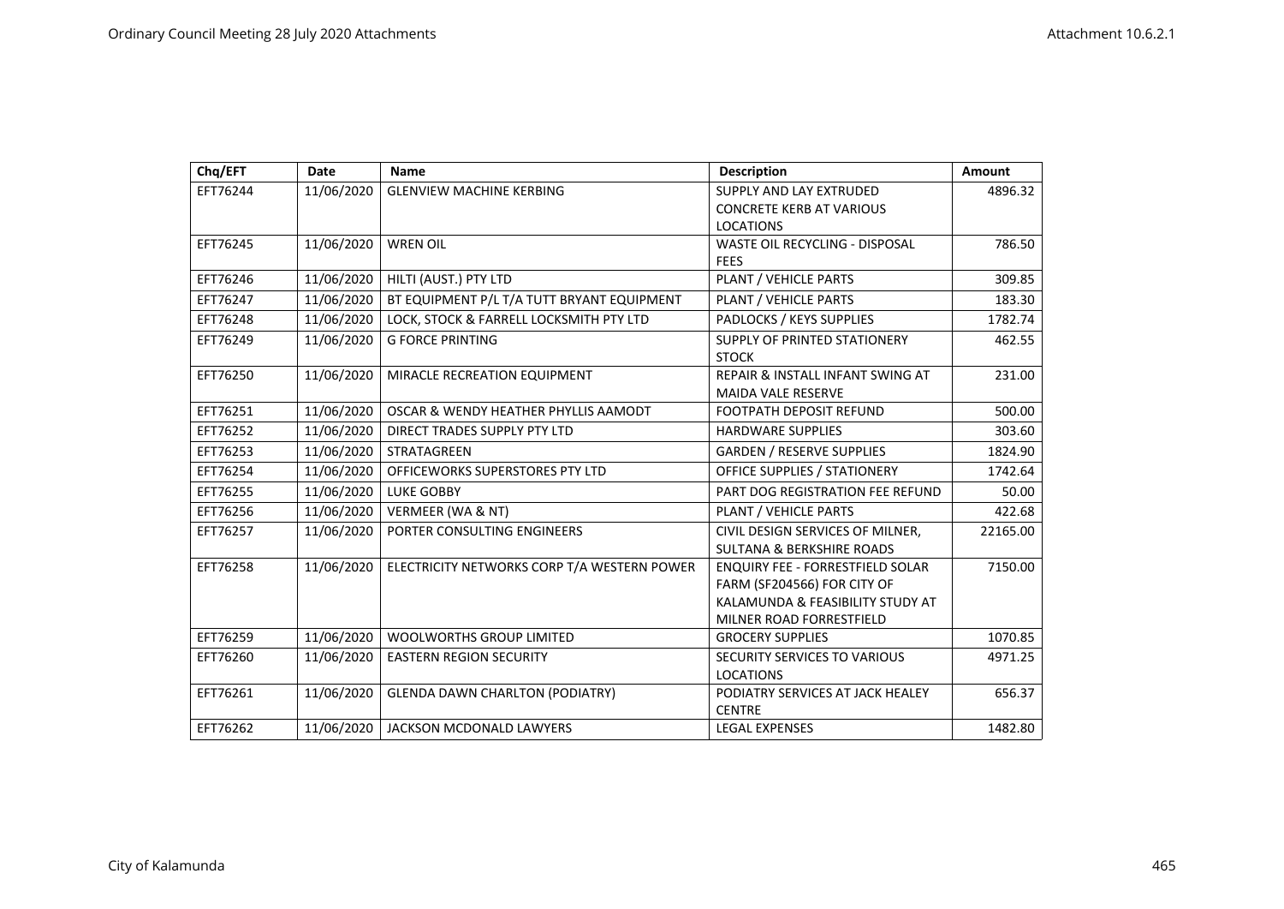| Chq/EFT  | <b>Date</b> | <b>Name</b>                                 | <b>Description</b>                          | <b>Amount</b> |
|----------|-------------|---------------------------------------------|---------------------------------------------|---------------|
| EFT76244 | 11/06/2020  | <b>GLENVIEW MACHINE KERBING</b>             | SUPPLY AND LAY EXTRUDED                     | 4896.32       |
|          |             |                                             | <b>CONCRETE KERB AT VARIOUS</b>             |               |
|          |             |                                             | <b>LOCATIONS</b>                            |               |
| EFT76245 | 11/06/2020  | <b>WREN OIL</b>                             | WASTE OIL RECYCLING - DISPOSAL              | 786.50        |
|          |             |                                             | <b>FEES</b>                                 |               |
| EFT76246 | 11/06/2020  | HILTI (AUST.) PTY LTD                       | PLANT / VEHICLE PARTS                       | 309.85        |
| EFT76247 | 11/06/2020  | BT EQUIPMENT P/L T/A TUTT BRYANT EQUIPMENT  | PLANT / VEHICLE PARTS                       | 183.30        |
| EFT76248 | 11/06/2020  | LOCK, STOCK & FARRELL LOCKSMITH PTY LTD     | PADLOCKS / KEYS SUPPLIES                    | 1782.74       |
| EFT76249 | 11/06/2020  | <b>G FORCE PRINTING</b>                     | <b>SUPPLY OF PRINTED STATIONERY</b>         | 462.55        |
|          |             |                                             | <b>STOCK</b>                                |               |
| EFT76250 | 11/06/2020  | MIRACLE RECREATION EQUIPMENT                | <b>REPAIR &amp; INSTALL INFANT SWING AT</b> | 231.00        |
|          |             |                                             | <b>MAIDA VALE RESERVE</b>                   |               |
| EFT76251 | 11/06/2020  | OSCAR & WENDY HEATHER PHYLLIS AAMODT        | <b>FOOTPATH DEPOSIT REFUND</b>              | 500.00        |
| EFT76252 | 11/06/2020  | DIRECT TRADES SUPPLY PTY LTD                | <b>HARDWARE SUPPLIES</b>                    | 303.60        |
| EFT76253 | 11/06/2020  | <b>STRATAGREEN</b>                          | <b>GARDEN / RESERVE SUPPLIES</b>            | 1824.90       |
| EFT76254 | 11/06/2020  | OFFICEWORKS SUPERSTORES PTY LTD             | <b>OFFICE SUPPLIES / STATIONERY</b>         | 1742.64       |
| EFT76255 | 11/06/2020  | <b>LUKE GOBBY</b>                           | PART DOG REGISTRATION FEE REFUND            | 50.00         |
| EFT76256 | 11/06/2020  | VERMEER (WA & NT)                           | PLANT / VEHICLE PARTS                       | 422.68        |
| EFT76257 | 11/06/2020  | PORTER CONSULTING ENGINEERS                 | CIVIL DESIGN SERVICES OF MILNER,            | 22165.00      |
|          |             |                                             | <b>SULTANA &amp; BERKSHIRE ROADS</b>        |               |
| EFT76258 | 11/06/2020  | ELECTRICITY NETWORKS CORP T/A WESTERN POWER | <b>ENQUIRY FEE - FORRESTFIELD SOLAR</b>     | 7150.00       |
|          |             |                                             | FARM (SF204566) FOR CITY OF                 |               |
|          |             |                                             | KALAMUNDA & FEASIBILITY STUDY AT            |               |
|          |             |                                             | MILNER ROAD FORRESTFIELD                    |               |
| EFT76259 | 11/06/2020  | <b>WOOLWORTHS GROUP LIMITED</b>             | <b>GROCERY SUPPLIES</b>                     | 1070.85       |
| EFT76260 | 11/06/2020  | <b>EASTERN REGION SECURITY</b>              | SECURITY SERVICES TO VARIOUS                | 4971.25       |
|          |             |                                             | <b>LOCATIONS</b>                            |               |
| EFT76261 | 11/06/2020  | <b>GLENDA DAWN CHARLTON (PODIATRY)</b>      | PODIATRY SERVICES AT JACK HEALEY            | 656.37        |
|          |             |                                             | <b>CENTRE</b>                               |               |
| EFT76262 | 11/06/2020  | JACKSON MCDONALD LAWYERS                    | <b>LEGAL EXPENSES</b>                       | 1482.80       |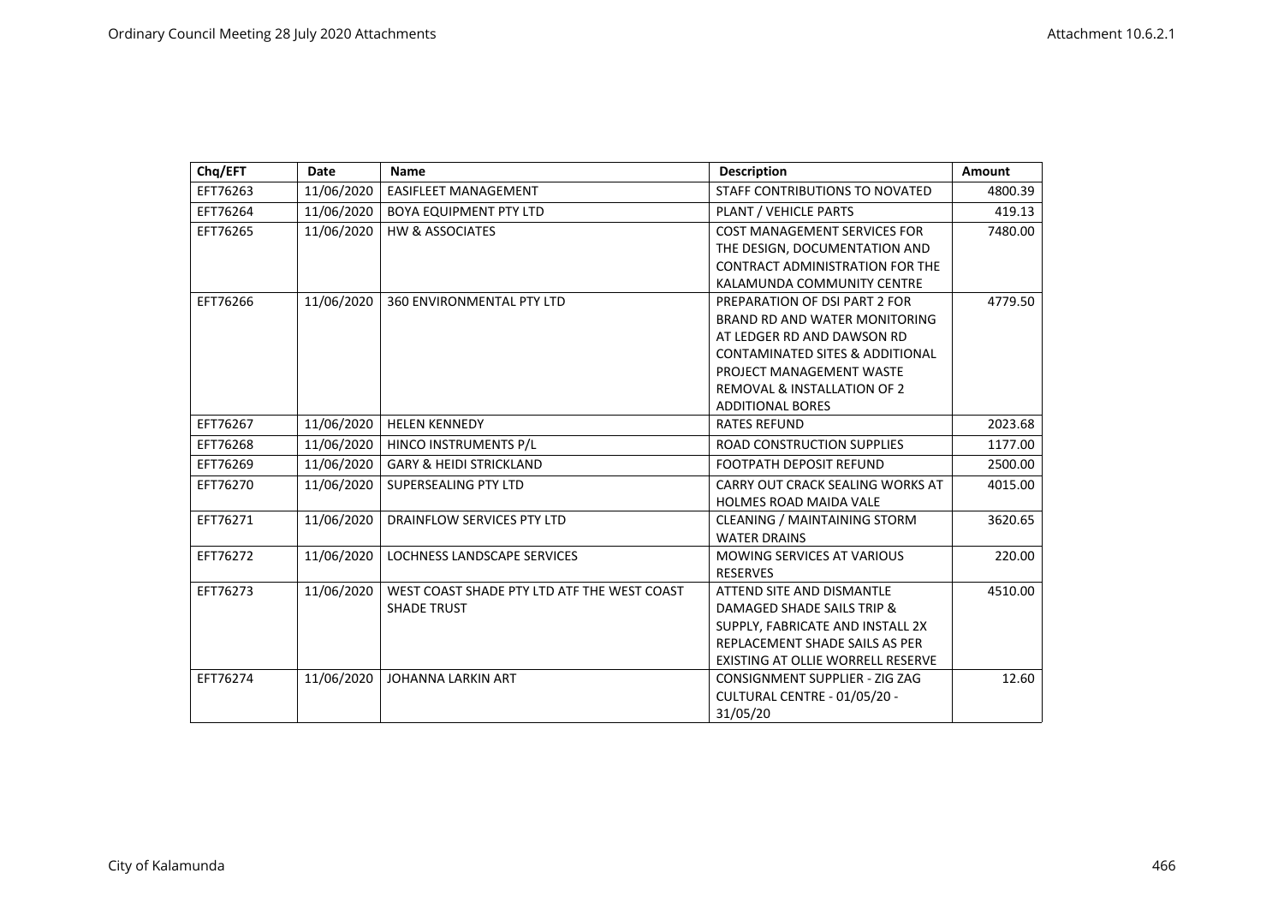| Chq/EFT  | <b>Date</b> | <b>Name</b>                                 | <b>Description</b>                         | <b>Amount</b> |
|----------|-------------|---------------------------------------------|--------------------------------------------|---------------|
| EFT76263 | 11/06/2020  | <b>EASIFLEET MANAGEMENT</b>                 | STAFF CONTRIBUTIONS TO NOVATED             | 4800.39       |
| EFT76264 | 11/06/2020  | <b>BOYA EQUIPMENT PTY LTD</b>               | PLANT / VEHICLE PARTS                      | 419.13        |
| EFT76265 | 11/06/2020  | <b>HW &amp; ASSOCIATES</b>                  | <b>COST MANAGEMENT SERVICES FOR</b>        | 7480.00       |
|          |             |                                             | THE DESIGN. DOCUMENTATION AND              |               |
|          |             |                                             | <b>CONTRACT ADMINISTRATION FOR THE</b>     |               |
|          |             |                                             | KALAMUNDA COMMUNITY CENTRE                 |               |
| EFT76266 | 11/06/2020  | <b>360 ENVIRONMENTAL PTY LTD</b>            | PREPARATION OF DSI PART 2 FOR              | 4779.50       |
|          |             |                                             | BRAND RD AND WATER MONITORING              |               |
|          |             |                                             | AT LEDGER RD AND DAWSON RD                 |               |
|          |             |                                             | <b>CONTAMINATED SITES &amp; ADDITIONAL</b> |               |
|          |             |                                             | PROJECT MANAGEMENT WASTE                   |               |
|          |             |                                             | <b>REMOVAL &amp; INSTALLATION OF 2</b>     |               |
|          |             |                                             | <b>ADDITIONAL BORES</b>                    |               |
| EFT76267 | 11/06/2020  | <b>HELEN KENNEDY</b>                        | <b>RATES REFUND</b>                        | 2023.68       |
| EFT76268 | 11/06/2020  | HINCO INSTRUMENTS P/L                       | <b>ROAD CONSTRUCTION SUPPLIES</b>          | 1177.00       |
| EFT76269 | 11/06/2020  | <b>GARY &amp; HEIDI STRICKLAND</b>          | <b>FOOTPATH DEPOSIT REFUND</b>             | 2500.00       |
| EFT76270 | 11/06/2020  | SUPERSEALING PTY LTD                        | CARRY OUT CRACK SEALING WORKS AT           | 4015.00       |
|          |             |                                             | <b>HOLMES ROAD MAIDA VALE</b>              |               |
| EFT76271 | 11/06/2020  | <b>DRAINFLOW SERVICES PTY LTD</b>           | <b>CLEANING / MAINTAINING STORM</b>        | 3620.65       |
|          |             |                                             | <b>WATER DRAINS</b>                        |               |
| EFT76272 | 11/06/2020  | LOCHNESS LANDSCAPE SERVICES                 | <b>MOWING SERVICES AT VARIOUS</b>          | 220.00        |
|          |             |                                             | <b>RESERVES</b>                            |               |
| EFT76273 | 11/06/2020  | WEST COAST SHADE PTY LTD ATF THE WEST COAST | ATTEND SITE AND DISMANTLE                  | 4510.00       |
|          |             | <b>SHADE TRUST</b>                          | DAMAGED SHADE SAILS TRIP &                 |               |
|          |             |                                             | SUPPLY, FABRICATE AND INSTALL 2X           |               |
|          |             |                                             | REPLACEMENT SHADE SAILS AS PER             |               |
|          |             |                                             | EXISTING AT OLLIE WORRELL RESERVE          |               |
| EFT76274 | 11/06/2020  | <b>JOHANNA LARKIN ART</b>                   | CONSIGNMENT SUPPLIER - ZIG ZAG             | 12.60         |
|          |             |                                             | CULTURAL CENTRE - 01/05/20 -               |               |
|          |             |                                             | 31/05/20                                   |               |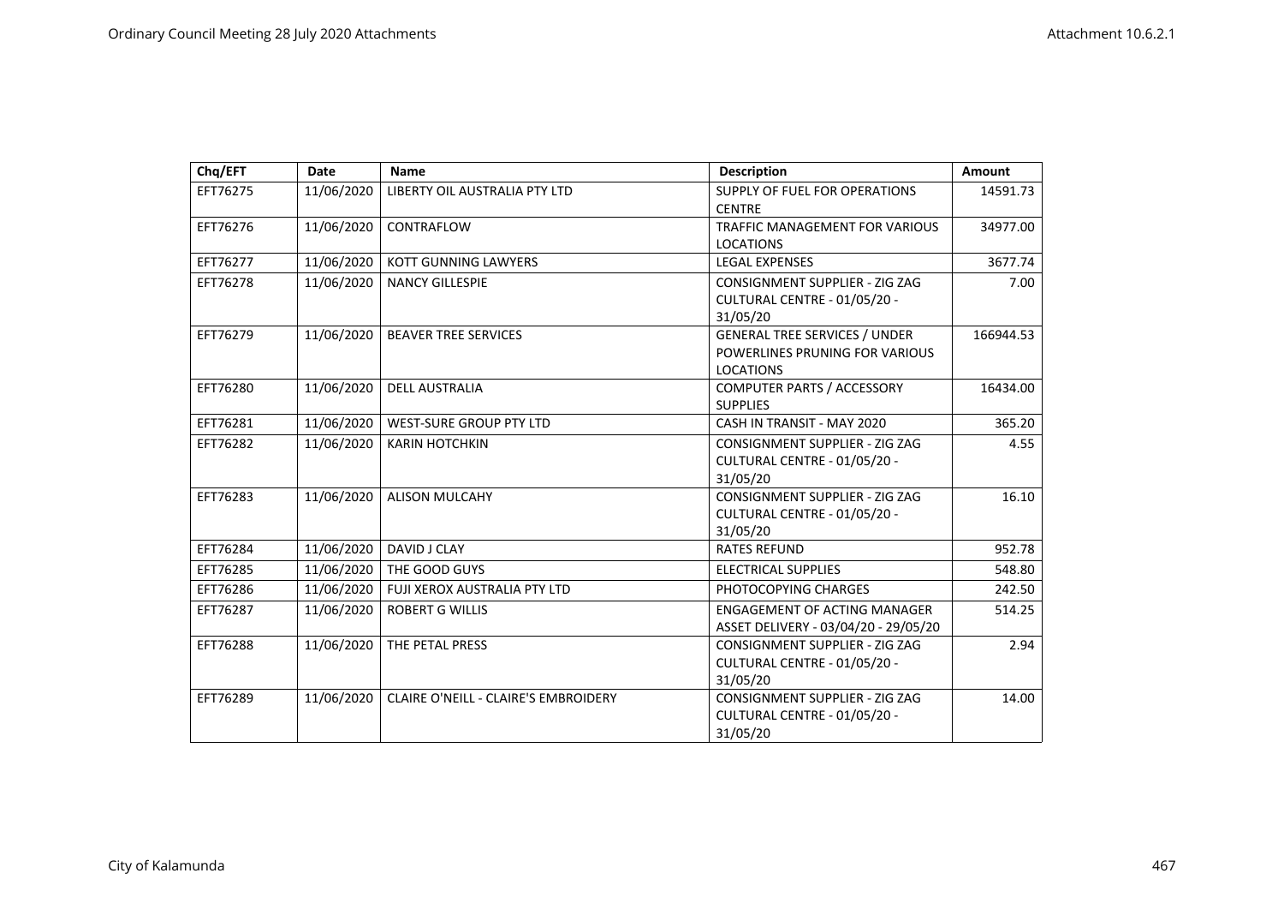| Chq/EFT  | Date       | <b>Name</b>                          | <b>Description</b>                                                                         | Amount    |
|----------|------------|--------------------------------------|--------------------------------------------------------------------------------------------|-----------|
| EFT76275 | 11/06/2020 | LIBERTY OIL AUSTRALIA PTY LTD        | SUPPLY OF FUEL FOR OPERATIONS<br><b>CENTRE</b>                                             | 14591.73  |
| EFT76276 | 11/06/2020 | CONTRAFLOW                           | <b>TRAFFIC MANAGEMENT FOR VARIOUS</b><br><b>LOCATIONS</b>                                  | 34977.00  |
| EFT76277 | 11/06/2020 | <b>KOTT GUNNING LAWYERS</b>          | <b>LEGAL EXPENSES</b>                                                                      | 3677.74   |
| EFT76278 | 11/06/2020 | <b>NANCY GILLESPIE</b>               | CONSIGNMENT SUPPLIER - ZIG ZAG<br>CULTURAL CENTRE - 01/05/20 -<br>31/05/20                 | 7.00      |
| EFT76279 | 11/06/2020 | <b>BEAVER TREE SERVICES</b>          | <b>GENERAL TREE SERVICES / UNDER</b><br>POWERLINES PRUNING FOR VARIOUS<br><b>LOCATIONS</b> | 166944.53 |
| EFT76280 | 11/06/2020 | <b>DELL AUSTRALIA</b>                | COMPUTER PARTS / ACCESSORY<br><b>SUPPLIES</b>                                              | 16434.00  |
| EFT76281 | 11/06/2020 | <b>WEST-SURE GROUP PTY LTD</b>       | CASH IN TRANSIT - MAY 2020                                                                 | 365.20    |
| EFT76282 | 11/06/2020 | <b>KARIN HOTCHKIN</b>                | <b>CONSIGNMENT SUPPLIER - ZIG ZAG</b><br>CULTURAL CENTRE - 01/05/20 -<br>31/05/20          | 4.55      |
| EFT76283 | 11/06/2020 | <b>ALISON MULCAHY</b>                | CONSIGNMENT SUPPLIER - ZIG ZAG<br>CULTURAL CENTRE - 01/05/20 -<br>31/05/20                 | 16.10     |
| EFT76284 | 11/06/2020 | DAVID J CLAY                         | <b>RATES REFUND</b>                                                                        | 952.78    |
| EFT76285 | 11/06/2020 | THE GOOD GUYS                        | <b>ELECTRICAL SUPPLIES</b>                                                                 | 548.80    |
| EFT76286 | 11/06/2020 | FUJI XEROX AUSTRALIA PTY LTD         | PHOTOCOPYING CHARGES                                                                       | 242.50    |
| EFT76287 | 11/06/2020 | <b>ROBERT G WILLIS</b>               | <b>ENGAGEMENT OF ACTING MANAGER</b><br>ASSET DELIVERY - 03/04/20 - 29/05/20                | 514.25    |
| EFT76288 | 11/06/2020 | THE PETAL PRESS                      | CONSIGNMENT SUPPLIER - ZIG ZAG<br>CULTURAL CENTRE - 01/05/20 -<br>31/05/20                 | 2.94      |
| EFT76289 | 11/06/2020 | CLAIRE O'NEILL - CLAIRE'S EMBROIDERY | CONSIGNMENT SUPPLIER - ZIG ZAG<br>CULTURAL CENTRE - 01/05/20 -<br>31/05/20                 | 14.00     |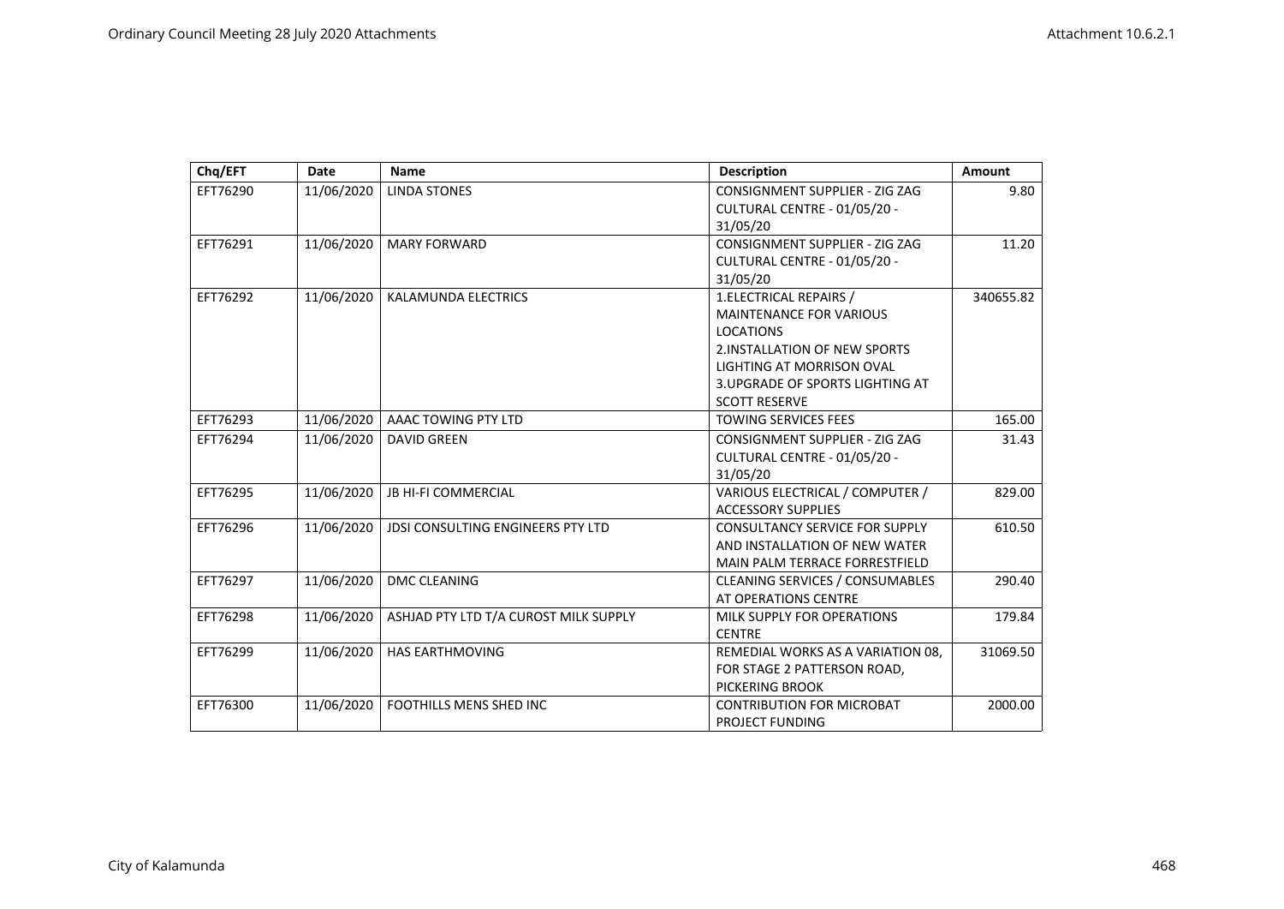| Chq/EFT  | <b>Date</b> | <b>Name</b>                              | <b>Description</b>                     | <b>Amount</b> |
|----------|-------------|------------------------------------------|----------------------------------------|---------------|
| EFT76290 | 11/06/2020  | <b>LINDA STONES</b>                      | CONSIGNMENT SUPPLIER - ZIG ZAG         | 9.80          |
|          |             |                                          | CULTURAL CENTRE - 01/05/20 -           |               |
|          |             |                                          | 31/05/20                               |               |
| EFT76291 | 11/06/2020  | <b>MARY FORWARD</b>                      | CONSIGNMENT SUPPLIER - ZIG ZAG         | 11.20         |
|          |             |                                          | CULTURAL CENTRE - 01/05/20 -           |               |
|          |             |                                          | 31/05/20                               |               |
| EFT76292 | 11/06/2020  | <b>KALAMUNDA ELECTRICS</b>               | 1.ELECTRICAL REPAIRS /                 | 340655.82     |
|          |             |                                          | <b>MAINTENANCE FOR VARIOUS</b>         |               |
|          |             |                                          | <b>LOCATIONS</b>                       |               |
|          |             |                                          | 2. INSTALLATION OF NEW SPORTS          |               |
|          |             |                                          | LIGHTING AT MORRISON OVAL              |               |
|          |             |                                          | 3. UPGRADE OF SPORTS LIGHTING AT       |               |
|          |             |                                          | <b>SCOTT RESERVE</b>                   |               |
| EFT76293 | 11/06/2020  | AAAC TOWING PTY LTD                      | <b>TOWING SERVICES FEES</b>            | 165.00        |
| EFT76294 | 11/06/2020  | <b>DAVID GREEN</b>                       | <b>CONSIGNMENT SUPPLIER - ZIG ZAG</b>  | 31.43         |
|          |             |                                          | CULTURAL CENTRE - 01/05/20 -           |               |
|          |             |                                          | 31/05/20                               |               |
| EFT76295 | 11/06/2020  | <b>JB HI-FI COMMERCIAL</b>               | VARIOUS ELECTRICAL / COMPUTER /        | 829.00        |
|          |             |                                          | <b>ACCESSORY SUPPLIES</b>              |               |
| EFT76296 | 11/06/2020  | <b>JDSI CONSULTING ENGINEERS PTY LTD</b> | <b>CONSULTANCY SERVICE FOR SUPPLY</b>  | 610.50        |
|          |             |                                          | AND INSTALLATION OF NEW WATER          |               |
|          |             |                                          | MAIN PALM TERRACE FORRESTFIELD         |               |
| EFT76297 | 11/06/2020  | <b>DMC CLEANING</b>                      | <b>CLEANING SERVICES / CONSUMABLES</b> | 290.40        |
|          |             |                                          | AT OPERATIONS CENTRE                   |               |
| EFT76298 | 11/06/2020  | ASHJAD PTY LTD T/A CUROST MILK SUPPLY    | MILK SUPPLY FOR OPERATIONS             | 179.84        |
|          |             |                                          | <b>CENTRE</b>                          |               |
| EFT76299 | 11/06/2020  | <b>HAS EARTHMOVING</b>                   | REMEDIAL WORKS AS A VARIATION 08,      | 31069.50      |
|          |             |                                          | FOR STAGE 2 PATTERSON ROAD,            |               |
|          |             |                                          | PICKERING BROOK                        |               |
| EFT76300 | 11/06/2020  | <b>FOOTHILLS MENS SHED INC</b>           | <b>CONTRIBUTION FOR MICROBAT</b>       | 2000.00       |
|          |             |                                          | <b>PROJECT FUNDING</b>                 |               |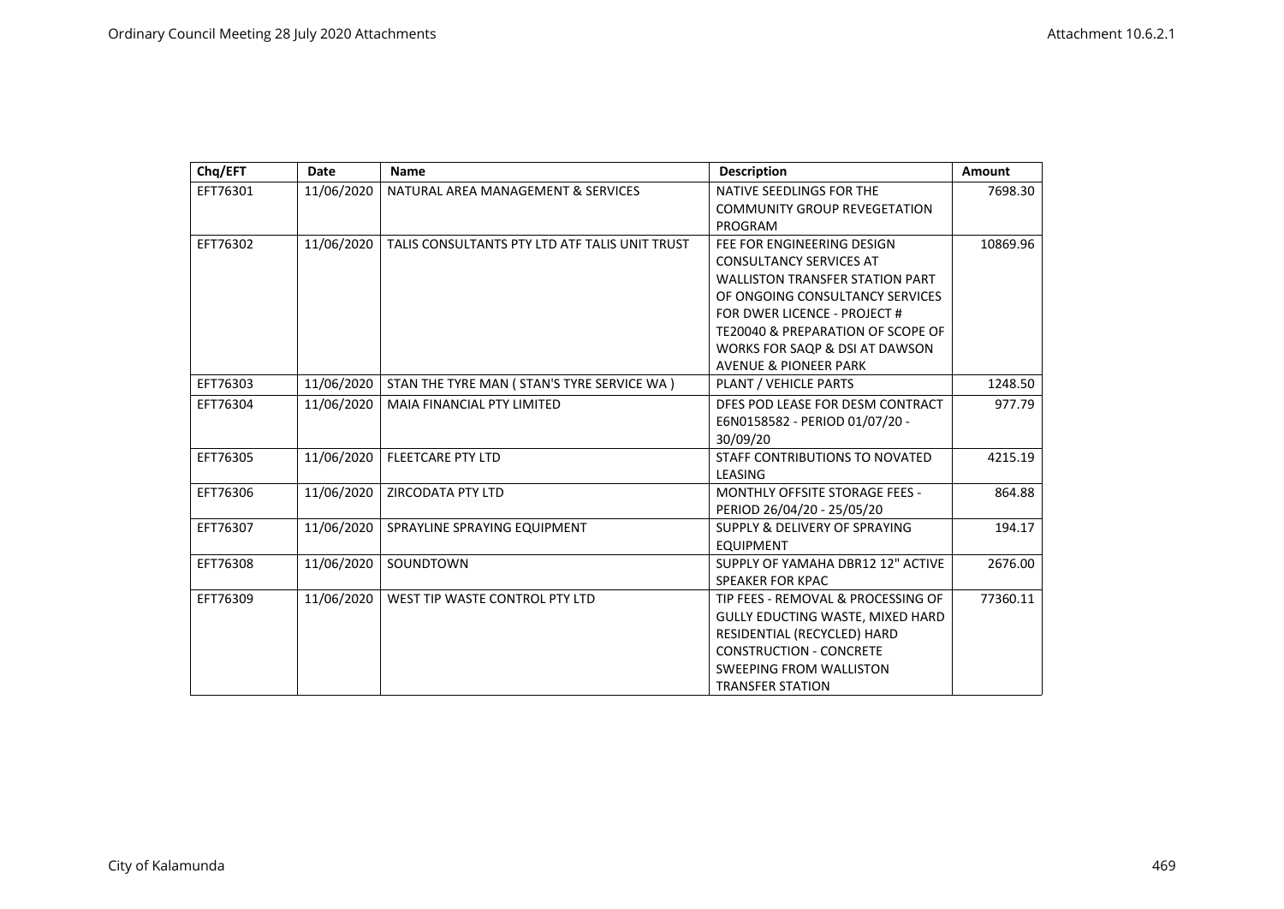| Chq/EFT  | <b>Date</b> | <b>Name</b>                                    | <b>Description</b>                     | <b>Amount</b> |
|----------|-------------|------------------------------------------------|----------------------------------------|---------------|
| EFT76301 | 11/06/2020  | NATURAL AREA MANAGEMENT & SERVICES             | NATIVE SEEDLINGS FOR THE               | 7698.30       |
|          |             |                                                | <b>COMMUNITY GROUP REVEGETATION</b>    |               |
|          |             |                                                | PROGRAM                                |               |
| EFT76302 | 11/06/2020  | TALIS CONSULTANTS PTY LTD ATF TALIS UNIT TRUST | FEE FOR ENGINEERING DESIGN             | 10869.96      |
|          |             |                                                | <b>CONSULTANCY SERVICES AT</b>         |               |
|          |             |                                                | <b>WALLISTON TRANSFER STATION PART</b> |               |
|          |             |                                                | OF ONGOING CONSULTANCY SERVICES        |               |
|          |             |                                                | FOR DWER LICENCE - PROJECT #           |               |
|          |             |                                                | TE20040 & PREPARATION OF SCOPE OF      |               |
|          |             |                                                | WORKS FOR SAOP & DSI AT DAWSON         |               |
|          |             |                                                | <b>AVENUE &amp; PIONEER PARK</b>       |               |
| EFT76303 | 11/06/2020  | STAN THE TYRE MAN ( STAN'S TYRE SERVICE WA )   | PLANT / VEHICLE PARTS                  | 1248.50       |
| EFT76304 | 11/06/2020  | MAIA FINANCIAL PTY LIMITED                     | DFES POD LEASE FOR DESM CONTRACT       | 977.79        |
|          |             |                                                | E6N0158582 - PERIOD 01/07/20 -         |               |
|          |             |                                                | 30/09/20                               |               |
| EFT76305 | 11/06/2020  | <b>FLEETCARE PTY LTD</b>                       | STAFF CONTRIBUTIONS TO NOVATED         | 4215.19       |
|          |             |                                                | LEASING                                |               |
| EFT76306 | 11/06/2020  | ZIRCODATA PTY LTD                              | <b>MONTHLY OFFSITE STORAGE FEES -</b>  | 864.88        |
|          |             |                                                | PERIOD 26/04/20 - 25/05/20             |               |
| EFT76307 | 11/06/2020  | SPRAYLINE SPRAYING EQUIPMENT                   | SUPPLY & DELIVERY OF SPRAYING          | 194.17        |
|          |             |                                                | <b>EQUIPMENT</b>                       |               |
| EFT76308 | 11/06/2020  | SOUNDTOWN                                      | SUPPLY OF YAMAHA DBR12 12" ACTIVE      | 2676.00       |
|          |             |                                                | <b>SPEAKER FOR KPAC</b>                |               |
| EFT76309 | 11/06/2020  | WEST TIP WASTE CONTROL PTY LTD                 | TIP FEES - REMOVAL & PROCESSING OF     | 77360.11      |
|          |             |                                                | GULLY EDUCTING WASTE, MIXED HARD       |               |
|          |             |                                                | RESIDENTIAL (RECYCLED) HARD            |               |
|          |             |                                                | <b>CONSTRUCTION - CONCRETE</b>         |               |
|          |             |                                                | <b>SWEEPING FROM WALLISTON</b>         |               |
|          |             |                                                | <b>TRANSFER STATION</b>                |               |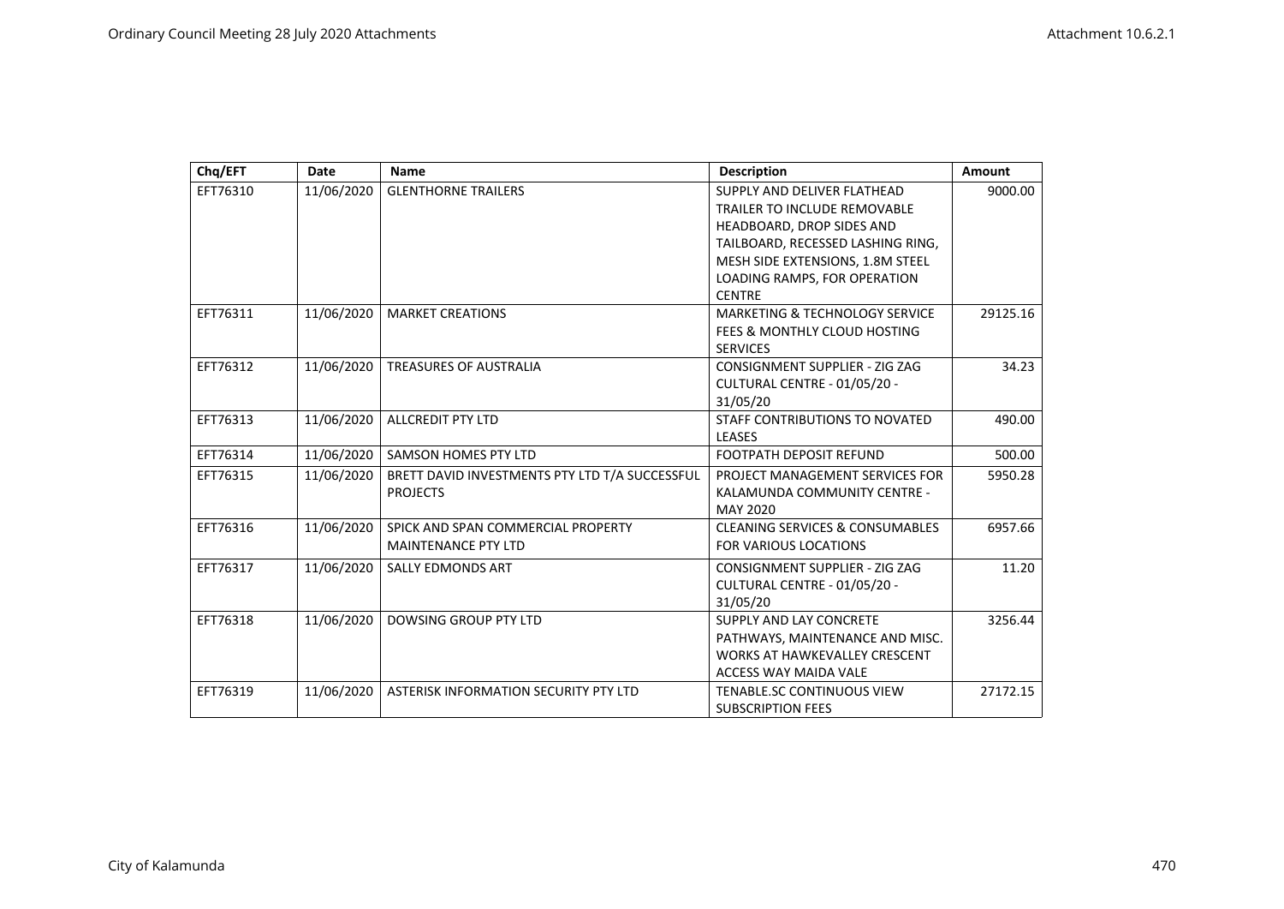| Chq/EFT  | Date       | <b>Name</b>                                    | <b>Description</b>                         | Amount   |
|----------|------------|------------------------------------------------|--------------------------------------------|----------|
| EFT76310 | 11/06/2020 | <b>GLENTHORNE TRAILERS</b>                     | SUPPLY AND DELIVER FLATHEAD                | 9000.00  |
|          |            |                                                | <b>TRAILER TO INCLUDE REMOVABLE</b>        |          |
|          |            |                                                | HEADBOARD, DROP SIDES AND                  |          |
|          |            |                                                | TAILBOARD, RECESSED LASHING RING,          |          |
|          |            |                                                | MESH SIDE EXTENSIONS, 1.8M STEEL           |          |
|          |            |                                                | LOADING RAMPS, FOR OPERATION               |          |
|          |            |                                                | <b>CENTRE</b>                              |          |
| EFT76311 | 11/06/2020 | <b>MARKET CREATIONS</b>                        | MARKETING & TECHNOLOGY SERVICE             | 29125.16 |
|          |            |                                                | FEES & MONTHLY CLOUD HOSTING               |          |
|          |            |                                                | <b>SERVICES</b>                            |          |
| EFT76312 | 11/06/2020 | <b>TREASURES OF AUSTRALIA</b>                  | CONSIGNMENT SUPPLIER - ZIG ZAG             | 34.23    |
|          |            |                                                | CULTURAL CENTRE - 01/05/20 -               |          |
|          |            |                                                | 31/05/20                                   |          |
| EFT76313 | 11/06/2020 | <b>ALLCREDIT PTY LTD</b>                       | STAFF CONTRIBUTIONS TO NOVATED             | 490.00   |
|          |            |                                                | <b>LEASES</b>                              |          |
| EFT76314 | 11/06/2020 | SAMSON HOMES PTY LTD                           | <b>FOOTPATH DEPOSIT REFUND</b>             | 500.00   |
| EFT76315 | 11/06/2020 | BRETT DAVID INVESTMENTS PTY LTD T/A SUCCESSFUL | PROJECT MANAGEMENT SERVICES FOR            | 5950.28  |
|          |            | <b>PROJECTS</b>                                | KALAMUNDA COMMUNITY CENTRE -               |          |
|          |            |                                                | <b>MAY 2020</b>                            |          |
| EFT76316 | 11/06/2020 | SPICK AND SPAN COMMERCIAL PROPERTY             | <b>CLEANING SERVICES &amp; CONSUMABLES</b> | 6957.66  |
|          |            | <b>MAINTENANCE PTY LTD</b>                     | <b>FOR VARIOUS LOCATIONS</b>               |          |
| EFT76317 | 11/06/2020 | <b>SALLY EDMONDS ART</b>                       | CONSIGNMENT SUPPLIER - ZIG ZAG             | 11.20    |
|          |            |                                                | CULTURAL CENTRE - 01/05/20 -               |          |
|          |            |                                                | 31/05/20                                   |          |
| EFT76318 | 11/06/2020 | <b>DOWSING GROUP PTY LTD</b>                   | SUPPLY AND LAY CONCRETE                    | 3256.44  |
|          |            |                                                | PATHWAYS, MAINTENANCE AND MISC.            |          |
|          |            |                                                | <b>WORKS AT HAWKEVALLEY CRESCENT</b>       |          |
|          |            |                                                | <b>ACCESS WAY MAIDA VALE</b>               |          |
| EFT76319 | 11/06/2020 | ASTERISK INFORMATION SECURITY PTY LTD          | TENABLE.SC CONTINUOUS VIEW                 | 27172.15 |
|          |            |                                                | <b>SUBSCRIPTION FEES</b>                   |          |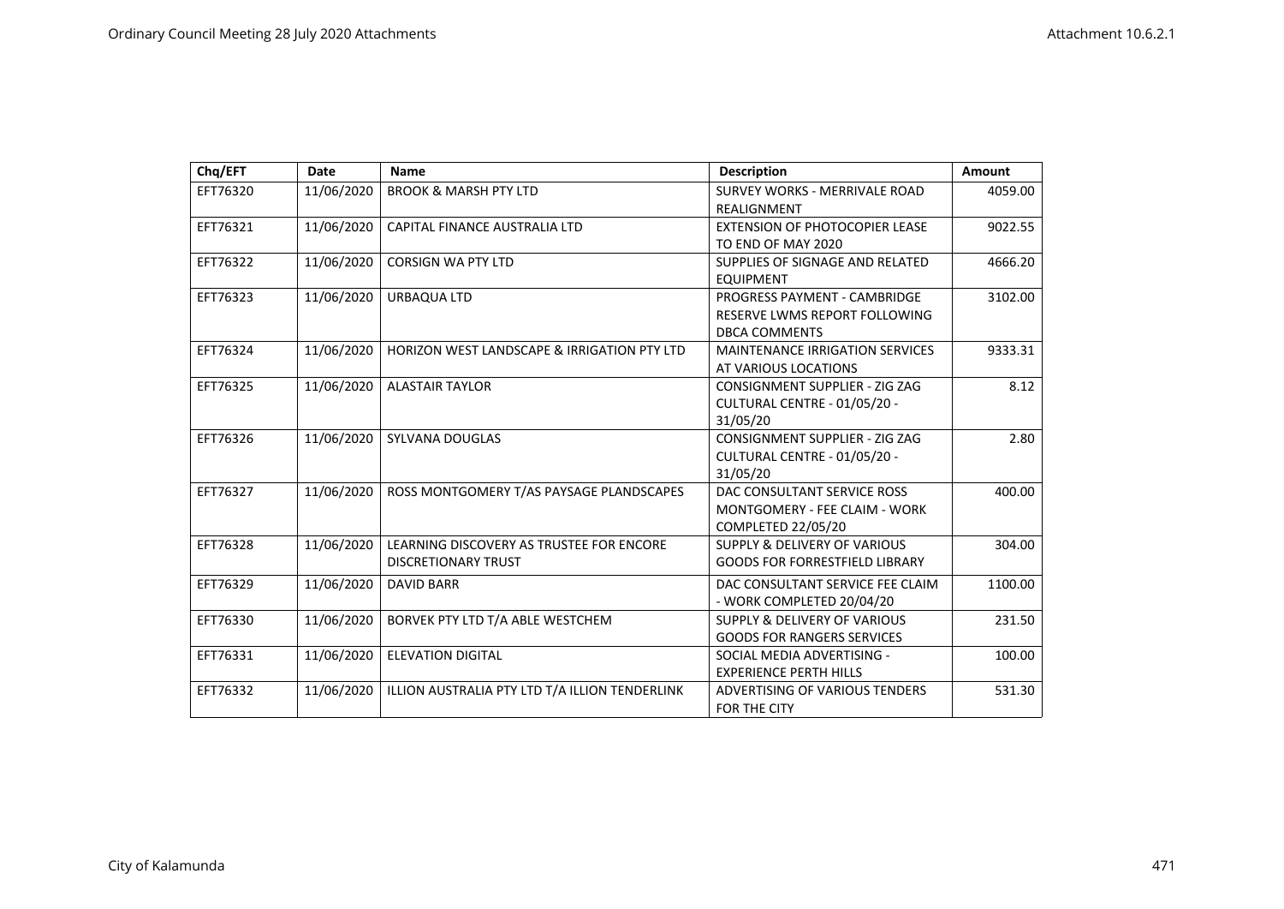| Chq/EFT  | Date       | Name                                           | <b>Description</b>                      | <b>Amount</b> |
|----------|------------|------------------------------------------------|-----------------------------------------|---------------|
| EFT76320 | 11/06/2020 | <b>BROOK &amp; MARSH PTY LTD</b>               | SURVEY WORKS - MERRIVALE ROAD           | 4059.00       |
|          |            |                                                | REALIGNMENT                             |               |
| EFT76321 | 11/06/2020 | CAPITAL FINANCE AUSTRALIA LTD                  | EXTENSION OF PHOTOCOPIER LEASE          | 9022.55       |
|          |            |                                                | TO END OF MAY 2020                      |               |
| EFT76322 | 11/06/2020 | <b>CORSIGN WA PTY LTD</b>                      | SUPPLIES OF SIGNAGE AND RELATED         | 4666.20       |
|          |            |                                                | <b>EQUIPMENT</b>                        |               |
| EFT76323 | 11/06/2020 | URBAQUA LTD                                    | PROGRESS PAYMENT - CAMBRIDGE            | 3102.00       |
|          |            |                                                | RESERVE LWMS REPORT FOLLOWING           |               |
|          |            |                                                | <b>DBCA COMMENTS</b>                    |               |
| EFT76324 | 11/06/2020 | HORIZON WEST LANDSCAPE & IRRIGATION PTY LTD    | <b>MAINTENANCE IRRIGATION SERVICES</b>  | 9333.31       |
|          |            |                                                | AT VARIOUS LOCATIONS                    |               |
| EFT76325 | 11/06/2020 | <b>ALASTAIR TAYLOR</b>                         | <b>CONSIGNMENT SUPPLIER - ZIG ZAG</b>   | 8.12          |
|          |            |                                                | CULTURAL CENTRE - 01/05/20 -            |               |
|          |            |                                                | 31/05/20                                |               |
| EFT76326 | 11/06/2020 | <b>SYLVANA DOUGLAS</b>                         | CONSIGNMENT SUPPLIER - ZIG ZAG          | 2.80          |
|          |            |                                                | CULTURAL CENTRE - 01/05/20 -            |               |
|          |            |                                                | 31/05/20                                |               |
| EFT76327 | 11/06/2020 | ROSS MONTGOMERY T/AS PAYSAGE PLANDSCAPES       | DAC CONSULTANT SERVICE ROSS             | 400.00        |
|          |            |                                                | MONTGOMERY - FEE CLAIM - WORK           |               |
|          |            |                                                | COMPLETED 22/05/20                      |               |
| EFT76328 | 11/06/2020 | LEARNING DISCOVERY AS TRUSTEE FOR ENCORE       | <b>SUPPLY &amp; DELIVERY OF VARIOUS</b> | 304.00        |
|          |            | <b>DISCRETIONARY TRUST</b>                     | <b>GOODS FOR FORRESTFIELD LIBRARY</b>   |               |
| EFT76329 | 11/06/2020 | <b>DAVID BARR</b>                              | DAC CONSULTANT SERVICE FEE CLAIM        | 1100.00       |
|          |            |                                                | - WORK COMPLETED 20/04/20               |               |
| EFT76330 | 11/06/2020 | BORVEK PTY LTD T/A ABLE WESTCHEM               | <b>SUPPLY &amp; DELIVERY OF VARIOUS</b> | 231.50        |
|          |            |                                                | <b>GOODS FOR RANGERS SERVICES</b>       |               |
| EFT76331 | 11/06/2020 | <b>ELEVATION DIGITAL</b>                       | SOCIAL MEDIA ADVERTISING -              | 100.00        |
|          |            |                                                | <b>EXPERIENCE PERTH HILLS</b>           |               |
| EFT76332 | 11/06/2020 | ILLION AUSTRALIA PTY LTD T/A ILLION TENDERLINK | ADVERTISING OF VARIOUS TENDERS          | 531.30        |
|          |            |                                                | <b>FOR THE CITY</b>                     |               |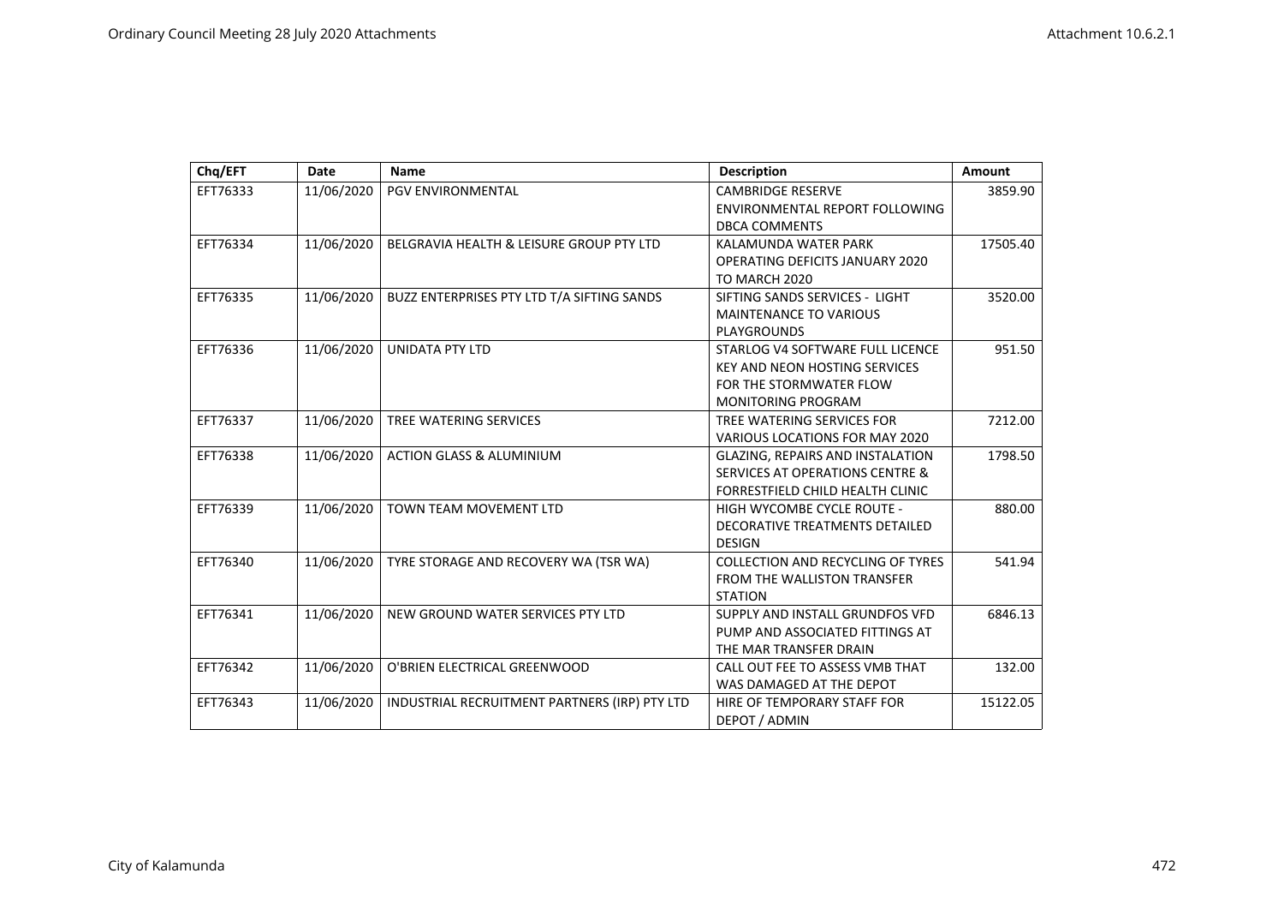| Chq/EFT  | Date       | <b>Name</b>                                   | <b>Description</b>                         | Amount   |
|----------|------------|-----------------------------------------------|--------------------------------------------|----------|
| EFT76333 | 11/06/2020 | <b>PGV ENVIRONMENTAL</b>                      | <b>CAMBRIDGE RESERVE</b>                   | 3859.90  |
|          |            |                                               | ENVIRONMENTAL REPORT FOLLOWING             |          |
|          |            |                                               | <b>DBCA COMMENTS</b>                       |          |
| EFT76334 | 11/06/2020 | BELGRAVIA HEALTH & LEISURE GROUP PTY LTD      | KALAMUNDA WATER PARK                       | 17505.40 |
|          |            |                                               | <b>OPERATING DEFICITS JANUARY 2020</b>     |          |
|          |            |                                               | TO MARCH 2020                              |          |
| EFT76335 | 11/06/2020 | BUZZ ENTERPRISES PTY LTD T/A SIFTING SANDS    | SIFTING SANDS SERVICES - LIGHT             | 3520.00  |
|          |            |                                               | <b>MAINTENANCE TO VARIOUS</b>              |          |
|          |            |                                               | <b>PLAYGROUNDS</b>                         |          |
| EFT76336 | 11/06/2020 | <b>UNIDATA PTY LTD</b>                        | STARLOG V4 SOFTWARE FULL LICENCE           | 951.50   |
|          |            |                                               | <b>KEY AND NEON HOSTING SERVICES</b>       |          |
|          |            |                                               | FOR THE STORMWATER FLOW                    |          |
|          |            |                                               | <b>MONITORING PROGRAM</b>                  |          |
| EFT76337 | 11/06/2020 | TREE WATERING SERVICES                        | TREE WATERING SERVICES FOR                 | 7212.00  |
|          |            |                                               | VARIOUS LOCATIONS FOR MAY 2020             |          |
| EFT76338 | 11/06/2020 | <b>ACTION GLASS &amp; ALUMINIUM</b>           | <b>GLAZING, REPAIRS AND INSTALATION</b>    | 1798.50  |
|          |            |                                               | <b>SERVICES AT OPERATIONS CENTRE &amp;</b> |          |
|          |            |                                               | FORRESTFIELD CHILD HEALTH CLINIC           |          |
| EFT76339 | 11/06/2020 | <b>TOWN TEAM MOVEMENT LTD</b>                 | HIGH WYCOMBE CYCLE ROUTE -                 | 880.00   |
|          |            |                                               | DECORATIVE TREATMENTS DETAILED             |          |
|          |            |                                               | <b>DESIGN</b>                              |          |
| EFT76340 | 11/06/2020 | TYRE STORAGE AND RECOVERY WA (TSR WA)         | <b>COLLECTION AND RECYCLING OF TYRES</b>   | 541.94   |
|          |            |                                               | FROM THE WALLISTON TRANSFER                |          |
|          |            |                                               | <b>STATION</b>                             |          |
| EFT76341 | 11/06/2020 | NEW GROUND WATER SERVICES PTY LTD             | SUPPLY AND INSTALL GRUNDFOS VFD            | 6846.13  |
|          |            |                                               | PUMP AND ASSOCIATED FITTINGS AT            |          |
|          |            |                                               | THE MAR TRANSFER DRAIN                     |          |
| EFT76342 | 11/06/2020 | O'BRIEN ELECTRICAL GREENWOOD                  | CALL OUT FEE TO ASSESS VMB THAT            | 132.00   |
|          |            |                                               | WAS DAMAGED AT THE DEPOT                   |          |
| EFT76343 | 11/06/2020 | INDUSTRIAL RECRUITMENT PARTNERS (IRP) PTY LTD | HIRE OF TEMPORARY STAFF FOR                | 15122.05 |
|          |            |                                               | DEPOT / ADMIN                              |          |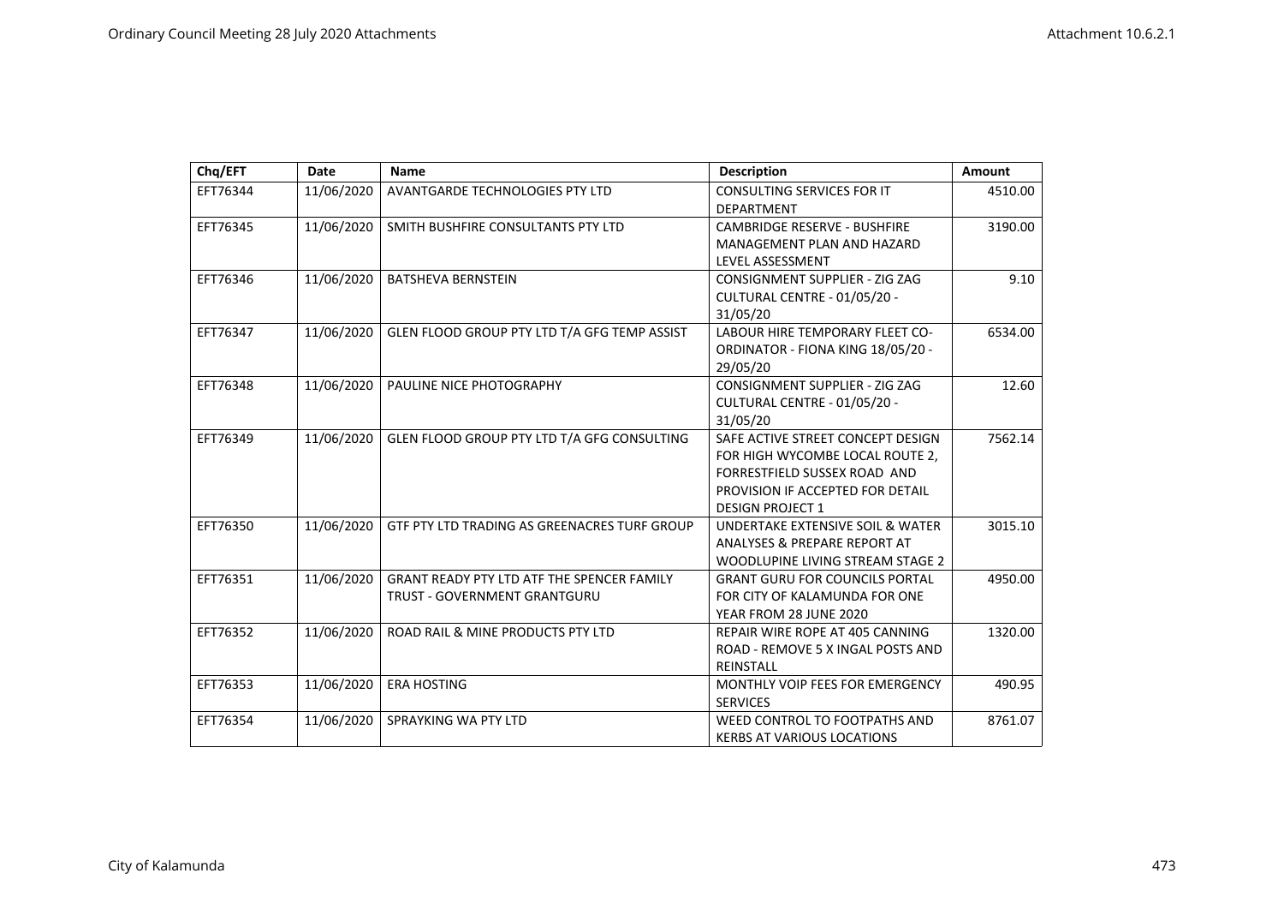| Chq/EFT  | <b>Date</b> | Name                                              | <b>Description</b>                    | <b>Amount</b> |
|----------|-------------|---------------------------------------------------|---------------------------------------|---------------|
| EFT76344 | 11/06/2020  | <b>AVANTGARDE TECHNOLOGIES PTY LTD</b>            | CONSULTING SERVICES FOR IT            | 4510.00       |
|          |             |                                                   | <b>DEPARTMENT</b>                     |               |
| EFT76345 | 11/06/2020  | SMITH BUSHFIRE CONSULTANTS PTY LTD                | <b>CAMBRIDGE RESERVE - BUSHFIRE</b>   | 3190.00       |
|          |             |                                                   | MANAGEMENT PLAN AND HAZARD            |               |
|          |             |                                                   | LEVEL ASSESSMENT                      |               |
| EFT76346 | 11/06/2020  | <b>BATSHEVA BERNSTEIN</b>                         | CONSIGNMENT SUPPLIER - ZIG ZAG        | 9.10          |
|          |             |                                                   | CULTURAL CENTRE - 01/05/20 -          |               |
|          |             |                                                   | 31/05/20                              |               |
| EFT76347 | 11/06/2020  | GLEN FLOOD GROUP PTY LTD T/A GFG TEMP ASSIST      | LABOUR HIRE TEMPORARY FLEET CO-       | 6534.00       |
|          |             |                                                   | ORDINATOR - FIONA KING 18/05/20 -     |               |
|          |             |                                                   | 29/05/20                              |               |
| EFT76348 | 11/06/2020  | PAULINE NICE PHOTOGRAPHY                          | CONSIGNMENT SUPPLIER - ZIG ZAG        | 12.60         |
|          |             |                                                   | CULTURAL CENTRE - 01/05/20 -          |               |
|          |             |                                                   | 31/05/20                              |               |
| EFT76349 | 11/06/2020  | GLEN FLOOD GROUP PTY LTD T/A GFG CONSULTING       | SAFE ACTIVE STREET CONCEPT DESIGN     | 7562.14       |
|          |             |                                                   | FOR HIGH WYCOMBE LOCAL ROUTE 2,       |               |
|          |             |                                                   | FORRESTFIELD SUSSEX ROAD AND          |               |
|          |             |                                                   | PROVISION IF ACCEPTED FOR DETAIL      |               |
|          |             |                                                   | <b>DESIGN PROJECT 1</b>               |               |
| EFT76350 | 11/06/2020  | GTF PTY LTD TRADING AS GREENACRES TURF GROUP      | UNDERTAKE EXTENSIVE SOIL & WATER      | 3015.10       |
|          |             |                                                   | ANALYSES & PREPARE REPORT AT          |               |
|          |             |                                                   | WOODLUPINE LIVING STREAM STAGE 2      |               |
| EFT76351 | 11/06/2020  | <b>GRANT READY PTY LTD ATF THE SPENCER FAMILY</b> | <b>GRANT GURU FOR COUNCILS PORTAL</b> | 4950.00       |
|          |             | TRUST - GOVERNMENT GRANTGURU                      | FOR CITY OF KALAMUNDA FOR ONE         |               |
|          |             |                                                   | YEAR FROM 28 JUNE 2020                |               |
| EFT76352 | 11/06/2020  | ROAD RAIL & MINE PRODUCTS PTY LTD                 | REPAIR WIRE ROPE AT 405 CANNING       | 1320.00       |
|          |             |                                                   | ROAD - REMOVE 5 X INGAL POSTS AND     |               |
|          |             |                                                   | REINSTALL                             |               |
| EFT76353 | 11/06/2020  | <b>ERA HOSTING</b>                                | MONTHLY VOIP FEES FOR EMERGENCY       | 490.95        |
|          |             |                                                   | <b>SERVICES</b>                       |               |
| EFT76354 | 11/06/2020  | SPRAYKING WA PTY LTD                              | WEED CONTROL TO FOOTPATHS AND         | 8761.07       |
|          |             |                                                   | <b>KERBS AT VARIOUS LOCATIONS</b>     |               |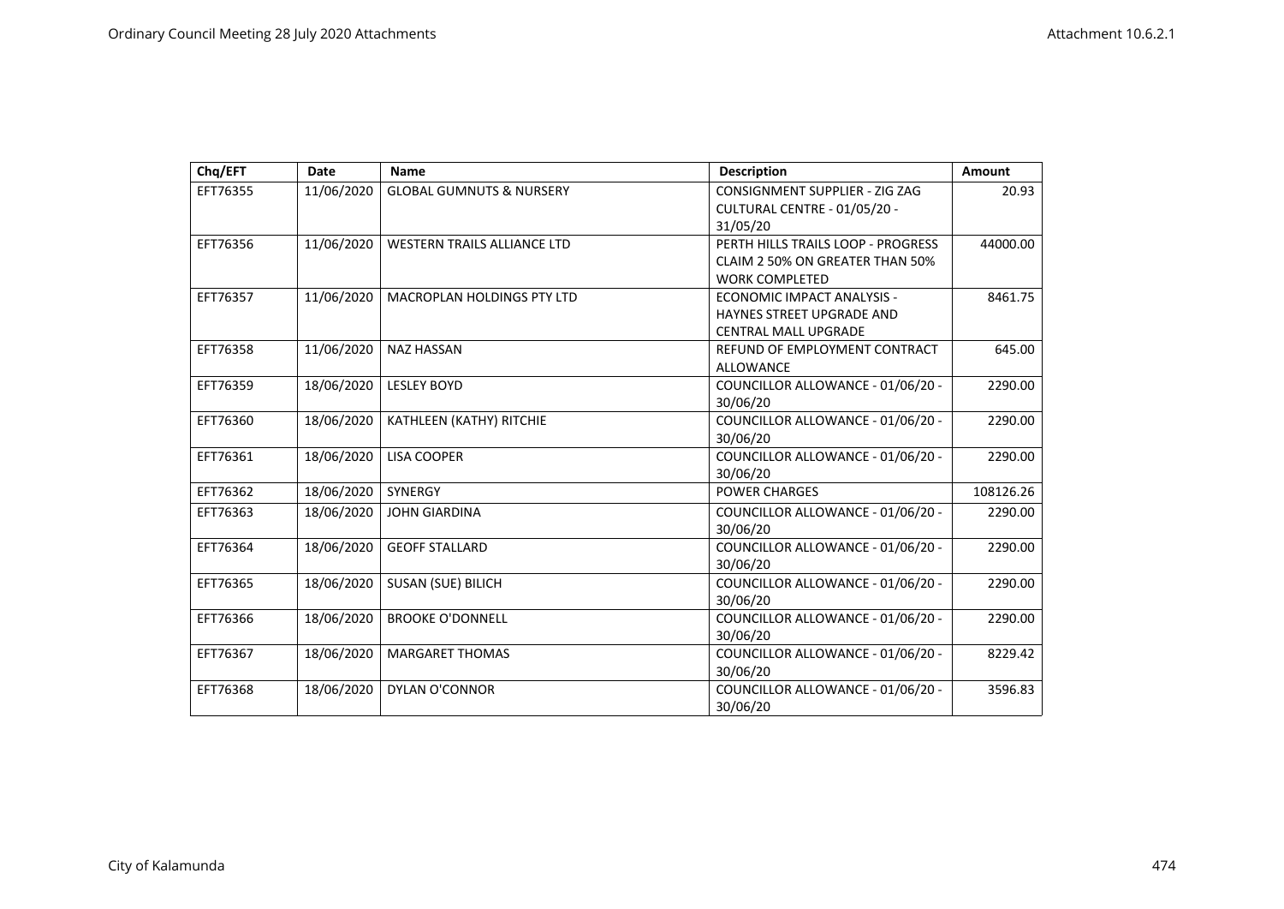| Chq/EFT  | Date       | Name                                | <b>Description</b>                 | Amount    |
|----------|------------|-------------------------------------|------------------------------------|-----------|
| EFT76355 | 11/06/2020 | <b>GLOBAL GUMNUTS &amp; NURSERY</b> | CONSIGNMENT SUPPLIER - ZIG ZAG     | 20.93     |
|          |            |                                     | CULTURAL CENTRE - 01/05/20 -       |           |
|          |            |                                     | 31/05/20                           |           |
| EFT76356 | 11/06/2020 | <b>WESTERN TRAILS ALLIANCE LTD</b>  | PERTH HILLS TRAILS LOOP - PROGRESS | 44000.00  |
|          |            |                                     | CLAIM 2 50% ON GREATER THAN 50%    |           |
|          |            |                                     | <b>WORK COMPLETED</b>              |           |
| EFT76357 | 11/06/2020 | <b>MACROPLAN HOLDINGS PTY LTD</b>   | ECONOMIC IMPACT ANALYSIS -         | 8461.75   |
|          |            |                                     | HAYNES STREET UPGRADE AND          |           |
|          |            |                                     | <b>CENTRAL MALL UPGRADE</b>        |           |
| EFT76358 | 11/06/2020 | <b>NAZ HASSAN</b>                   | REFUND OF EMPLOYMENT CONTRACT      | 645.00    |
|          |            |                                     | <b>ALLOWANCE</b>                   |           |
| EFT76359 | 18/06/2020 | <b>LESLEY BOYD</b>                  | COUNCILLOR ALLOWANCE - 01/06/20 -  | 2290.00   |
|          |            |                                     | 30/06/20                           |           |
| EFT76360 | 18/06/2020 | KATHLEEN (KATHY) RITCHIE            | COUNCILLOR ALLOWANCE - 01/06/20 -  | 2290.00   |
|          |            |                                     | 30/06/20                           |           |
| EFT76361 | 18/06/2020 | <b>LISA COOPER</b>                  | COUNCILLOR ALLOWANCE - 01/06/20 -  | 2290.00   |
|          |            |                                     | 30/06/20                           |           |
| EFT76362 | 18/06/2020 | <b>SYNERGY</b>                      | <b>POWER CHARGES</b>               | 108126.26 |
| EFT76363 | 18/06/2020 | <b>JOHN GIARDINA</b>                | COUNCILLOR ALLOWANCE - 01/06/20 -  | 2290.00   |
|          |            |                                     | 30/06/20                           |           |
| EFT76364 | 18/06/2020 | <b>GEOFF STALLARD</b>               | COUNCILLOR ALLOWANCE - 01/06/20 -  | 2290.00   |
|          |            |                                     | 30/06/20                           |           |
| EFT76365 | 18/06/2020 | <b>SUSAN (SUE) BILICH</b>           | COUNCILLOR ALLOWANCE - 01/06/20 -  | 2290.00   |
|          |            |                                     | 30/06/20                           |           |
| EFT76366 | 18/06/2020 | <b>BROOKE O'DONNELL</b>             | COUNCILLOR ALLOWANCE - 01/06/20 -  | 2290.00   |
|          |            |                                     | 30/06/20                           |           |
| EFT76367 | 18/06/2020 | <b>MARGARET THOMAS</b>              | COUNCILLOR ALLOWANCE - 01/06/20 -  | 8229.42   |
|          |            |                                     | 30/06/20                           |           |
| EFT76368 | 18/06/2020 | <b>DYLAN O'CONNOR</b>               | COUNCILLOR ALLOWANCE - 01/06/20 -  | 3596.83   |
|          |            |                                     | 30/06/20                           |           |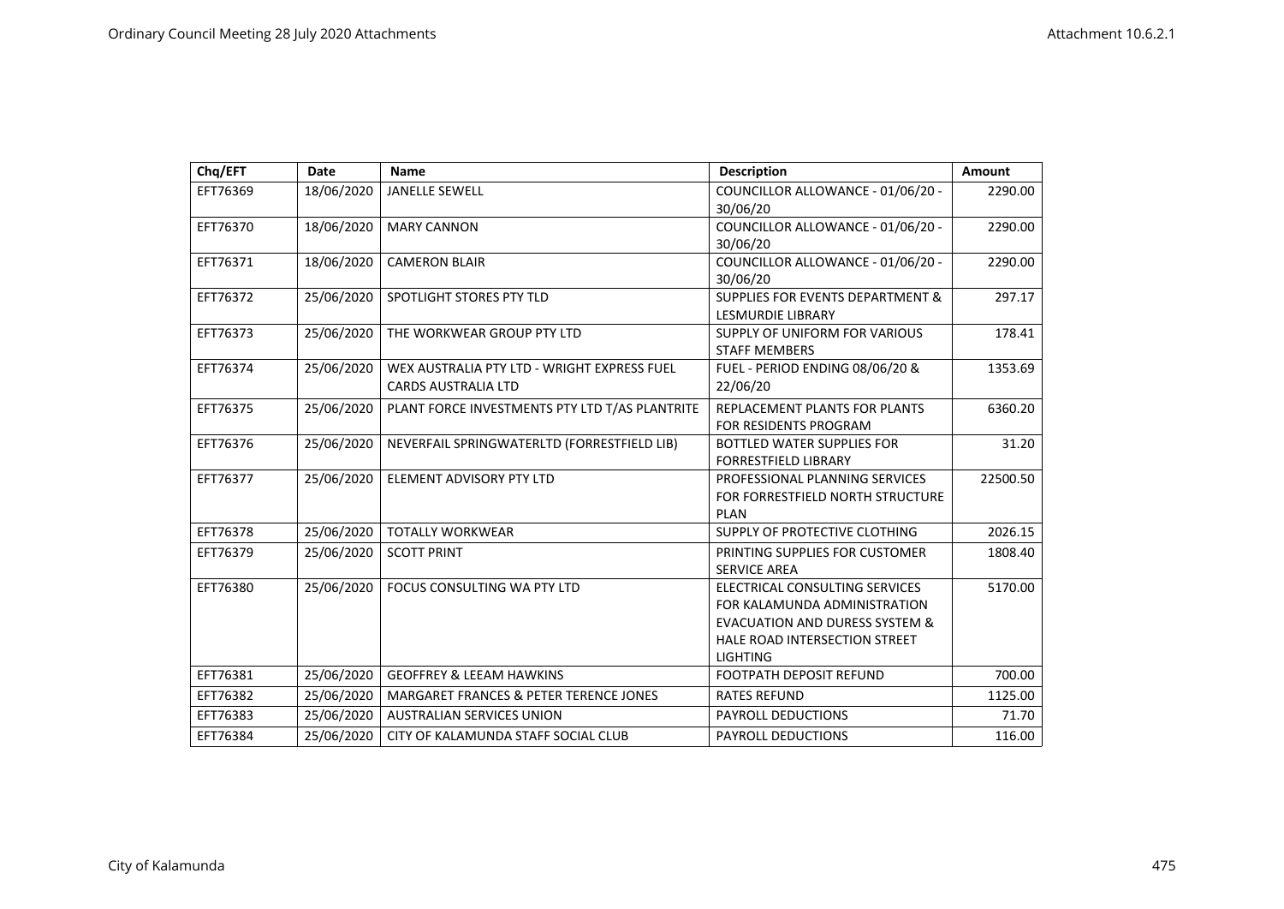| Chq/EFT  | <b>Date</b> | <b>Name</b>                                                               | <b>Description</b>                                                                                                                                              | Amount   |
|----------|-------------|---------------------------------------------------------------------------|-----------------------------------------------------------------------------------------------------------------------------------------------------------------|----------|
| EFT76369 | 18/06/2020  | <b>JANELLE SEWELL</b>                                                     | COUNCILLOR ALLOWANCE - 01/06/20 -<br>30/06/20                                                                                                                   | 2290.00  |
| EFT76370 | 18/06/2020  | <b>MARY CANNON</b>                                                        | COUNCILLOR ALLOWANCE - 01/06/20 -<br>30/06/20                                                                                                                   | 2290.00  |
| EFT76371 | 18/06/2020  | <b>CAMERON BLAIR</b>                                                      | COUNCILLOR ALLOWANCE - 01/06/20 -<br>30/06/20                                                                                                                   | 2290.00  |
| EFT76372 | 25/06/2020  | SPOTLIGHT STORES PTY TLD                                                  | <b>SUPPLIES FOR EVENTS DEPARTMENT &amp;</b><br><b>LESMURDIE LIBRARY</b>                                                                                         | 297.17   |
| EFT76373 | 25/06/2020  | THE WORKWEAR GROUP PTY LTD                                                | SUPPLY OF UNIFORM FOR VARIOUS<br><b>STAFF MEMBERS</b>                                                                                                           | 178.41   |
| EFT76374 | 25/06/2020  | WEX AUSTRALIA PTY LTD - WRIGHT EXPRESS FUEL<br><b>CARDS AUSTRALIA LTD</b> | FUEL - PERIOD ENDING 08/06/20 &<br>22/06/20                                                                                                                     | 1353.69  |
| EFT76375 | 25/06/2020  | PLANT FORCE INVESTMENTS PTY LTD T/AS PLANTRITE                            | REPLACEMENT PLANTS FOR PLANTS<br><b>FOR RESIDENTS PROGRAM</b>                                                                                                   | 6360.20  |
| EFT76376 | 25/06/2020  | NEVERFAIL SPRINGWATERLTD (FORRESTFIELD LIB)                               | <b>BOTTLED WATER SUPPLIES FOR</b><br><b>FORRESTFIELD LIBRARY</b>                                                                                                | 31.20    |
| EFT76377 | 25/06/2020  | <b>ELEMENT ADVISORY PTY LTD</b>                                           | PROFESSIONAL PLANNING SERVICES<br>FOR FORRESTFIELD NORTH STRUCTURE<br><b>PLAN</b>                                                                               | 22500.50 |
| EFT76378 | 25/06/2020  | <b>TOTALLY WORKWEAR</b>                                                   | SUPPLY OF PROTECTIVE CLOTHING                                                                                                                                   | 2026.15  |
| EFT76379 | 25/06/2020  | <b>SCOTT PRINT</b>                                                        | PRINTING SUPPLIES FOR CUSTOMER<br><b>SERVICE AREA</b>                                                                                                           | 1808.40  |
| EFT76380 | 25/06/2020  | FOCUS CONSULTING WA PTY LTD                                               | ELECTRICAL CONSULTING SERVICES<br>FOR KALAMUNDA ADMINISTRATION<br><b>EVACUATION AND DURESS SYSTEM &amp;</b><br>HALE ROAD INTERSECTION STREET<br><b>LIGHTING</b> | 5170.00  |
| EFT76381 | 25/06/2020  | <b>GEOFFREY &amp; LEEAM HAWKINS</b>                                       | <b>FOOTPATH DEPOSIT REFUND</b>                                                                                                                                  | 700.00   |
| EFT76382 | 25/06/2020  | <b>MARGARET FRANCES &amp; PETER TERENCE JONES</b>                         | <b>RATES REFUND</b>                                                                                                                                             | 1125.00  |
| EFT76383 | 25/06/2020  | <b>AUSTRALIAN SERVICES UNION</b>                                          | PAYROLL DEDUCTIONS                                                                                                                                              | 71.70    |
| EFT76384 | 25/06/2020  | CITY OF KALAMUNDA STAFF SOCIAL CLUB                                       | <b>PAYROLL DEDUCTIONS</b>                                                                                                                                       | 116.00   |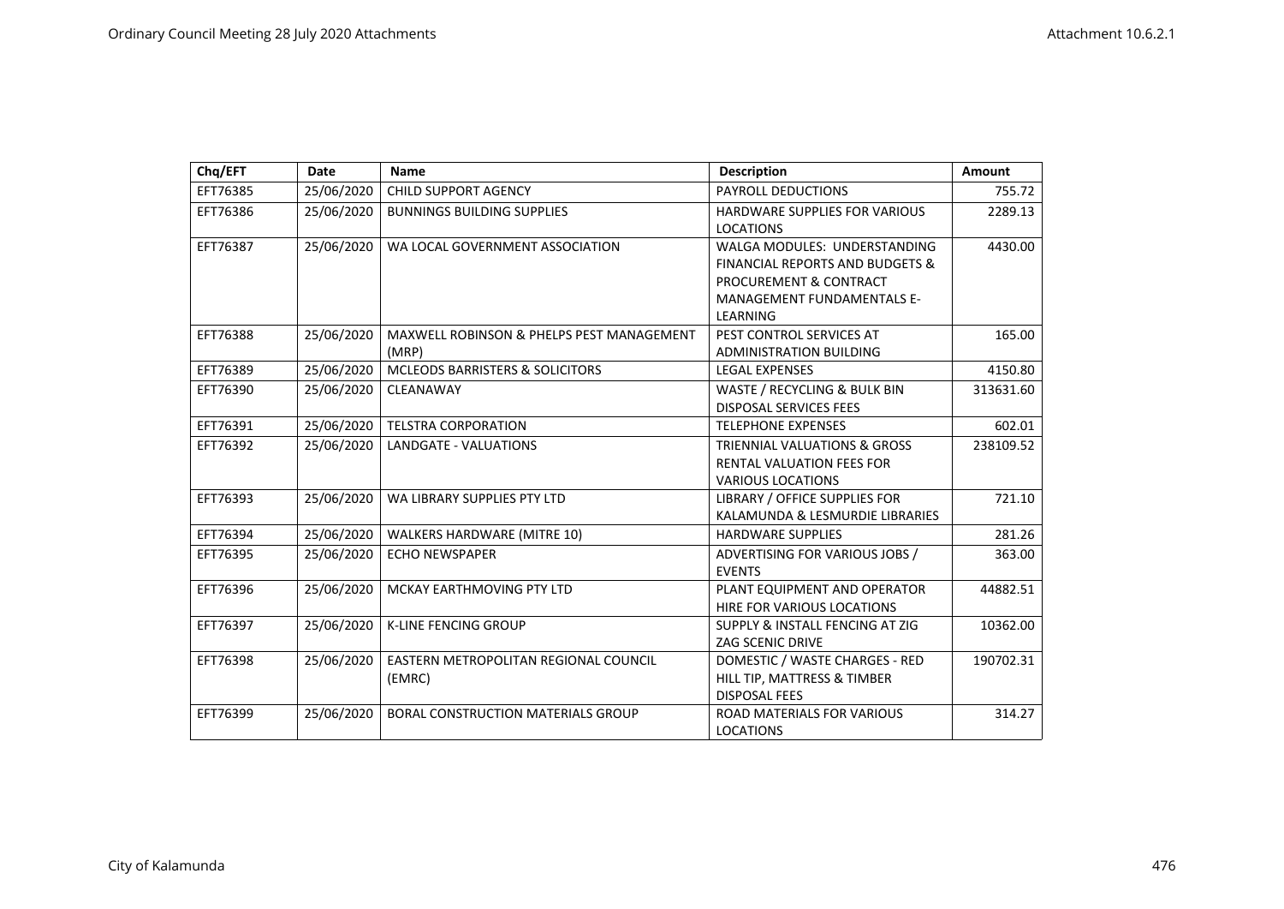| Chq/EFT  | <b>Date</b> | <b>Name</b>                                        | <b>Description</b>                                                                                                                                    | <b>Amount</b> |
|----------|-------------|----------------------------------------------------|-------------------------------------------------------------------------------------------------------------------------------------------------------|---------------|
| EFT76385 | 25/06/2020  | CHILD SUPPORT AGENCY                               | PAYROLL DEDUCTIONS                                                                                                                                    | 755.72        |
| EFT76386 | 25/06/2020  | <b>BUNNINGS BUILDING SUPPLIES</b>                  | <b>HARDWARE SUPPLIES FOR VARIOUS</b><br><b>LOCATIONS</b>                                                                                              | 2289.13       |
| EFT76387 | 25/06/2020  | WA LOCAL GOVERNMENT ASSOCIATION                    | WALGA MODULES: UNDERSTANDING<br><b>FINANCIAL REPORTS AND BUDGETS &amp;</b><br>PROCUREMENT & CONTRACT<br><b>MANAGEMENT FUNDAMENTALS E-</b><br>LEARNING | 4430.00       |
| EFT76388 | 25/06/2020  | MAXWELL ROBINSON & PHELPS PEST MANAGEMENT<br>(MRP) | PEST CONTROL SERVICES AT<br><b>ADMINISTRATION BUILDING</b>                                                                                            | 165.00        |
| EFT76389 | 25/06/2020  | MCLEODS BARRISTERS & SOLICITORS                    | <b>LEGAL EXPENSES</b>                                                                                                                                 | 4150.80       |
| EFT76390 | 25/06/2020  | CLEANAWAY                                          | WASTE / RECYCLING & BULK BIN<br><b>DISPOSAL SERVICES FEES</b>                                                                                         | 313631.60     |
| EFT76391 | 25/06/2020  | <b>TELSTRA CORPORATION</b>                         | <b>TELEPHONE EXPENSES</b>                                                                                                                             | 602.01        |
| EFT76392 | 25/06/2020  | <b>LANDGATE - VALUATIONS</b>                       | <b>TRIENNIAL VALUATIONS &amp; GROSS</b><br><b>RENTAL VALUATION FEES FOR</b><br><b>VARIOUS LOCATIONS</b>                                               | 238109.52     |
| EFT76393 | 25/06/2020  | WA LIBRARY SUPPLIES PTY LTD                        | LIBRARY / OFFICE SUPPLIES FOR<br>KALAMUNDA & LESMURDIE LIBRARIES                                                                                      | 721.10        |
| EFT76394 | 25/06/2020  | WALKERS HARDWARE (MITRE 10)                        | <b>HARDWARE SUPPLIES</b>                                                                                                                              | 281.26        |
| EFT76395 | 25/06/2020  | <b>ECHO NEWSPAPER</b>                              | ADVERTISING FOR VARIOUS JOBS /<br><b>EVENTS</b>                                                                                                       | 363.00        |
| EFT76396 | 25/06/2020  | MCKAY EARTHMOVING PTY LTD                          | PLANT EQUIPMENT AND OPERATOR<br>HIRE FOR VARIOUS LOCATIONS                                                                                            | 44882.51      |
| EFT76397 | 25/06/2020  | <b>K-LINE FENCING GROUP</b>                        | SUPPLY & INSTALL FENCING AT ZIG<br><b>ZAG SCENIC DRIVE</b>                                                                                            | 10362.00      |
| EFT76398 | 25/06/2020  | EASTERN METROPOLITAN REGIONAL COUNCIL<br>(EMRC)    | DOMESTIC / WASTE CHARGES - RED<br>HILL TIP, MATTRESS & TIMBER<br><b>DISPOSAL FEES</b>                                                                 | 190702.31     |
| EFT76399 | 25/06/2020  | <b>BORAL CONSTRUCTION MATERIALS GROUP</b>          | ROAD MATERIALS FOR VARIOUS<br><b>LOCATIONS</b>                                                                                                        | 314.27        |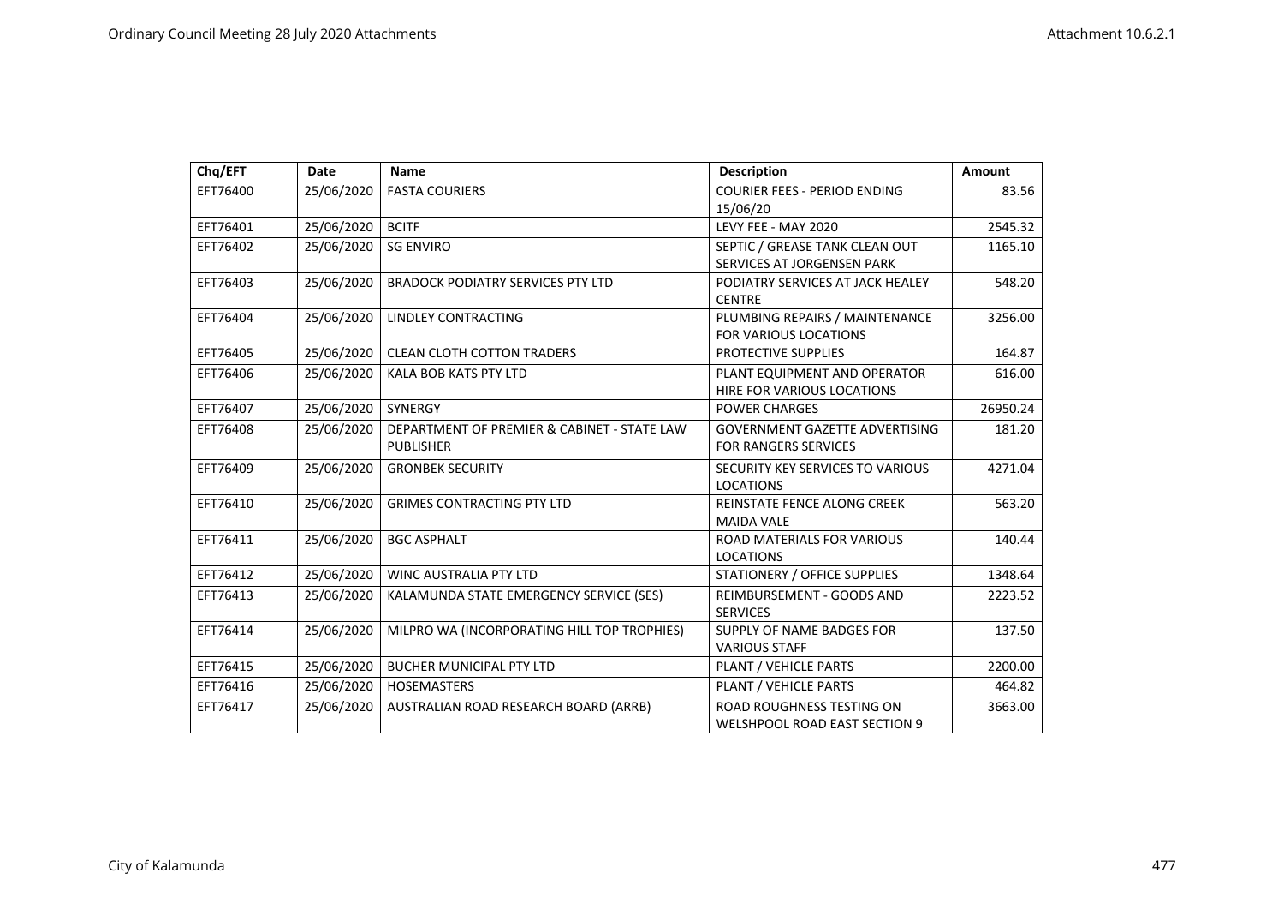| Chq/EFT  | Date       | <b>Name</b>                                                     | <b>Description</b>                                                       | <b>Amount</b> |
|----------|------------|-----------------------------------------------------------------|--------------------------------------------------------------------------|---------------|
| EFT76400 | 25/06/2020 | <b>FASTA COURIERS</b>                                           | <b>COURIER FEES - PERIOD ENDING</b><br>15/06/20                          | 83.56         |
| EFT76401 | 25/06/2020 | <b>BCITF</b>                                                    | LEVY FEE - MAY 2020                                                      | 2545.32       |
| EFT76402 | 25/06/2020 | <b>SG ENVIRO</b>                                                | SEPTIC / GREASE TANK CLEAN OUT<br>SERVICES AT JORGENSEN PARK             | 1165.10       |
| EFT76403 | 25/06/2020 | <b>BRADOCK PODIATRY SERVICES PTY LTD</b>                        | PODIATRY SERVICES AT JACK HEALEY<br><b>CENTRE</b>                        | 548.20        |
| EFT76404 | 25/06/2020 | LINDLEY CONTRACTING                                             | PLUMBING REPAIRS / MAINTENANCE<br><b>FOR VARIOUS LOCATIONS</b>           | 3256.00       |
| EFT76405 | 25/06/2020 | <b>CLEAN CLOTH COTTON TRADERS</b>                               | PROTECTIVE SUPPLIES                                                      | 164.87        |
| EFT76406 | 25/06/2020 | <b>KALA BOB KATS PTY LTD</b>                                    | PLANT EQUIPMENT AND OPERATOR<br>HIRE FOR VARIOUS LOCATIONS               | 616.00        |
| EFT76407 | 25/06/2020 | <b>SYNERGY</b>                                                  | <b>POWER CHARGES</b>                                                     | 26950.24      |
| EFT76408 | 25/06/2020 | DEPARTMENT OF PREMIER & CABINET - STATE LAW<br><b>PUBLISHER</b> | <b>GOVERNMENT GAZETTE ADVERTISING</b><br>FOR RANGERS SERVICES            | 181.20        |
| EFT76409 | 25/06/2020 | <b>GRONBEK SECURITY</b>                                         | SECURITY KEY SERVICES TO VARIOUS<br><b>LOCATIONS</b>                     | 4271.04       |
| EFT76410 | 25/06/2020 | <b>GRIMES CONTRACTING PTY LTD</b>                               | <b>REINSTATE FENCE ALONG CREEK</b><br><b>MAIDA VALE</b>                  | 563.20        |
| EFT76411 | 25/06/2020 | <b>BGC ASPHALT</b>                                              | ROAD MATERIALS FOR VARIOUS<br><b>LOCATIONS</b>                           | 140.44        |
| EFT76412 | 25/06/2020 | WINC AUSTRALIA PTY LTD                                          | STATIONERY / OFFICE SUPPLIES                                             | 1348.64       |
| EFT76413 | 25/06/2020 | KALAMUNDA STATE EMERGENCY SERVICE (SES)                         | REIMBURSEMENT - GOODS AND<br><b>SERVICES</b>                             | 2223.52       |
| EFT76414 | 25/06/2020 | MILPRO WA (INCORPORATING HILL TOP TROPHIES)                     | SUPPLY OF NAME BADGES FOR<br><b>VARIOUS STAFF</b>                        | 137.50        |
| EFT76415 | 25/06/2020 | <b>BUCHER MUNICIPAL PTY LTD</b>                                 | PLANT / VEHICLE PARTS                                                    | 2200.00       |
| EFT76416 | 25/06/2020 | <b>HOSEMASTERS</b>                                              | PLANT / VEHICLE PARTS                                                    | 464.82        |
| EFT76417 | 25/06/2020 | AUSTRALIAN ROAD RESEARCH BOARD (ARRB)                           | <b>ROAD ROUGHNESS TESTING ON</b><br><b>WELSHPOOL ROAD EAST SECTION 9</b> | 3663.00       |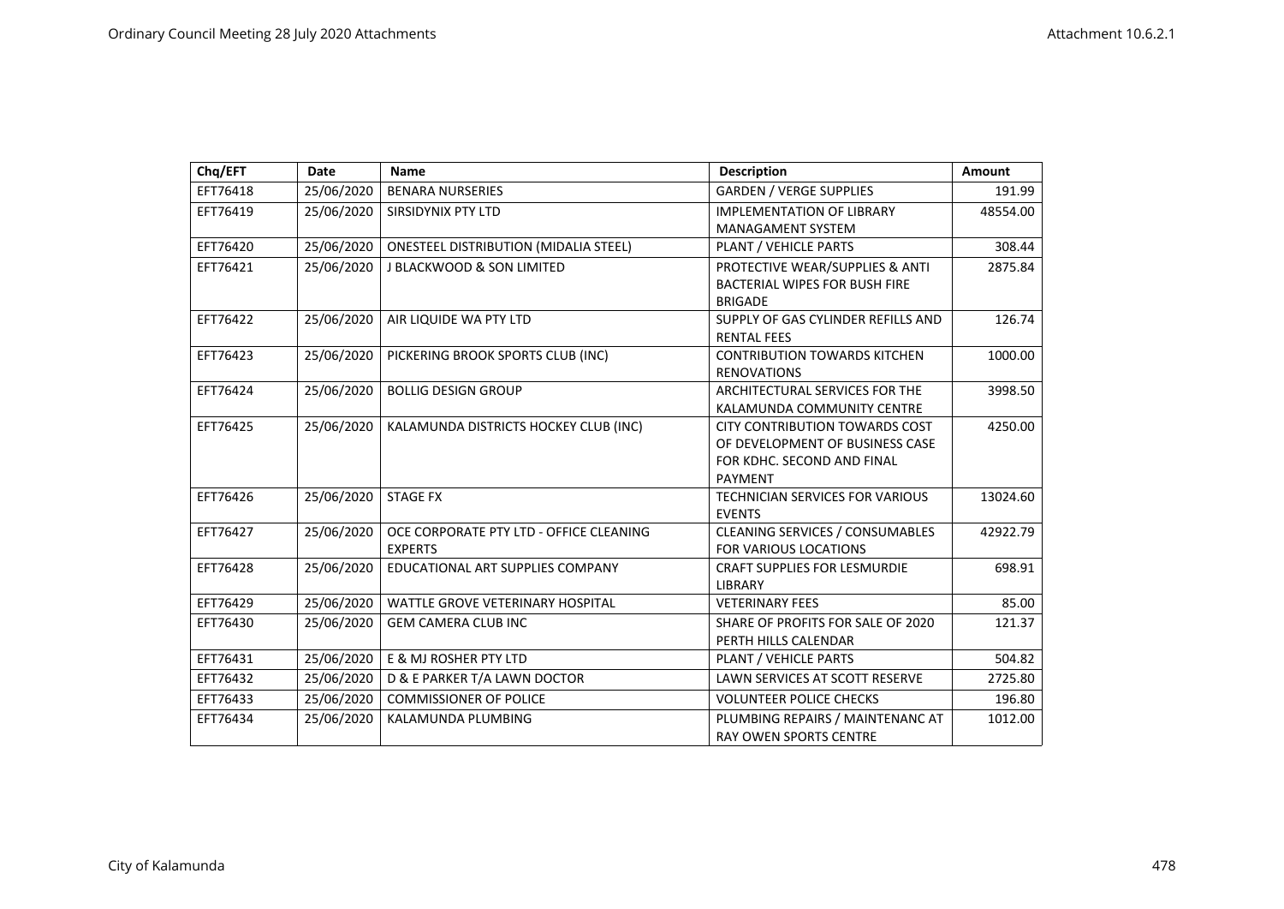| Chq/EFT  | <b>Date</b> | <b>Name</b>                                  | <b>Description</b>                     | <b>Amount</b> |
|----------|-------------|----------------------------------------------|----------------------------------------|---------------|
| EFT76418 | 25/06/2020  | <b>BENARA NURSERIES</b>                      | <b>GARDEN / VERGE SUPPLIES</b>         | 191.99        |
| EFT76419 | 25/06/2020  | <b>SIRSIDYNIX PTY LTD</b>                    | <b>IMPLEMENTATION OF LIBRARY</b>       | 48554.00      |
|          |             |                                              | <b>MANAGAMENT SYSTEM</b>               |               |
| EFT76420 | 25/06/2020  | <b>ONESTEEL DISTRIBUTION (MIDALIA STEEL)</b> | PLANT / VEHICLE PARTS                  | 308.44        |
| EFT76421 | 25/06/2020  | J BLACKWOOD & SON LIMITED                    | PROTECTIVE WEAR/SUPPLIES & ANTI        | 2875.84       |
|          |             |                                              | <b>BACTERIAL WIPES FOR BUSH FIRE</b>   |               |
|          |             |                                              | <b>BRIGADE</b>                         |               |
| EFT76422 | 25/06/2020  | AIR LIQUIDE WA PTY LTD                       | SUPPLY OF GAS CYLINDER REFILLS AND     | 126.74        |
|          |             |                                              | <b>RENTAL FEES</b>                     |               |
| EFT76423 | 25/06/2020  | PICKERING BROOK SPORTS CLUB (INC)            | <b>CONTRIBUTION TOWARDS KITCHEN</b>    | 1000.00       |
|          |             |                                              | <b>RENOVATIONS</b>                     |               |
| EFT76424 | 25/06/2020  | <b>BOLLIG DESIGN GROUP</b>                   | ARCHITECTURAL SERVICES FOR THE         | 3998.50       |
|          |             |                                              | KALAMUNDA COMMUNITY CENTRE             |               |
| EFT76425 | 25/06/2020  | KALAMUNDA DISTRICTS HOCKEY CLUB (INC)        | <b>CITY CONTRIBUTION TOWARDS COST</b>  | 4250.00       |
|          |             |                                              | OF DEVELOPMENT OF BUSINESS CASE        |               |
|          |             |                                              | FOR KDHC. SECOND AND FINAL             |               |
|          |             |                                              | <b>PAYMENT</b>                         |               |
| EFT76426 | 25/06/2020  | <b>STAGE FX</b>                              | <b>TECHNICIAN SERVICES FOR VARIOUS</b> | 13024.60      |
|          |             |                                              | <b>EVENTS</b>                          |               |
| EFT76427 | 25/06/2020  | OCE CORPORATE PTY LTD - OFFICE CLEANING      | <b>CLEANING SERVICES / CONSUMABLES</b> | 42922.79      |
|          |             | <b>EXPERTS</b>                               | FOR VARIOUS LOCATIONS                  |               |
| EFT76428 | 25/06/2020  | EDUCATIONAL ART SUPPLIES COMPANY             | <b>CRAFT SUPPLIES FOR LESMURDIE</b>    | 698.91        |
| EFT76429 |             | <b>WATTLE GROVE VETERINARY HOSPITAL</b>      | <b>LIBRARY</b>                         |               |
|          | 25/06/2020  |                                              | <b>VETERINARY FEES</b>                 | 85.00         |
| EFT76430 | 25/06/2020  | <b>GEM CAMERA CLUB INC</b>                   | SHARE OF PROFITS FOR SALE OF 2020      | 121.37        |
|          |             |                                              | PERTH HILLS CALENDAR                   |               |
| EFT76431 | 25/06/2020  | E & MJ ROSHER PTY LTD                        | PLANT / VEHICLE PARTS                  | 504.82        |
| EFT76432 | 25/06/2020  | D & E PARKER T/A LAWN DOCTOR                 | <b>LAWN SERVICES AT SCOTT RESERVE</b>  | 2725.80       |
| EFT76433 | 25/06/2020  | <b>COMMISSIONER OF POLICE</b>                | <b>VOLUNTEER POLICE CHECKS</b>         | 196.80        |
| EFT76434 | 25/06/2020  | KALAMUNDA PLUMBING                           | PLUMBING REPAIRS / MAINTENANC AT       | 1012.00       |
|          |             |                                              | <b>RAY OWEN SPORTS CENTRE</b>          |               |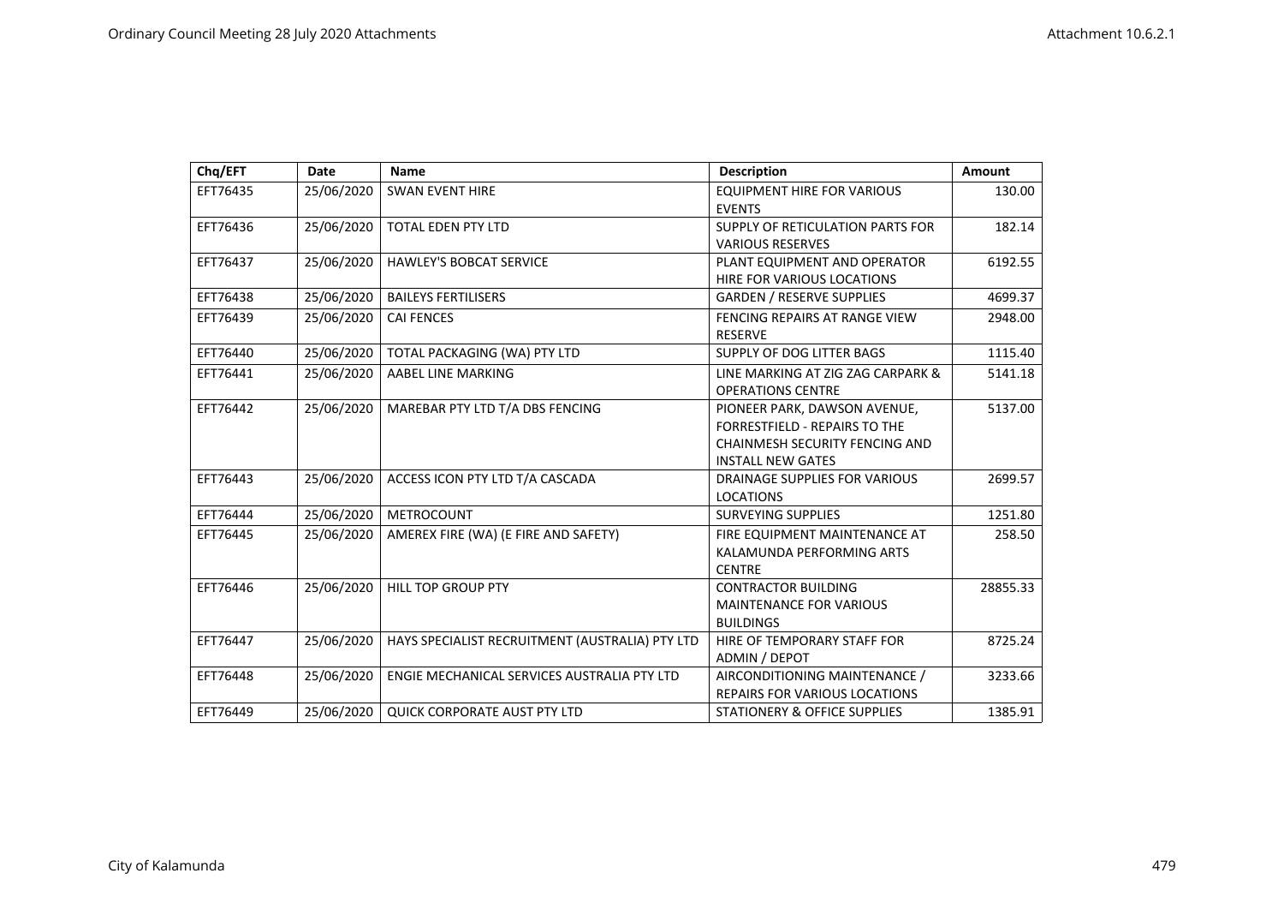| Chq/EFT  | Date       | <b>Name</b>                                     | <b>Description</b>                    | <b>Amount</b> |
|----------|------------|-------------------------------------------------|---------------------------------------|---------------|
| EFT76435 | 25/06/2020 | <b>SWAN EVENT HIRE</b>                          | <b>EQUIPMENT HIRE FOR VARIOUS</b>     | 130.00        |
|          |            |                                                 | <b>EVENTS</b>                         |               |
| EFT76436 | 25/06/2020 | <b>TOTAL EDEN PTY LTD</b>                       | SUPPLY OF RETICULATION PARTS FOR      | 182.14        |
|          |            |                                                 | <b>VARIOUS RESERVES</b>               |               |
| EFT76437 | 25/06/2020 | <b>HAWLEY'S BOBCAT SERVICE</b>                  | PLANT EQUIPMENT AND OPERATOR          | 6192.55       |
|          |            |                                                 | <b>HIRE FOR VARIOUS LOCATIONS</b>     |               |
| EFT76438 | 25/06/2020 | <b>BAILEYS FERTILISERS</b>                      | <b>GARDEN / RESERVE SUPPLIES</b>      | 4699.37       |
| EFT76439 | 25/06/2020 | <b>CAI FENCES</b>                               | FENCING REPAIRS AT RANGE VIEW         | 2948.00       |
|          |            |                                                 | <b>RESERVE</b>                        |               |
| EFT76440 | 25/06/2020 | TOTAL PACKAGING (WA) PTY LTD                    | SUPPLY OF DOG LITTER BAGS             | 1115.40       |
| EFT76441 | 25/06/2020 | AABEL LINE MARKING                              | LINE MARKING AT ZIG ZAG CARPARK &     | 5141.18       |
|          |            |                                                 | <b>OPERATIONS CENTRE</b>              |               |
| EFT76442 | 25/06/2020 | MAREBAR PTY LTD T/A DBS FENCING                 | PIONEER PARK, DAWSON AVENUE,          | 5137.00       |
|          |            |                                                 | <b>FORRESTFIELD - REPAIRS TO THE</b>  |               |
|          |            |                                                 | <b>CHAINMESH SECURITY FENCING AND</b> |               |
|          |            |                                                 | <b>INSTALL NEW GATES</b>              |               |
| EFT76443 | 25/06/2020 | ACCESS ICON PTY LTD T/A CASCADA                 | <b>DRAINAGE SUPPLIES FOR VARIOUS</b>  | 2699.57       |
|          |            |                                                 | <b>LOCATIONS</b>                      |               |
| EFT76444 | 25/06/2020 | <b>METROCOUNT</b>                               | <b>SURVEYING SUPPLIES</b>             | 1251.80       |
| EFT76445 | 25/06/2020 | AMEREX FIRE (WA) (E FIRE AND SAFETY)            | FIRE EQUIPMENT MAINTENANCE AT         | 258.50        |
|          |            |                                                 | KALAMUNDA PERFORMING ARTS             |               |
|          |            |                                                 | <b>CENTRE</b>                         |               |
| EFT76446 | 25/06/2020 | <b>HILL TOP GROUP PTY</b>                       | <b>CONTRACTOR BUILDING</b>            | 28855.33      |
|          |            |                                                 | <b>MAINTENANCE FOR VARIOUS</b>        |               |
|          |            |                                                 | <b>BUILDINGS</b>                      |               |
| EFT76447 | 25/06/2020 | HAYS SPECIALIST RECRUITMENT (AUSTRALIA) PTY LTD | HIRE OF TEMPORARY STAFF FOR           | 8725.24       |
|          |            |                                                 | ADMIN / DEPOT                         |               |
| EFT76448 | 25/06/2020 | ENGIE MECHANICAL SERVICES AUSTRALIA PTY LTD     | AIRCONDITIONING MAINTENANCE /         | 3233.66       |
|          |            |                                                 | <b>REPAIRS FOR VARIOUS LOCATIONS</b>  |               |
| EFT76449 | 25/06/2020 | <b>QUICK CORPORATE AUST PTY LTD</b>             | STATIONERY & OFFICE SUPPLIES          | 1385.91       |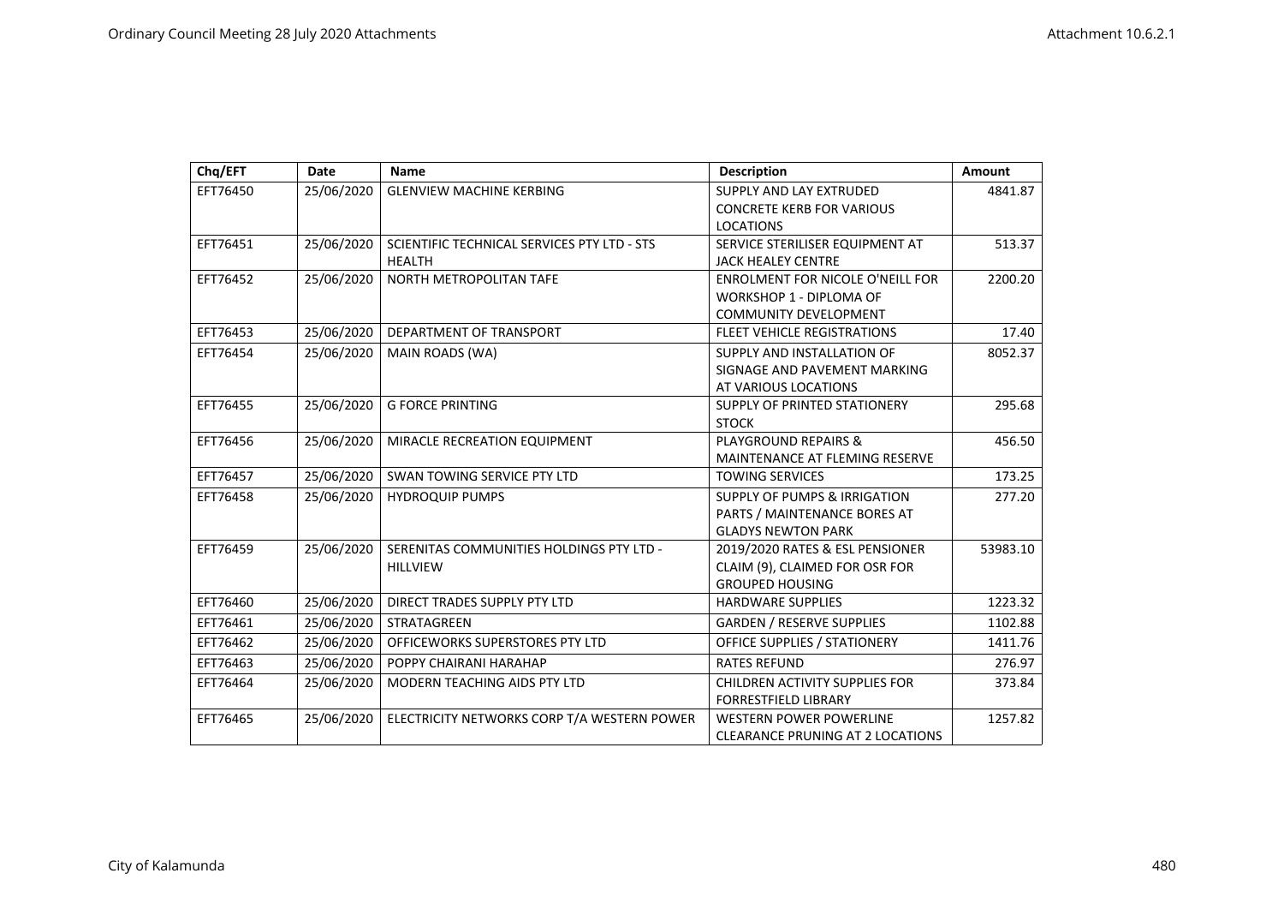| Chq/EFT  | <b>Date</b> | Name                                        | <b>Description</b>                      | <b>Amount</b> |
|----------|-------------|---------------------------------------------|-----------------------------------------|---------------|
| EFT76450 | 25/06/2020  | <b>GLENVIEW MACHINE KERBING</b>             | SUPPLY AND LAY EXTRUDED                 | 4841.87       |
|          |             |                                             | <b>CONCRETE KERB FOR VARIOUS</b>        |               |
|          |             |                                             | <b>LOCATIONS</b>                        |               |
| EFT76451 | 25/06/2020  | SCIENTIFIC TECHNICAL SERVICES PTY LTD - STS | SERVICE STERILISER EQUIPMENT AT         | 513.37        |
|          |             | <b>HEALTH</b>                               | <b>JACK HEALEY CENTRE</b>               |               |
| EFT76452 | 25/06/2020  | NORTH METROPOLITAN TAFE                     | <b>ENROLMENT FOR NICOLE O'NEILL FOR</b> | 2200.20       |
|          |             |                                             | <b>WORKSHOP 1 - DIPLOMA OF</b>          |               |
|          |             |                                             | <b>COMMUNITY DEVELOPMENT</b>            |               |
| EFT76453 | 25/06/2020  | DEPARTMENT OF TRANSPORT                     | FLEET VEHICLE REGISTRATIONS             | 17.40         |
| EFT76454 | 25/06/2020  | MAIN ROADS (WA)                             | SUPPLY AND INSTALLATION OF              | 8052.37       |
|          |             |                                             | SIGNAGE AND PAVEMENT MARKING            |               |
|          |             |                                             | AT VARIOUS LOCATIONS                    |               |
| EFT76455 | 25/06/2020  | <b>G FORCE PRINTING</b>                     | SUPPLY OF PRINTED STATIONERY            | 295.68        |
|          |             |                                             | <b>STOCK</b>                            |               |
| EFT76456 | 25/06/2020  | MIRACLE RECREATION EQUIPMENT                | <b>PLAYGROUND REPAIRS &amp;</b>         | 456.50        |
|          |             |                                             | MAINTENANCE AT FLEMING RESERVE          |               |
| EFT76457 | 25/06/2020  | SWAN TOWING SERVICE PTY LTD                 | <b>TOWING SERVICES</b>                  | 173.25        |
| EFT76458 | 25/06/2020  | <b>HYDROQUIP PUMPS</b>                      | <b>SUPPLY OF PUMPS &amp; IRRIGATION</b> | 277.20        |
|          |             |                                             | PARTS / MAINTENANCE BORES AT            |               |
|          |             |                                             | <b>GLADYS NEWTON PARK</b>               |               |
| EFT76459 | 25/06/2020  | SERENITAS COMMUNITIES HOLDINGS PTY LTD -    | 2019/2020 RATES & ESL PENSIONER         | 53983.10      |
|          |             | <b>HILLVIEW</b>                             | CLAIM (9), CLAIMED FOR OSR FOR          |               |
|          |             |                                             | <b>GROUPED HOUSING</b>                  |               |
| EFT76460 | 25/06/2020  | DIRECT TRADES SUPPLY PTY LTD                | <b>HARDWARE SUPPLIES</b>                | 1223.32       |
| EFT76461 | 25/06/2020  | <b>STRATAGREEN</b>                          | <b>GARDEN / RESERVE SUPPLIES</b>        | 1102.88       |
| EFT76462 | 25/06/2020  | OFFICEWORKS SUPERSTORES PTY LTD             | <b>OFFICE SUPPLIES / STATIONERY</b>     | 1411.76       |
| EFT76463 | 25/06/2020  | POPPY CHAIRANI HARAHAP                      | <b>RATES REFUND</b>                     | 276.97        |
| EFT76464 | 25/06/2020  | MODERN TEACHING AIDS PTY LTD                | <b>CHILDREN ACTIVITY SUPPLIES FOR</b>   | 373.84        |
|          |             |                                             | <b>FORRESTFIELD LIBRARY</b>             |               |
| EFT76465 | 25/06/2020  | ELECTRICITY NETWORKS CORP T/A WESTERN POWER | <b>WESTERN POWER POWERLINE</b>          | 1257.82       |
|          |             |                                             | <b>CLEARANCE PRUNING AT 2 LOCATIONS</b> |               |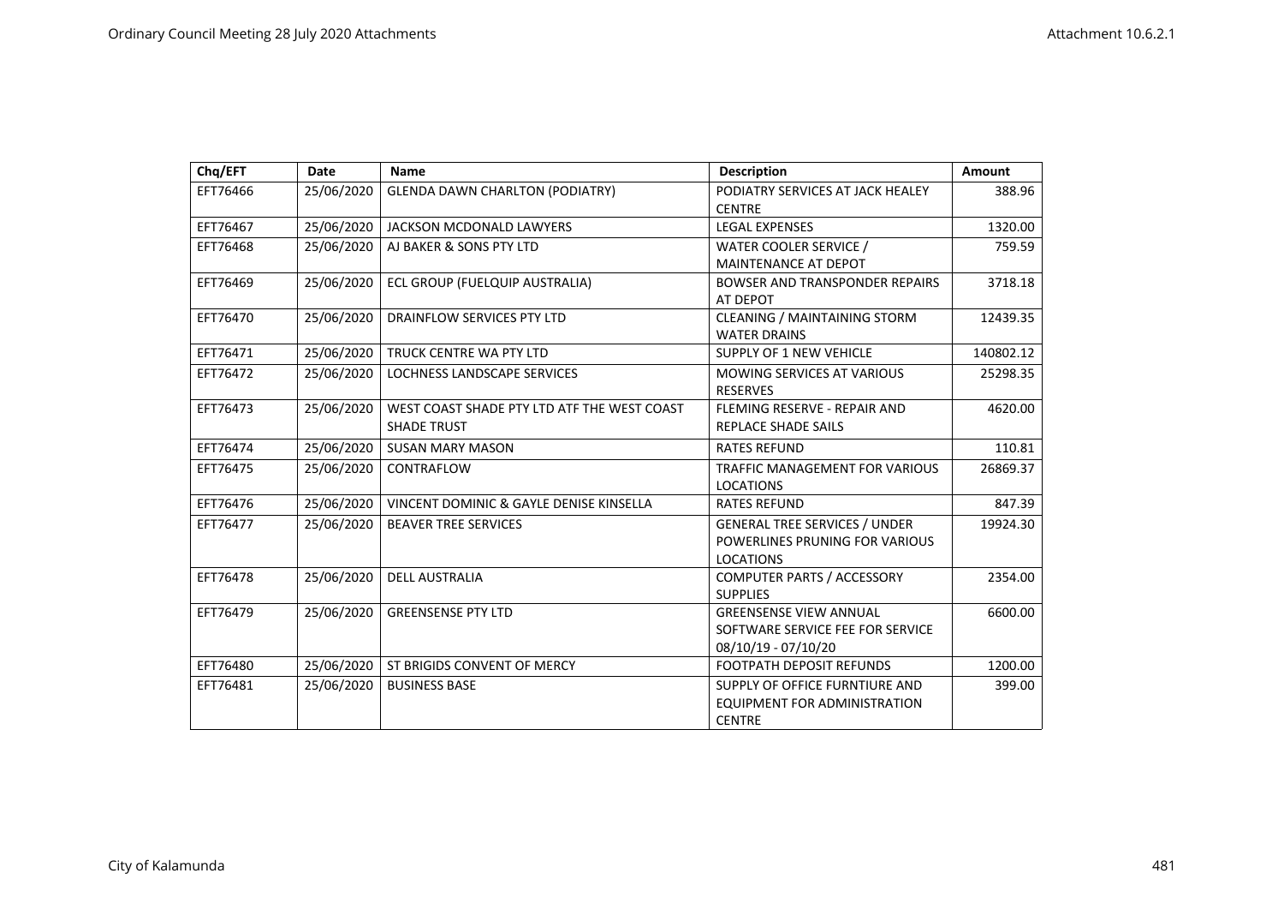| Chq/EFT  | <b>Date</b> | <b>Name</b>                                                       | <b>Description</b>                                                                         | <b>Amount</b> |
|----------|-------------|-------------------------------------------------------------------|--------------------------------------------------------------------------------------------|---------------|
| EFT76466 | 25/06/2020  | <b>GLENDA DAWN CHARLTON (PODIATRY)</b>                            | PODIATRY SERVICES AT JACK HEALEY<br><b>CENTRE</b>                                          | 388.96        |
| EFT76467 | 25/06/2020  | JACKSON MCDONALD LAWYERS                                          | <b>LEGAL EXPENSES</b>                                                                      | 1320.00       |
| EFT76468 | 25/06/2020  | AJ BAKER & SONS PTY LTD                                           | WATER COOLER SERVICE /<br>MAINTENANCE AT DEPOT                                             | 759.59        |
| EFT76469 | 25/06/2020  | ECL GROUP (FUELQUIP AUSTRALIA)                                    | <b>BOWSER AND TRANSPONDER REPAIRS</b><br>AT DEPOT                                          | 3718.18       |
| EFT76470 | 25/06/2020  | DRAINFLOW SERVICES PTY LTD                                        | <b>CLEANING / MAINTAINING STORM</b><br><b>WATER DRAINS</b>                                 | 12439.35      |
| EFT76471 | 25/06/2020  | TRUCK CENTRE WA PTY LTD                                           | <b>SUPPLY OF 1 NEW VEHICLE</b>                                                             | 140802.12     |
| EFT76472 | 25/06/2020  | <b>LOCHNESS LANDSCAPE SERVICES</b>                                | <b>MOWING SERVICES AT VARIOUS</b><br><b>RESERVES</b>                                       | 25298.35      |
| EFT76473 | 25/06/2020  | WEST COAST SHADE PTY LTD ATF THE WEST COAST<br><b>SHADE TRUST</b> | FLEMING RESERVE - REPAIR AND<br><b>REPLACE SHADE SAILS</b>                                 | 4620.00       |
| EFT76474 | 25/06/2020  | <b>SUSAN MARY MASON</b>                                           | <b>RATES REFUND</b>                                                                        | 110.81        |
| EFT76475 | 25/06/2020  | CONTRAFLOW                                                        | TRAFFIC MANAGEMENT FOR VARIOUS<br><b>LOCATIONS</b>                                         | 26869.37      |
| EFT76476 | 25/06/2020  | VINCENT DOMINIC & GAYLE DENISE KINSELLA                           | <b>RATES REFUND</b>                                                                        | 847.39        |
| EFT76477 | 25/06/2020  | <b>BEAVER TREE SERVICES</b>                                       | <b>GENERAL TREE SERVICES / UNDER</b><br>POWERLINES PRUNING FOR VARIOUS<br><b>LOCATIONS</b> | 19924.30      |
| EFT76478 | 25/06/2020  | <b>DELL AUSTRALIA</b>                                             | <b>COMPUTER PARTS / ACCESSORY</b><br><b>SUPPLIES</b>                                       | 2354.00       |
| EFT76479 | 25/06/2020  | <b>GREENSENSE PTY LTD</b>                                         | <b>GREENSENSE VIEW ANNUAL</b><br>SOFTWARE SERVICE FEE FOR SERVICE<br>08/10/19 - 07/10/20   | 6600.00       |
| EFT76480 | 25/06/2020  | ST BRIGIDS CONVENT OF MERCY                                       | <b>FOOTPATH DEPOSIT REFUNDS</b>                                                            | 1200.00       |
| EFT76481 | 25/06/2020  | <b>BUSINESS BASE</b>                                              | SUPPLY OF OFFICE FURNTIURE AND<br>EQUIPMENT FOR ADMINISTRATION<br><b>CENTRE</b>            | 399.00        |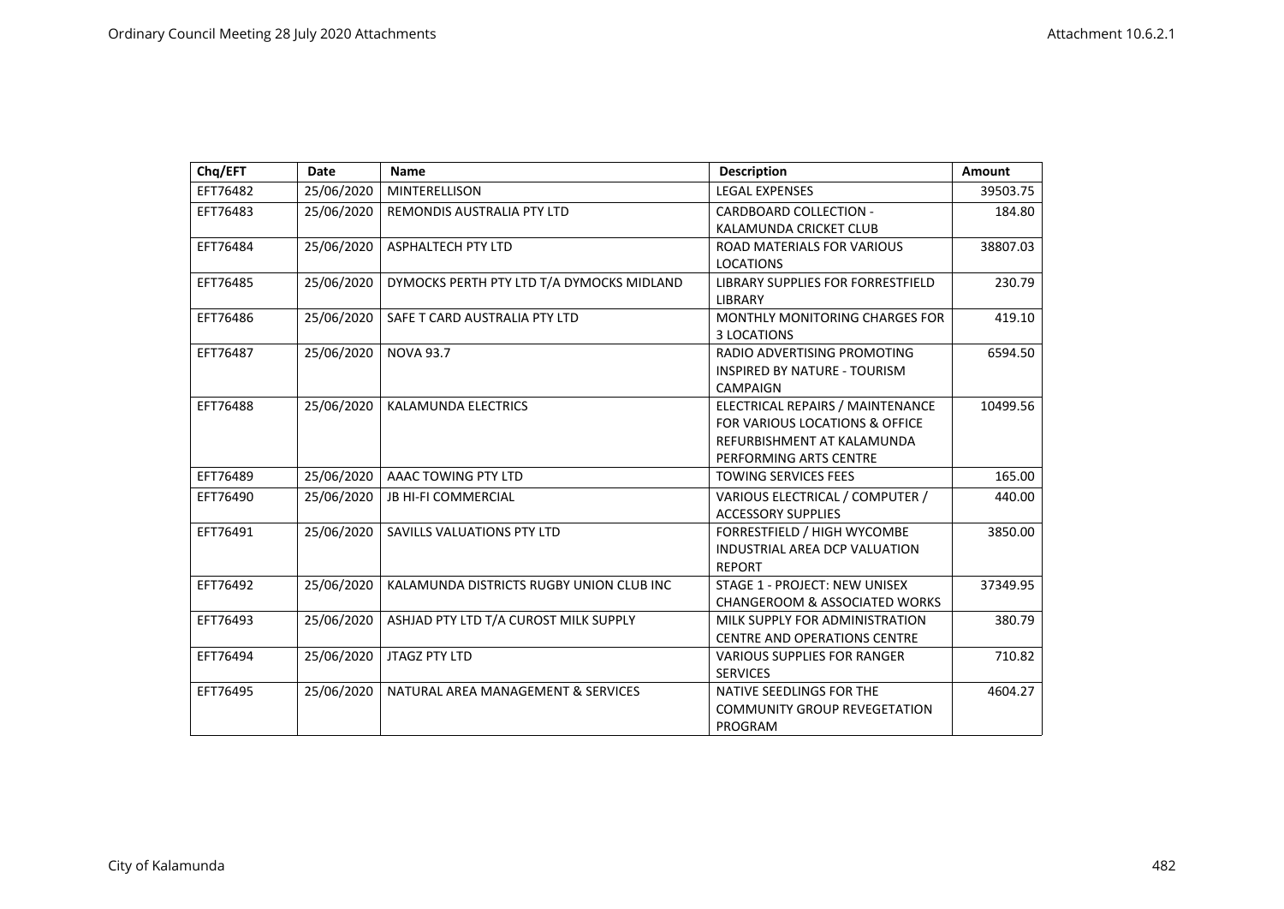| Chq/EFT  | Date       | <b>Name</b>                               | <b>Description</b>                                                                                                         | <b>Amount</b> |
|----------|------------|-------------------------------------------|----------------------------------------------------------------------------------------------------------------------------|---------------|
| EFT76482 | 25/06/2020 | <b>MINTERELLISON</b>                      | <b>LEGAL EXPENSES</b>                                                                                                      | 39503.75      |
| EFT76483 | 25/06/2020 | REMONDIS AUSTRALIA PTY LTD                | <b>CARDBOARD COLLECTION -</b><br>KALAMUNDA CRICKET CLUB                                                                    | 184.80        |
| EFT76484 | 25/06/2020 | <b>ASPHALTECH PTY LTD</b>                 | ROAD MATERIALS FOR VARIOUS<br><b>LOCATIONS</b>                                                                             | 38807.03      |
| EFT76485 | 25/06/2020 | DYMOCKS PERTH PTY LTD T/A DYMOCKS MIDLAND | <b>LIBRARY SUPPLIES FOR FORRESTFIELD</b><br><b>LIBRARY</b>                                                                 | 230.79        |
| EFT76486 | 25/06/2020 | SAFE T CARD AUSTRALIA PTY LTD             | <b>MONTHLY MONITORING CHARGES FOR</b><br>3 LOCATIONS                                                                       | 419.10        |
| EFT76487 | 25/06/2020 | <b>NOVA 93.7</b>                          | RADIO ADVERTISING PROMOTING<br><b>INSPIRED BY NATURE - TOURISM</b><br><b>CAMPAIGN</b>                                      | 6594.50       |
| EFT76488 | 25/06/2020 | <b>KALAMUNDA ELECTRICS</b>                | ELECTRICAL REPAIRS / MAINTENANCE<br>FOR VARIOUS LOCATIONS & OFFICE<br>REFURBISHMENT AT KALAMUNDA<br>PERFORMING ARTS CENTRE | 10499.56      |
| EFT76489 | 25/06/2020 | AAAC TOWING PTY LTD                       | <b>TOWING SERVICES FEES</b>                                                                                                | 165.00        |
| EFT76490 | 25/06/2020 | <b>JB HI-FI COMMERCIAL</b>                | VARIOUS ELECTRICAL / COMPUTER /<br><b>ACCESSORY SUPPLIES</b>                                                               | 440.00        |
| EFT76491 | 25/06/2020 | SAVILLS VALUATIONS PTY LTD                | FORRESTFIELD / HIGH WYCOMBE<br>INDUSTRIAL AREA DCP VALUATION<br><b>REPORT</b>                                              | 3850.00       |
| EFT76492 | 25/06/2020 | KALAMUNDA DISTRICTS RUGBY UNION CLUB INC  | <b>STAGE 1 - PROJECT: NEW UNISEX</b><br><b>CHANGEROOM &amp; ASSOCIATED WORKS</b>                                           | 37349.95      |
| EFT76493 | 25/06/2020 | ASHJAD PTY LTD T/A CUROST MILK SUPPLY     | MILK SUPPLY FOR ADMINISTRATION<br><b>CENTRE AND OPERATIONS CENTRE</b>                                                      | 380.79        |
| EFT76494 | 25/06/2020 | <b>JTAGZ PTY LTD</b>                      | <b>VARIOUS SUPPLIES FOR RANGER</b><br><b>SERVICES</b>                                                                      | 710.82        |
| EFT76495 | 25/06/2020 | NATURAL AREA MANAGEMENT & SERVICES        | NATIVE SEEDLINGS FOR THE<br><b>COMMUNITY GROUP REVEGETATION</b><br>PROGRAM                                                 | 4604.27       |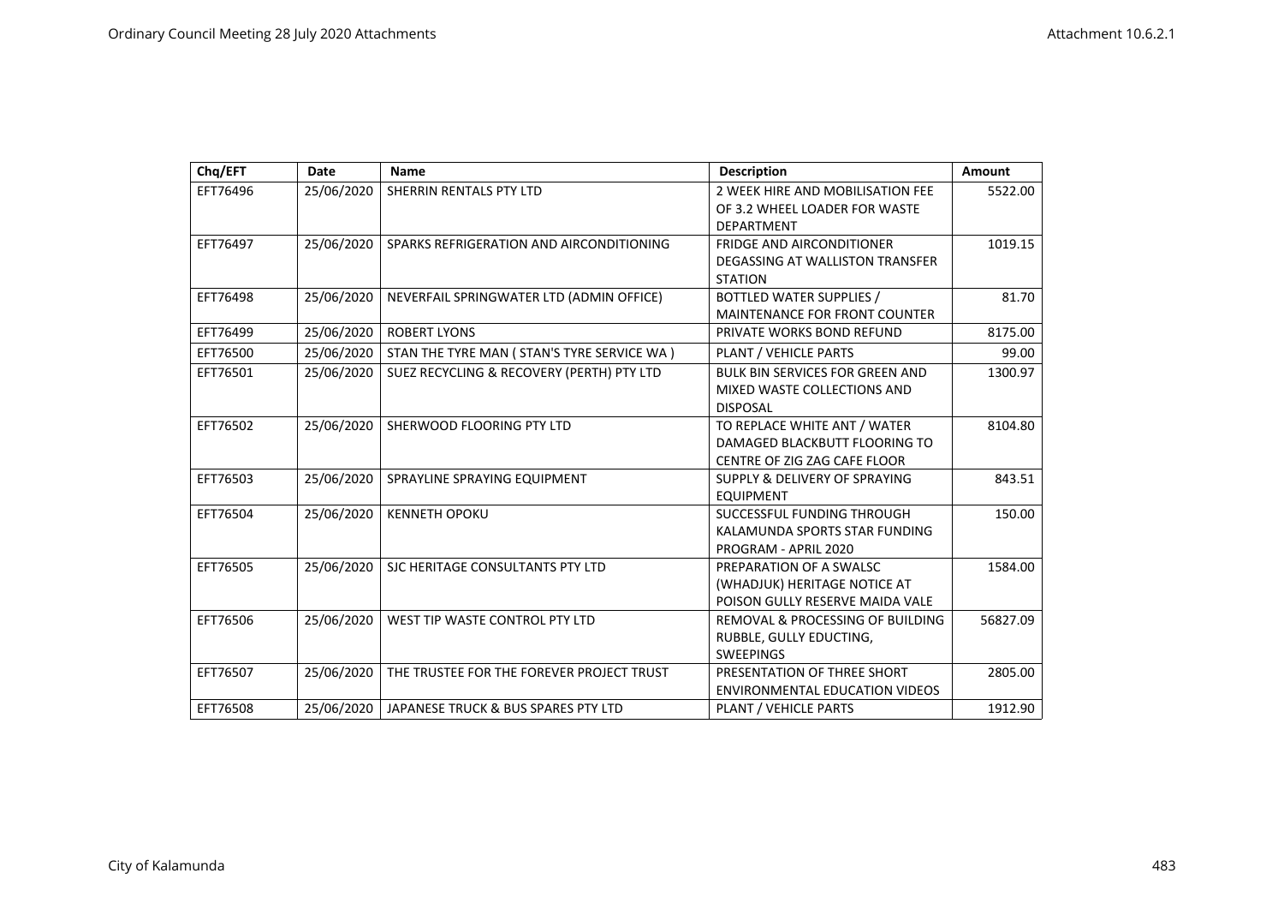| Chq/EFT  | <b>Date</b> | <b>Name</b>                                  | <b>Description</b>                          | <b>Amount</b> |
|----------|-------------|----------------------------------------------|---------------------------------------------|---------------|
| EFT76496 | 25/06/2020  | SHERRIN RENTALS PTY LTD                      | 2 WEEK HIRE AND MOBILISATION FEE            | 5522.00       |
|          |             |                                              | OF 3.2 WHEEL LOADER FOR WASTE               |               |
|          |             |                                              | <b>DEPARTMENT</b>                           |               |
| EFT76497 | 25/06/2020  | SPARKS REFRIGERATION AND AIRCONDITIONING     | <b>FRIDGE AND AIRCONDITIONER</b>            | 1019.15       |
|          |             |                                              | DEGASSING AT WALLISTON TRANSFER             |               |
|          |             |                                              | <b>STATION</b>                              |               |
| EFT76498 | 25/06/2020  | NEVERFAIL SPRINGWATER LTD (ADMIN OFFICE)     | BOTTLED WATER SUPPLIES /                    | 81.70         |
|          |             |                                              | MAINTENANCE FOR FRONT COUNTER               |               |
| EFT76499 | 25/06/2020  | <b>ROBERT LYONS</b>                          | PRIVATE WORKS BOND REFUND                   | 8175.00       |
| EFT76500 | 25/06/2020  | STAN THE TYRE MAN ( STAN'S TYRE SERVICE WA ) | PLANT / VEHICLE PARTS                       | 99.00         |
| EFT76501 | 25/06/2020  | SUEZ RECYCLING & RECOVERY (PERTH) PTY LTD    | <b>BULK BIN SERVICES FOR GREEN AND</b>      | 1300.97       |
|          |             |                                              | MIXED WASTE COLLECTIONS AND                 |               |
|          |             |                                              | <b>DISPOSAL</b>                             |               |
| EFT76502 | 25/06/2020  | SHERWOOD FLOORING PTY LTD                    | TO REPLACE WHITE ANT / WATER                | 8104.80       |
|          |             |                                              | DAMAGED BLACKBUTT FLOORING TO               |               |
|          |             |                                              | CENTRE OF ZIG ZAG CAFE FLOOR                |               |
| EFT76503 | 25/06/2020  | SPRAYLINE SPRAYING EQUIPMENT                 | SUPPLY & DELIVERY OF SPRAYING               | 843.51        |
|          |             |                                              | <b>EQUIPMENT</b>                            |               |
| EFT76504 | 25/06/2020  | <b>KENNETH OPOKU</b>                         | SUCCESSFUL FUNDING THROUGH                  | 150.00        |
|          |             |                                              | KALAMUNDA SPORTS STAR FUNDING               |               |
|          |             |                                              | PROGRAM - APRIL 2020                        |               |
| EFT76505 | 25/06/2020  | SJC HERITAGE CONSULTANTS PTY LTD             | PREPARATION OF A SWALSC                     | 1584.00       |
|          |             |                                              | (WHADJUK) HERITAGE NOTICE AT                |               |
|          |             |                                              | POISON GULLY RESERVE MAIDA VALE             |               |
| EFT76506 | 25/06/2020  | WEST TIP WASTE CONTROL PTY LTD               | <b>REMOVAL &amp; PROCESSING OF BUILDING</b> | 56827.09      |
|          |             |                                              | RUBBLE, GULLY EDUCTING,                     |               |
|          |             |                                              | <b>SWEEPINGS</b>                            |               |
| EFT76507 | 25/06/2020  | THE TRUSTEE FOR THE FOREVER PROJECT TRUST    | PRESENTATION OF THREE SHORT                 | 2805.00       |
|          |             |                                              | <b>ENVIRONMENTAL EDUCATION VIDEOS</b>       |               |
| EFT76508 | 25/06/2020  | JAPANESE TRUCK & BUS SPARES PTY LTD          | PLANT / VEHICLE PARTS                       | 1912.90       |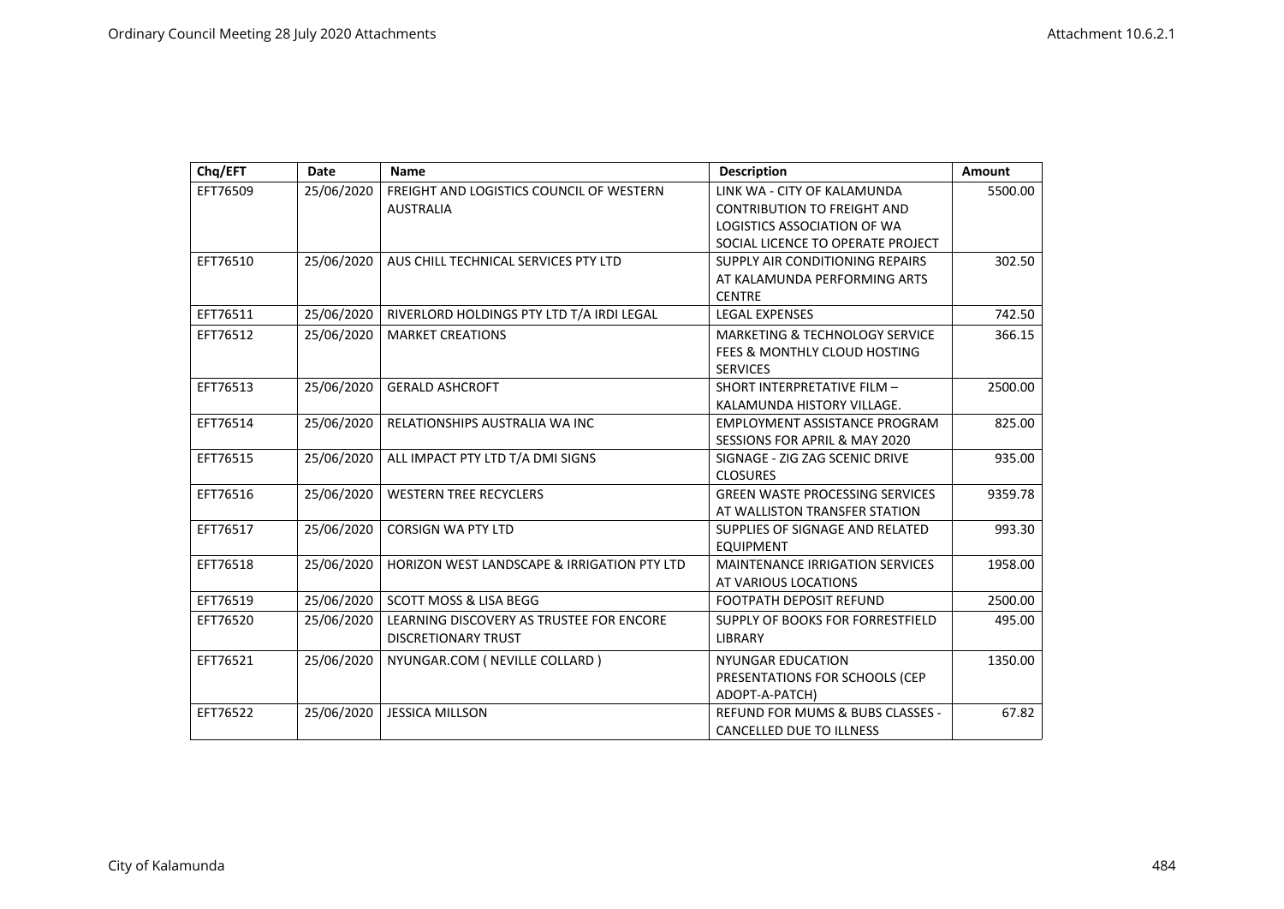| Chq/EFT  | <b>Date</b> | <b>Name</b>                                 | <b>Description</b>                          | <b>Amount</b> |
|----------|-------------|---------------------------------------------|---------------------------------------------|---------------|
| EFT76509 | 25/06/2020  | FREIGHT AND LOGISTICS COUNCIL OF WESTERN    | LINK WA - CITY OF KALAMUNDA                 | 5500.00       |
|          |             | <b>AUSTRALIA</b>                            | <b>CONTRIBUTION TO FREIGHT AND</b>          |               |
|          |             |                                             | LOGISTICS ASSOCIATION OF WA                 |               |
|          |             |                                             | SOCIAL LICENCE TO OPERATE PROJECT           |               |
| EFT76510 | 25/06/2020  | AUS CHILL TECHNICAL SERVICES PTY LTD        | SUPPLY AIR CONDITIONING REPAIRS             | 302.50        |
|          |             |                                             | AT KALAMUNDA PERFORMING ARTS                |               |
|          |             |                                             | <b>CENTRE</b>                               |               |
| EFT76511 | 25/06/2020  | RIVERLORD HOLDINGS PTY LTD T/A IRDI LEGAL   | <b>LEGAL EXPENSES</b>                       | 742.50        |
| EFT76512 | 25/06/2020  | <b>MARKET CREATIONS</b>                     | <b>MARKETING &amp; TECHNOLOGY SERVICE</b>   | 366.15        |
|          |             |                                             | FEES & MONTHLY CLOUD HOSTING                |               |
|          |             |                                             | <b>SERVICES</b>                             |               |
| EFT76513 | 25/06/2020  | <b>GERALD ASHCROFT</b>                      | SHORT INTERPRETATIVE FILM -                 | 2500.00       |
|          |             |                                             | KALAMUNDA HISTORY VILLAGE.                  |               |
| EFT76514 | 25/06/2020  | RELATIONSHIPS AUSTRALIA WA INC              | <b>EMPLOYMENT ASSISTANCE PROGRAM</b>        | 825.00        |
|          |             |                                             | <b>SESSIONS FOR APRIL &amp; MAY 2020</b>    |               |
| EFT76515 | 25/06/2020  | ALL IMPACT PTY LTD T/A DMI SIGNS            | SIGNAGE - ZIG ZAG SCENIC DRIVE              | 935.00        |
|          |             |                                             | <b>CLOSURES</b>                             |               |
| EFT76516 | 25/06/2020  | <b>WESTERN TREE RECYCLERS</b>               | <b>GREEN WASTE PROCESSING SERVICES</b>      | 9359.78       |
|          |             |                                             | AT WALLISTON TRANSFER STATION               |               |
| EFT76517 | 25/06/2020  | <b>CORSIGN WA PTY LTD</b>                   | SUPPLIES OF SIGNAGE AND RELATED             | 993.30        |
|          |             |                                             | <b>EQUIPMENT</b>                            |               |
| EFT76518 | 25/06/2020  | HORIZON WEST LANDSCAPE & IRRIGATION PTY LTD | <b>MAINTENANCE IRRIGATION SERVICES</b>      | 1958.00       |
|          |             |                                             | AT VARIOUS LOCATIONS                        |               |
| EFT76519 | 25/06/2020  | <b>SCOTT MOSS &amp; LISA BEGG</b>           | <b>FOOTPATH DEPOSIT REFUND</b>              | 2500.00       |
| EFT76520 | 25/06/2020  | LEARNING DISCOVERY AS TRUSTEE FOR ENCORE    | SUPPLY OF BOOKS FOR FORRESTFIELD            | 495.00        |
|          |             | <b>DISCRETIONARY TRUST</b>                  | <b>LIBRARY</b>                              |               |
| EFT76521 | 25/06/2020  | NYUNGAR.COM ( NEVILLE COLLARD )             | <b>NYUNGAR EDUCATION</b>                    | 1350.00       |
|          |             |                                             | PRESENTATIONS FOR SCHOOLS (CEP              |               |
|          |             |                                             | ADOPT-A-PATCH)                              |               |
| EFT76522 | 25/06/2020  | <b>JESSICA MILLSON</b>                      | <b>REFUND FOR MUMS &amp; BUBS CLASSES -</b> | 67.82         |
|          |             |                                             | CANCELLED DUE TO ILLNESS                    |               |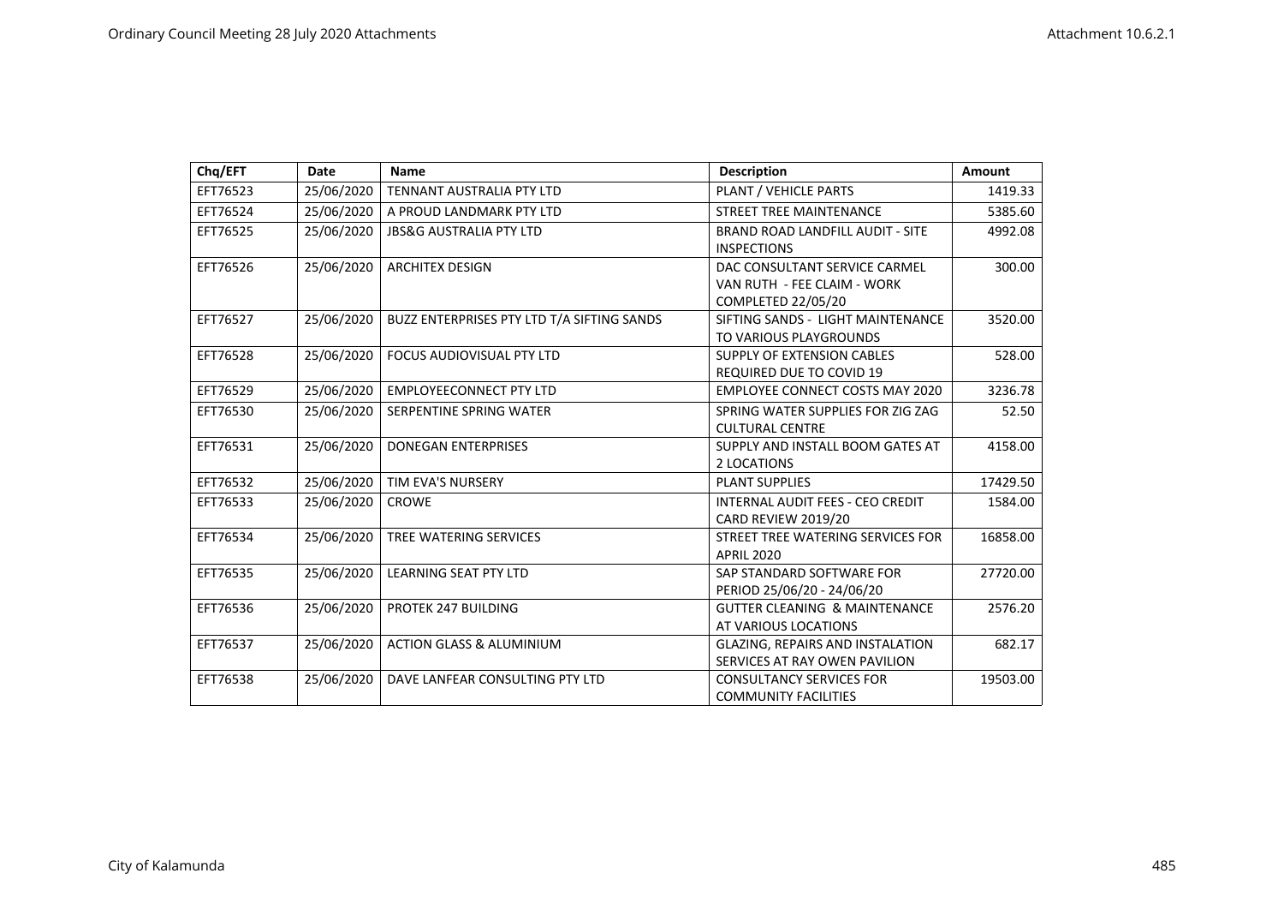| Chq/EFT  | <b>Date</b> | <b>Name</b>                                | <b>Description</b>                                                                 | Amount   |
|----------|-------------|--------------------------------------------|------------------------------------------------------------------------------------|----------|
| EFT76523 | 25/06/2020  | TENNANT AUSTRALIA PTY LTD                  | PLANT / VEHICLE PARTS                                                              | 1419.33  |
| EFT76524 | 25/06/2020  | A PROUD LANDMARK PTY LTD                   | <b>STREET TREE MAINTENANCE</b>                                                     | 5385.60  |
| EFT76525 | 25/06/2020  | <b>JBS&amp;G AUSTRALIA PTY LTD</b>         | <b>BRAND ROAD LANDFILL AUDIT - SITE</b><br><b>INSPECTIONS</b>                      | 4992.08  |
| EFT76526 | 25/06/2020  | <b>ARCHITEX DESIGN</b>                     | DAC CONSULTANT SERVICE CARMEL<br>VAN RUTH - FEE CLAIM - WORK<br>COMPLETED 22/05/20 | 300.00   |
| EFT76527 | 25/06/2020  | BUZZ ENTERPRISES PTY LTD T/A SIFTING SANDS | SIFTING SANDS - LIGHT MAINTENANCE<br>TO VARIOUS PLAYGROUNDS                        | 3520.00  |
| EFT76528 | 25/06/2020  | FOCUS AUDIOVISUAL PTY LTD                  | SUPPLY OF EXTENSION CABLES<br><b>REQUIRED DUE TO COVID 19</b>                      | 528.00   |
| EFT76529 | 25/06/2020  | <b>EMPLOYEECONNECT PTY LTD</b>             | <b>EMPLOYEE CONNECT COSTS MAY 2020</b>                                             | 3236.78  |
| EFT76530 | 25/06/2020  | SERPENTINE SPRING WATER                    | SPRING WATER SUPPLIES FOR ZIG ZAG<br><b>CULTURAL CENTRE</b>                        | 52.50    |
| EFT76531 | 25/06/2020  | <b>DONEGAN ENTERPRISES</b>                 | SUPPLY AND INSTALL BOOM GATES AT<br>2 LOCATIONS                                    | 4158.00  |
| EFT76532 | 25/06/2020  | TIM EVA'S NURSERY                          | <b>PLANT SUPPLIES</b>                                                              | 17429.50 |
| EFT76533 | 25/06/2020  | <b>CROWE</b>                               | INTERNAL AUDIT FEES - CEO CREDIT<br>CARD REVIEW 2019/20                            | 1584.00  |
| EFT76534 | 25/06/2020  | <b>TREE WATERING SERVICES</b>              | STREET TREE WATERING SERVICES FOR<br><b>APRIL 2020</b>                             | 16858.00 |
| EFT76535 | 25/06/2020  | <b>LEARNING SEAT PTY LTD</b>               | SAP STANDARD SOFTWARE FOR<br>PERIOD 25/06/20 - 24/06/20                            | 27720.00 |
| EFT76536 | 25/06/2020  | PROTEK 247 BUILDING                        | <b>GUTTER CLEANING &amp; MAINTENANCE</b><br>AT VARIOUS LOCATIONS                   | 2576.20  |
| EFT76537 | 25/06/2020  | <b>ACTION GLASS &amp; ALUMINIUM</b>        | <b>GLAZING, REPAIRS AND INSTALATION</b><br>SERVICES AT RAY OWEN PAVILION           | 682.17   |
| EFT76538 | 25/06/2020  | DAVE LANFEAR CONSULTING PTY LTD            | <b>CONSULTANCY SERVICES FOR</b><br><b>COMMUNITY FACILITIES</b>                     | 19503.00 |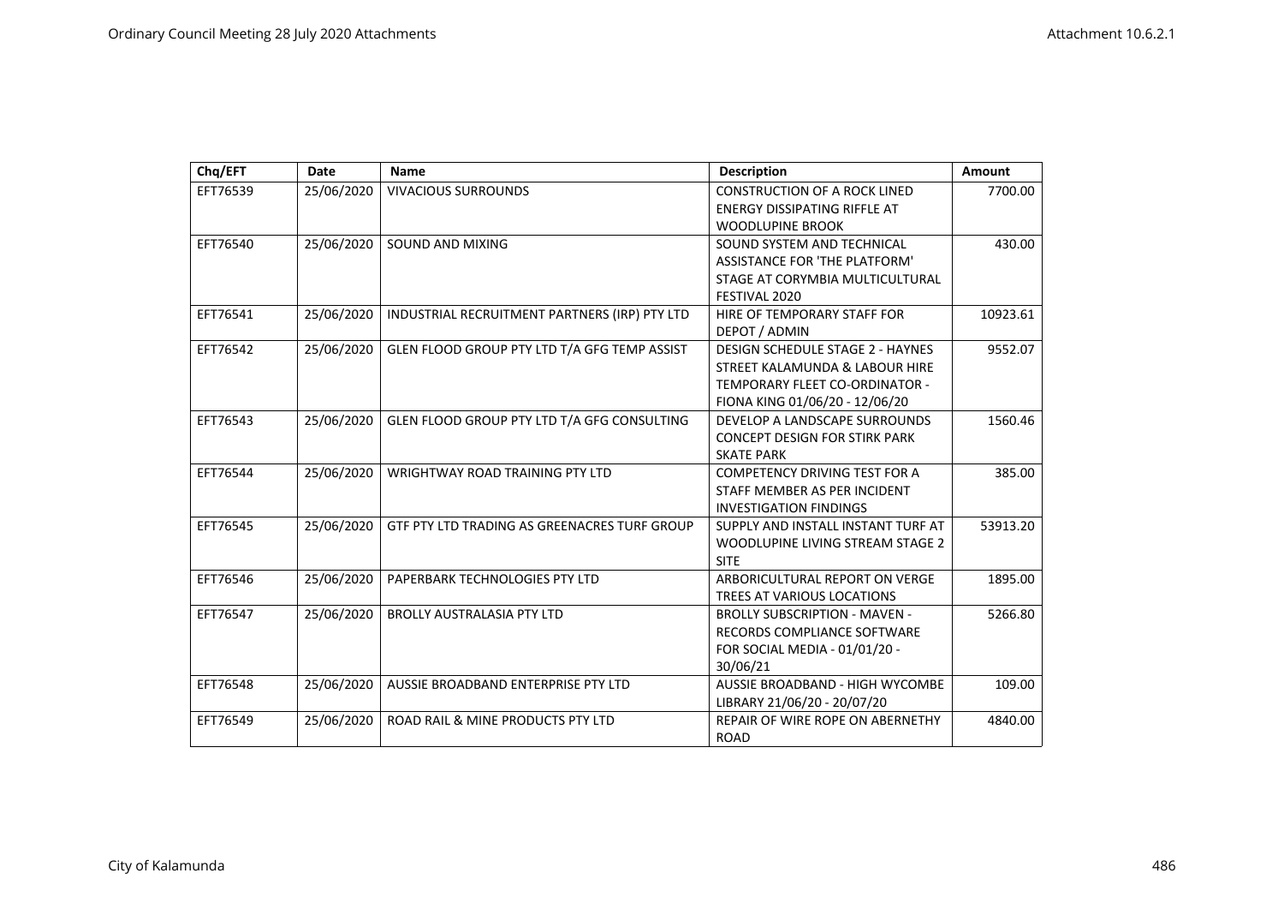| Chq/EFT  | Date       | <b>Name</b>                                   | <b>Description</b>                      | <b>Amount</b> |
|----------|------------|-----------------------------------------------|-----------------------------------------|---------------|
| EFT76539 | 25/06/2020 | <b>VIVACIOUS SURROUNDS</b>                    | <b>CONSTRUCTION OF A ROCK LINED</b>     | 7700.00       |
|          |            |                                               | <b>ENERGY DISSIPATING RIFFLE AT</b>     |               |
|          |            |                                               | <b>WOODLUPINE BROOK</b>                 |               |
| EFT76540 | 25/06/2020 | SOUND AND MIXING                              | SOUND SYSTEM AND TECHNICAL              | 430.00        |
|          |            |                                               | <b>ASSISTANCE FOR 'THE PLATFORM'</b>    |               |
|          |            |                                               | STAGE AT CORYMBIA MULTICULTURAL         |               |
|          |            |                                               | FESTIVAL 2020                           |               |
| EFT76541 | 25/06/2020 | INDUSTRIAL RECRUITMENT PARTNERS (IRP) PTY LTD | HIRE OF TEMPORARY STAFF FOR             | 10923.61      |
|          |            |                                               | DEPOT / ADMIN                           |               |
| EFT76542 | 25/06/2020 | GLEN FLOOD GROUP PTY LTD T/A GFG TEMP ASSIST  | <b>DESIGN SCHEDULE STAGE 2 - HAYNES</b> | 9552.07       |
|          |            |                                               | STREET KALAMUNDA & LABOUR HIRE          |               |
|          |            |                                               | TEMPORARY FLEET CO-ORDINATOR -          |               |
|          |            |                                               | FIONA KING 01/06/20 - 12/06/20          |               |
| EFT76543 | 25/06/2020 | GLEN FLOOD GROUP PTY LTD T/A GFG CONSULTING   | DEVELOP A LANDSCAPE SURROUNDS           | 1560.46       |
|          |            |                                               | <b>CONCEPT DESIGN FOR STIRK PARK</b>    |               |
|          |            |                                               | <b>SKATE PARK</b>                       |               |
| EFT76544 | 25/06/2020 | WRIGHTWAY ROAD TRAINING PTY LTD               | <b>COMPETENCY DRIVING TEST FOR A</b>    | 385.00        |
|          |            |                                               | STAFF MEMBER AS PER INCIDENT            |               |
|          |            |                                               | <b>INVESTIGATION FINDINGS</b>           |               |
| EFT76545 | 25/06/2020 | GTF PTY LTD TRADING AS GREENACRES TURF GROUP  | SUPPLY AND INSTALL INSTANT TURF AT      | 53913.20      |
|          |            |                                               | WOODLUPINE LIVING STREAM STAGE 2        |               |
|          |            |                                               | <b>SITE</b>                             |               |
| EFT76546 | 25/06/2020 | PAPERBARK TECHNOLOGIES PTY LTD                | ARBORICULTURAL REPORT ON VERGE          | 1895.00       |
|          |            |                                               | <b>TREES AT VARIOUS LOCATIONS</b>       |               |
| EFT76547 | 25/06/2020 | <b>BROLLY AUSTRALASIA PTY LTD</b>             | <b>BROLLY SUBSCRIPTION - MAVEN -</b>    | 5266.80       |
|          |            |                                               | RECORDS COMPLIANCE SOFTWARE             |               |
|          |            |                                               | FOR SOCIAL MEDIA - 01/01/20 -           |               |
|          |            |                                               | 30/06/21                                |               |
| EFT76548 | 25/06/2020 | AUSSIE BROADBAND ENTERPRISE PTY LTD           | <b>AUSSIE BROADBAND - HIGH WYCOMBE</b>  | 109.00        |
|          |            |                                               | LIBRARY 21/06/20 - 20/07/20             |               |
| EFT76549 | 25/06/2020 | ROAD RAIL & MINE PRODUCTS PTY LTD             | REPAIR OF WIRE ROPE ON ABERNETHY        | 4840.00       |
|          |            |                                               | <b>ROAD</b>                             |               |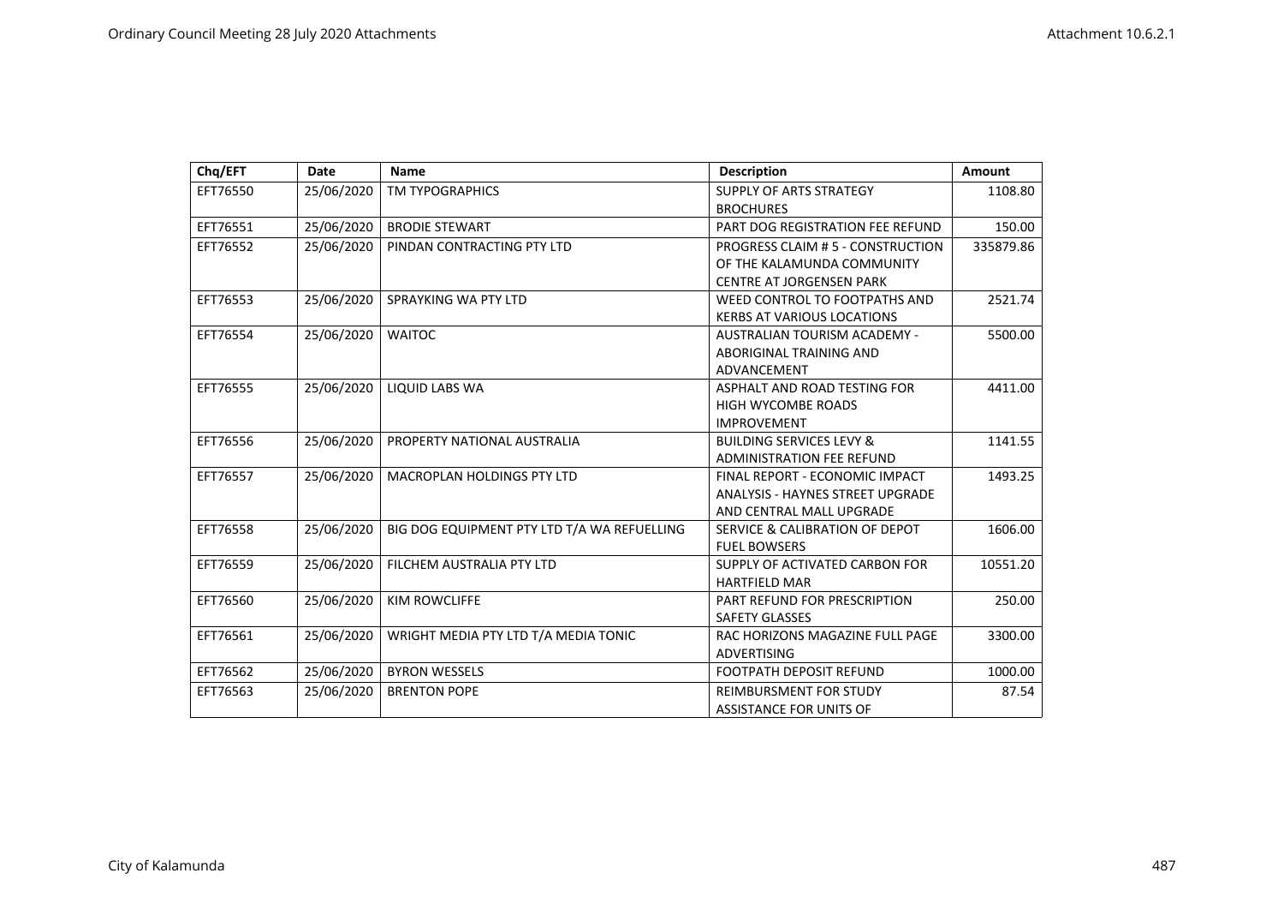| Chq/EFT  | <b>Date</b> | <b>Name</b>                                 | <b>Description</b>                      | Amount    |
|----------|-------------|---------------------------------------------|-----------------------------------------|-----------|
| EFT76550 | 25/06/2020  | <b>TM TYPOGRAPHICS</b>                      | <b>SUPPLY OF ARTS STRATEGY</b>          | 1108.80   |
|          |             |                                             | <b>BROCHURES</b>                        |           |
| EFT76551 | 25/06/2020  | <b>BRODIE STEWART</b>                       | PART DOG REGISTRATION FEE REFUND        | 150.00    |
| EFT76552 | 25/06/2020  | PINDAN CONTRACTING PTY LTD                  | PROGRESS CLAIM # 5 - CONSTRUCTION       | 335879.86 |
|          |             |                                             | OF THE KALAMUNDA COMMUNITY              |           |
|          |             |                                             | <b>CENTRE AT JORGENSEN PARK</b>         |           |
| EFT76553 | 25/06/2020  | SPRAYKING WA PTY LTD                        | WEED CONTROL TO FOOTPATHS AND           | 2521.74   |
|          |             |                                             | <b>KERBS AT VARIOUS LOCATIONS</b>       |           |
| EFT76554 | 25/06/2020  | <b>WAITOC</b>                               | AUSTRALIAN TOURISM ACADEMY -            | 5500.00   |
|          |             |                                             | ABORIGINAL TRAINING AND                 |           |
|          |             |                                             | ADVANCEMENT                             |           |
| EFT76555 | 25/06/2020  | <b>LIQUID LABS WA</b>                       | ASPHALT AND ROAD TESTING FOR            | 4411.00   |
|          |             |                                             | <b>HIGH WYCOMBE ROADS</b>               |           |
|          |             |                                             | <b>IMPROVEMENT</b>                      |           |
| EFT76556 | 25/06/2020  | PROPERTY NATIONAL AUSTRALIA                 | <b>BUILDING SERVICES LEVY &amp;</b>     | 1141.55   |
|          |             |                                             | <b>ADMINISTRATION FEE REFUND</b>        |           |
| EFT76557 | 25/06/2020  | <b>MACROPLAN HOLDINGS PTY LTD</b>           | FINAL REPORT - ECONOMIC IMPACT          | 1493.25   |
|          |             |                                             | <b>ANALYSIS - HAYNES STREET UPGRADE</b> |           |
|          |             |                                             | AND CENTRAL MALL UPGRADE                |           |
| EFT76558 | 25/06/2020  | BIG DOG EQUIPMENT PTY LTD T/A WA REFUELLING | SERVICE & CALIBRATION OF DEPOT          | 1606.00   |
|          |             |                                             | <b>FUEL BOWSERS</b>                     |           |
| EFT76559 | 25/06/2020  | FILCHEM AUSTRALIA PTY LTD                   | SUPPLY OF ACTIVATED CARBON FOR          | 10551.20  |
|          |             |                                             | <b>HARTFIELD MAR</b>                    |           |
| EFT76560 | 25/06/2020  | <b>KIM ROWCLIFFE</b>                        | PART REFUND FOR PRESCRIPTION            | 250.00    |
|          |             |                                             | <b>SAFETY GLASSES</b>                   |           |
| EFT76561 | 25/06/2020  | WRIGHT MEDIA PTY LTD T/A MEDIA TONIC        | RAC HORIZONS MAGAZINE FULL PAGE         | 3300.00   |
|          |             |                                             | <b>ADVERTISING</b>                      |           |
| EFT76562 | 25/06/2020  | <b>BYRON WESSELS</b>                        | <b>FOOTPATH DEPOSIT REFUND</b>          | 1000.00   |
| EFT76563 | 25/06/2020  | <b>BRENTON POPE</b>                         | <b>REIMBURSMENT FOR STUDY</b>           | 87.54     |
|          |             |                                             | <b>ASSISTANCE FOR UNITS OF</b>          |           |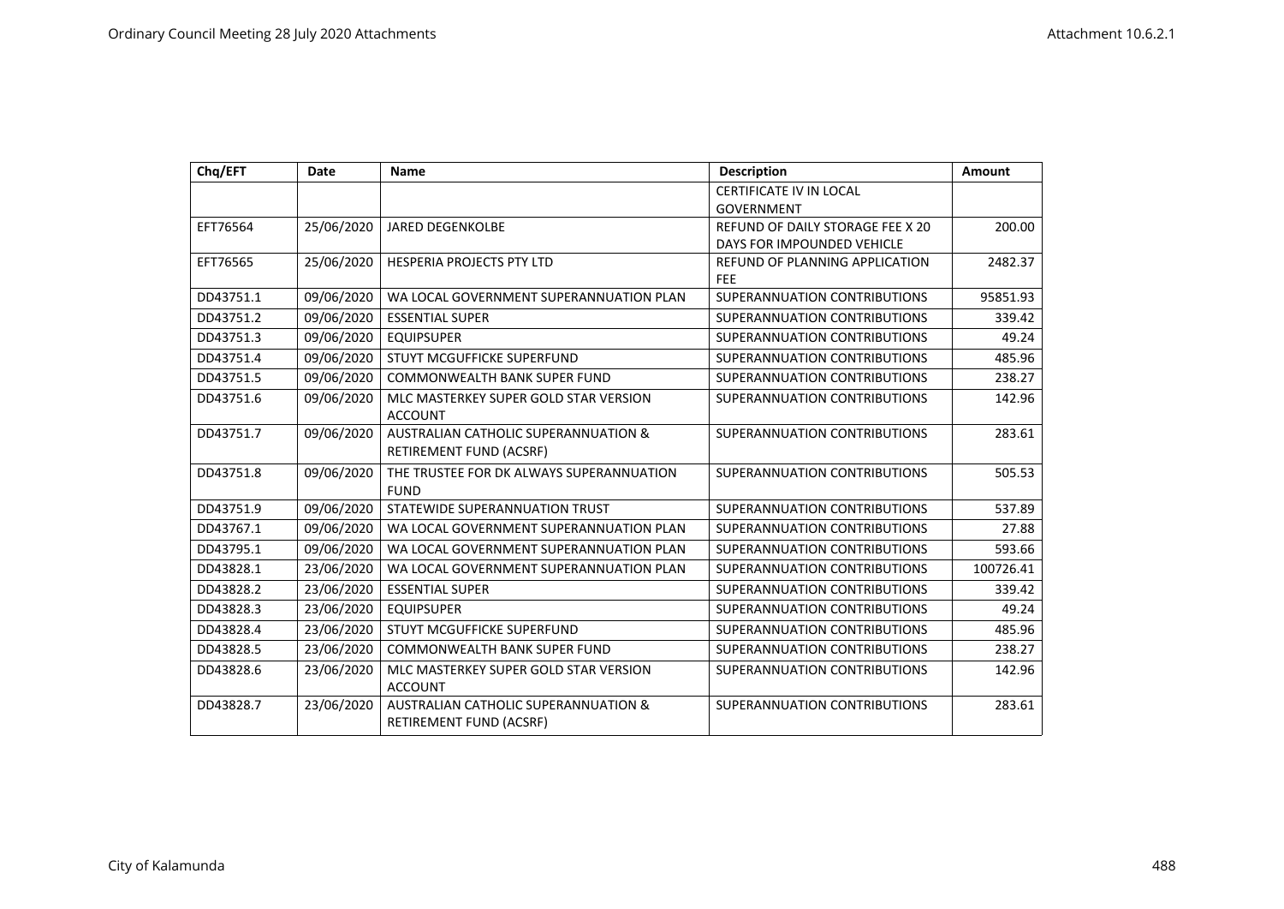| Chq/EFT   | <b>Date</b> | <b>Name</b>                                                     | <b>Description</b>                                  | Amount    |
|-----------|-------------|-----------------------------------------------------------------|-----------------------------------------------------|-----------|
|           |             |                                                                 | CERTIFICATE IV IN LOCAL                             |           |
|           |             |                                                                 | <b>GOVERNMENT</b>                                   |           |
| EFT76564  | 25/06/2020  | <b>JARED DEGENKOLBE</b>                                         | REFUND OF DAILY STORAGE FEE X 20                    | 200.00    |
|           |             |                                                                 | DAYS FOR IMPOUNDED VEHICLE                          |           |
| EFT76565  | 25/06/2020  | HESPERIA PROJECTS PTY LTD                                       | <b>REFUND OF PLANNING APPLICATION</b><br><b>FEE</b> | 2482.37   |
| DD43751.1 | 09/06/2020  | WA LOCAL GOVERNMENT SUPERANNUATION PLAN                         | SUPERANNUATION CONTRIBUTIONS                        | 95851.93  |
| DD43751.2 | 09/06/2020  | <b>ESSENTIAL SUPER</b>                                          | SUPERANNUATION CONTRIBUTIONS                        | 339.42    |
| DD43751.3 | 09/06/2020  | <b>EQUIPSUPER</b>                                               | SUPERANNUATION CONTRIBUTIONS                        | 49.24     |
| DD43751.4 | 09/06/2020  | STUYT MCGUFFICKE SUPERFUND                                      | SUPERANNUATION CONTRIBUTIONS                        | 485.96    |
| DD43751.5 | 09/06/2020  | <b>COMMONWEALTH BANK SUPER FUND</b>                             | SUPERANNUATION CONTRIBUTIONS                        | 238.27    |
| DD43751.6 | 09/06/2020  | MLC MASTERKEY SUPER GOLD STAR VERSION                           | SUPERANNUATION CONTRIBUTIONS                        | 142.96    |
|           |             | <b>ACCOUNT</b>                                                  |                                                     |           |
| DD43751.7 | 09/06/2020  | <b>AUSTRALIAN CATHOLIC SUPERANNUATION &amp;</b>                 | SUPERANNUATION CONTRIBUTIONS                        | 283.61    |
|           |             | RETIREMENT FUND (ACSRF)                                         |                                                     |           |
| DD43751.8 | 09/06/2020  | THE TRUSTEE FOR DK ALWAYS SUPERANNUATION<br><b>FUND</b>         | SUPERANNUATION CONTRIBUTIONS                        | 505.53    |
| DD43751.9 | 09/06/2020  | STATEWIDE SUPERANNUATION TRUST                                  | SUPERANNUATION CONTRIBUTIONS                        | 537.89    |
| DD43767.1 | 09/06/2020  | WA LOCAL GOVERNMENT SUPERANNUATION PLAN                         | SUPERANNUATION CONTRIBUTIONS                        | 27.88     |
| DD43795.1 | 09/06/2020  | WA LOCAL GOVERNMENT SUPERANNUATION PLAN                         | SUPERANNUATION CONTRIBUTIONS                        | 593.66    |
| DD43828.1 | 23/06/2020  | WA LOCAL GOVERNMENT SUPERANNUATION PLAN                         | SUPERANNUATION CONTRIBUTIONS                        | 100726.41 |
| DD43828.2 | 23/06/2020  | <b>ESSENTIAL SUPER</b>                                          | SUPERANNUATION CONTRIBUTIONS                        | 339.42    |
| DD43828.3 | 23/06/2020  | <b>EQUIPSUPER</b>                                               | SUPERANNUATION CONTRIBUTIONS                        | 49.24     |
| DD43828.4 | 23/06/2020  | STUYT MCGUFFICKE SUPERFUND                                      | SUPERANNUATION CONTRIBUTIONS                        | 485.96    |
| DD43828.5 | 23/06/2020  | COMMONWEALTH BANK SUPER FUND                                    | SUPERANNUATION CONTRIBUTIONS                        | 238.27    |
| DD43828.6 | 23/06/2020  | MLC MASTERKEY SUPER GOLD STAR VERSION<br><b>ACCOUNT</b>         | SUPERANNUATION CONTRIBUTIONS                        | 142.96    |
| DD43828.7 | 23/06/2020  | AUSTRALIAN CATHOLIC SUPERANNUATION &<br>RETIREMENT FUND (ACSRF) | SUPERANNUATION CONTRIBUTIONS                        | 283.61    |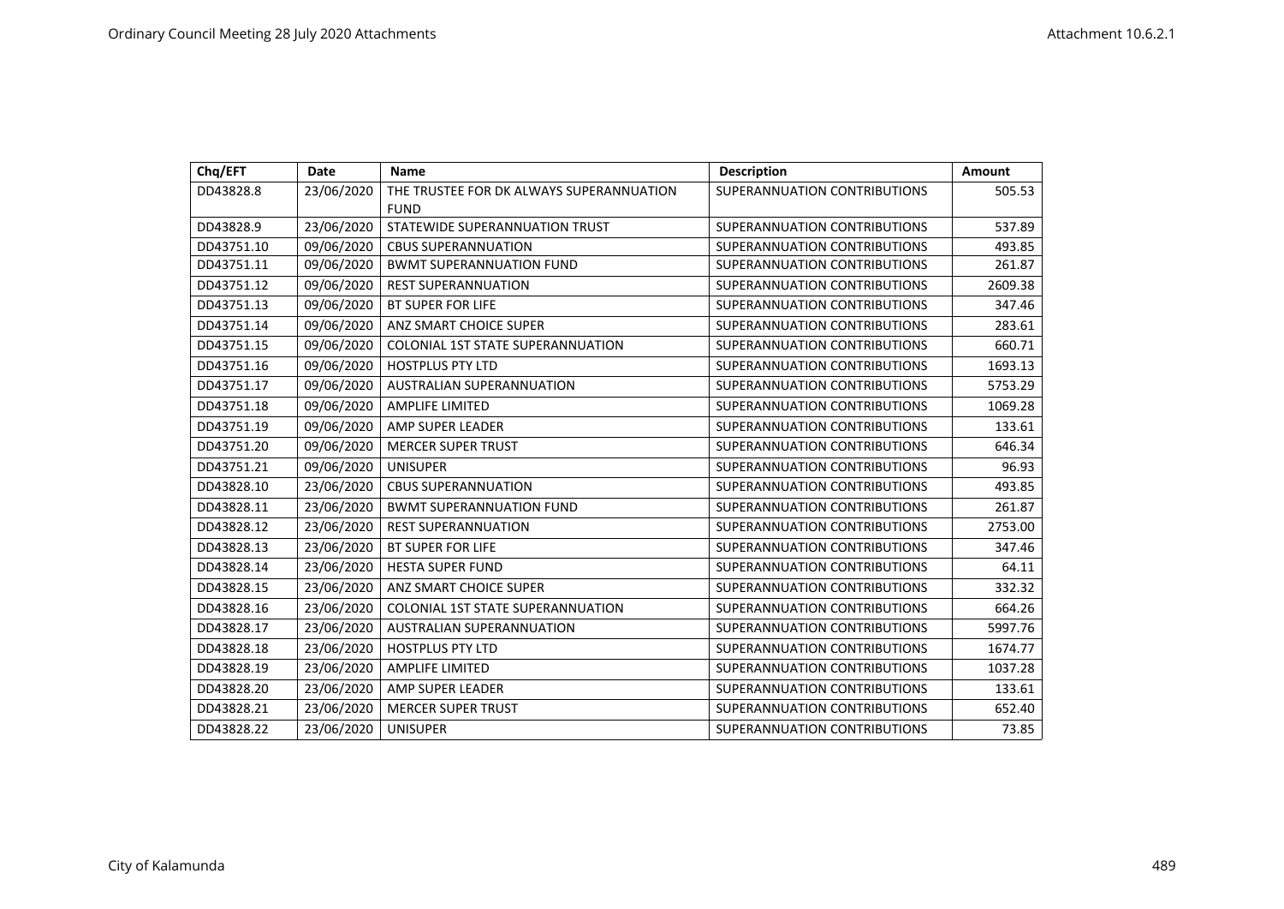| Chq/EFT    | Date       | <b>Name</b>                              | <b>Description</b>           | Amount  |
|------------|------------|------------------------------------------|------------------------------|---------|
| DD43828.8  | 23/06/2020 | THE TRUSTEE FOR DK ALWAYS SUPERANNUATION | SUPERANNUATION CONTRIBUTIONS | 505.53  |
|            |            | <b>FUND</b>                              |                              |         |
| DD43828.9  | 23/06/2020 | STATEWIDE SUPERANNUATION TRUST           | SUPERANNUATION CONTRIBUTIONS | 537.89  |
| DD43751.10 | 09/06/2020 | <b>CBUS SUPERANNUATION</b>               | SUPERANNUATION CONTRIBUTIONS | 493.85  |
| DD43751.11 | 09/06/2020 | <b>BWMT SUPERANNUATION FUND</b>          | SUPERANNUATION CONTRIBUTIONS | 261.87  |
| DD43751.12 | 09/06/2020 | <b>REST SUPERANNUATION</b>               | SUPERANNUATION CONTRIBUTIONS | 2609.38 |
| DD43751.13 | 09/06/2020 | BT SUPER FOR LIFE                        | SUPERANNUATION CONTRIBUTIONS | 347.46  |
| DD43751.14 | 09/06/2020 | ANZ SMART CHOICE SUPER                   | SUPERANNUATION CONTRIBUTIONS | 283.61  |
| DD43751.15 | 09/06/2020 | <b>COLONIAL 1ST STATE SUPERANNUATION</b> | SUPERANNUATION CONTRIBUTIONS | 660.71  |
| DD43751.16 | 09/06/2020 | <b>HOSTPLUS PTY LTD</b>                  | SUPERANNUATION CONTRIBUTIONS | 1693.13 |
| DD43751.17 | 09/06/2020 | <b>AUSTRALIAN SUPERANNUATION</b>         | SUPERANNUATION CONTRIBUTIONS | 5753.29 |
| DD43751.18 | 09/06/2020 | <b>AMPLIFE LIMITED</b>                   | SUPERANNUATION CONTRIBUTIONS | 1069.28 |
| DD43751.19 | 09/06/2020 | AMP SUPER LEADER                         | SUPERANNUATION CONTRIBUTIONS | 133.61  |
| DD43751.20 | 09/06/2020 | <b>MERCER SUPER TRUST</b>                | SUPERANNUATION CONTRIBUTIONS | 646.34  |
| DD43751.21 | 09/06/2020 | <b>UNISUPER</b>                          | SUPERANNUATION CONTRIBUTIONS | 96.93   |
| DD43828.10 | 23/06/2020 | <b>CBUS SUPERANNUATION</b>               | SUPERANNUATION CONTRIBUTIONS | 493.85  |
| DD43828.11 | 23/06/2020 | <b>BWMT SUPERANNUATION FUND</b>          | SUPERANNUATION CONTRIBUTIONS | 261.87  |
| DD43828.12 | 23/06/2020 | <b>REST SUPERANNUATION</b>               | SUPERANNUATION CONTRIBUTIONS | 2753.00 |
| DD43828.13 | 23/06/2020 | <b>BT SUPER FOR LIFE</b>                 | SUPERANNUATION CONTRIBUTIONS | 347.46  |
| DD43828.14 | 23/06/2020 | <b>HESTA SUPER FUND</b>                  | SUPERANNUATION CONTRIBUTIONS | 64.11   |
| DD43828.15 | 23/06/2020 | ANZ SMART CHOICE SUPER                   | SUPERANNUATION CONTRIBUTIONS | 332.32  |
| DD43828.16 | 23/06/2020 | <b>COLONIAL 1ST STATE SUPERANNUATION</b> | SUPERANNUATION CONTRIBUTIONS | 664.26  |
| DD43828.17 | 23/06/2020 | AUSTRALIAN SUPERANNUATION                | SUPERANNUATION CONTRIBUTIONS | 5997.76 |
| DD43828.18 | 23/06/2020 | <b>HOSTPLUS PTY LTD</b>                  | SUPERANNUATION CONTRIBUTIONS | 1674.77 |
| DD43828.19 | 23/06/2020 | <b>AMPLIFE LIMITED</b>                   | SUPERANNUATION CONTRIBUTIONS | 1037.28 |
| DD43828.20 | 23/06/2020 | AMP SUPER LEADER                         | SUPERANNUATION CONTRIBUTIONS | 133.61  |
| DD43828.21 | 23/06/2020 | <b>MERCER SUPER TRUST</b>                | SUPERANNUATION CONTRIBUTIONS | 652.40  |
| DD43828.22 | 23/06/2020 | <b>UNISUPER</b>                          | SUPERANNUATION CONTRIBUTIONS | 73.85   |